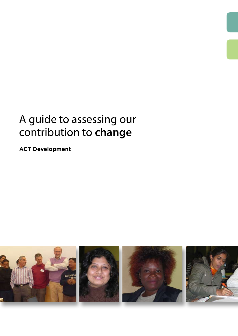# A guide to assessing our contribution to **change**

**ACT Development**

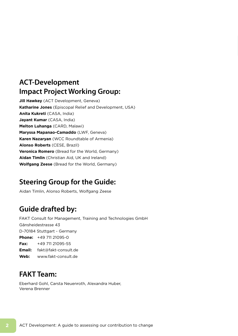## **ACT-Development Impact Project Working Group:**

**Jill Hawkey** (ACT Development, Geneva) **Katharine Jones** (Episcopal Relief and Development, USA) **Anita Kukreti** (CASA, India) **Jayant Kumar** (CASA, India) **Melton Luhanga** (CARD, Malawi) **Maryssa Mapanao-Camaddo** (LWF, Geneva) **Karen Nazaryan** (WCC Roundtable of Armenia) **Alonso Roberts** (CESE, Brazil) **Veronica Romero** (Bread for the World, Germany) **Aidan Timlin** (Christian Aid, UK and Ireland) **Wolfgang Zeese** (Bread for the World, Germany)

## **Steering Group for the Guide:**

Aidan Timlin, Alonso Roberts, Wolfgang Zeese

## **Guide drafted by:**

FAKT Consult for Management, Training and Technologies GmbH Gänsheidestrasse 43 D-70184 Stuttgart - Germany **Phone:** +49 711 21095-0 **Fax:** +49 711 21095-55 **Email:** fakt@fakt-consult.de **Web:** www.fakt-consult.de

## **FAKT Team:**

Eberhard Gohl, Carsta Neuenroth, Alexandra Huber, Verena Brenner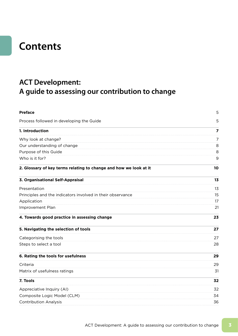## **Contents**

## **ACT Development: A guide to assessing our contribution to change**

| <b>Preface</b>                                                    | 5              |  |  |  |
|-------------------------------------------------------------------|----------------|--|--|--|
| Process followed in developing the Guide                          | 5              |  |  |  |
| 1. Introduction                                                   | 7              |  |  |  |
| Why look at change?                                               | 7              |  |  |  |
| Our understanding of change                                       | 8              |  |  |  |
| Purpose of this Guide                                             | 8              |  |  |  |
| Who is it for?                                                    | 9              |  |  |  |
| 2. Glossary of key terms relating to change and how we look at it | 10             |  |  |  |
| 3. Organisational Self-Appraisal                                  | 1 <sub>3</sub> |  |  |  |
| Presentation                                                      | 13             |  |  |  |
| Principles and the indicators involved in their observance        | 15             |  |  |  |
| Application                                                       | 17             |  |  |  |
| Improvement Plan                                                  | 21             |  |  |  |
| 4. Towards good practice in assessing change                      | 23             |  |  |  |
| 5. Navigating the selection of tools                              | 27             |  |  |  |
| Categorising the tools                                            | 27             |  |  |  |
| Steps to select a tool                                            | 28             |  |  |  |
| 6. Rating the tools for usefulness                                | 29             |  |  |  |
| Criteria                                                          | 29             |  |  |  |
| Matrix of usefulness ratings                                      | 31             |  |  |  |
| 7. Tools                                                          | 32             |  |  |  |
| Appreciative Inquiry (AI)                                         | 32             |  |  |  |
| Composite Logic Model (CLM)                                       | 34             |  |  |  |
| <b>Contribution Analysis</b>                                      | 36             |  |  |  |
|                                                                   |                |  |  |  |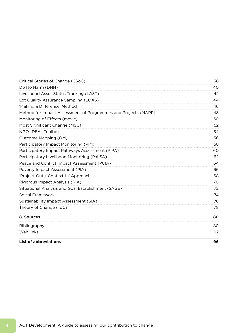| Critical Stories of Change (CSoC)                              | 38 |
|----------------------------------------------------------------|----|
| Do No Harm (DNH)                                               | 40 |
| Livelihood Asset Status Tracking (LAST)                        | 42 |
| Lot Quality Assurance Sampling (LQAS)                          | 44 |
| 'Making a Difference' Method                                   | 46 |
| Method for Impact Assessment of Programmes and Projects (MAPP) | 48 |
| Monitoring of Effects (movie)                                  | 50 |
| Most Significant Change (MSC)                                  | 52 |
| NGO-IDEAs Toolbox                                              | 54 |
| Outcome Mapping (OM)                                           | 56 |
| Participatory Impact Monitoring (PIM)                          | 58 |
| Participatory Impact Pathways Assessment (PIPA)                | 60 |
| Participatory Livelihood Monitoring (PaLSA)                    | 62 |
| Peace and Conflict Impact Assessment (PCIA)                    | 64 |
| Poverty Impact Assessment (PIA)                                | 66 |
| 'Project-Out / Context-In' Approach                            | 68 |
| Rigorous Impact Analysis (RIA)                                 | 70 |
| Situational Analysis and Goal Establishment (SAGE)             | 72 |
| Social Framework                                               | 74 |
| Sustainability Impact Assessment (SIA)                         | 76 |
| Theory of Change (ToC)                                         | 78 |
| 8. Sources                                                     | 80 |
| Bibliography                                                   | 80 |
| Web links                                                      | 92 |
| <b>List of abbreviations</b>                                   | 96 |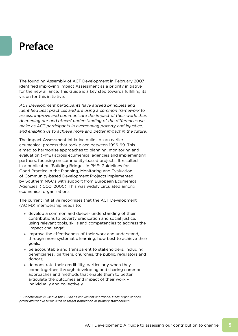# **Preface**

The founding Assembly of ACT Development in February 2007 identified improving Impact Assessment as a priority initiative for the new alliance. This Guide is a key step towards fulfilling its vision for this initiative:

ACT Development participants have agreed principles and identified best practices and are using a common framework to assess, improve and communicate the impact of their work, thus deepening our and others' understanding of the differences we make as ACT participants in overcoming poverty and injustice, and enabling us to achieve more and better impact in the future.

The Impact Assessment initiative builds on an earlier ecumenical process that took place between 1996-99. This aimed to harmonise approaches to planning, monitoring and evaluation (PME) across ecumenical agencies and implementing partners, focusing on community-based projects. It resulted in a publication 'Building Bridges in PME: Guidelines for Good Practice in the Planning, Monitoring and Evaluation of Community-based Development Projects implemented by Southern NGOs with support from European Ecumenical Agencies' (ICCO, 2000). This was widely circulated among ecumenical organisations.

The current initiative recognises that the ACT Development (ACT-D) membership needs to:

- » develop a common and deeper understanding of their contributions to poverty eradication and social justice, using relevant tools, skills and competencies to address the 'impact challenge';
- » improve the effectiveness of their work and understand, through more systematic learning, how best to achieve their goals;
- » be accountable and transparent to stakeholders, including beneficiaries<sup>1</sup>, partners, churches, the public, regulators and donors;
- » demonstrate their credibility, particularly when they come together, through developing and sharing common approaches and methods that enable them to better articulate the outcomes and impact of their work – individually and collectively.

1 Beneficiaries is used in this Guide as convenient shorthand. Many organisations prefer alternative terms such as target population or primary stakeholders.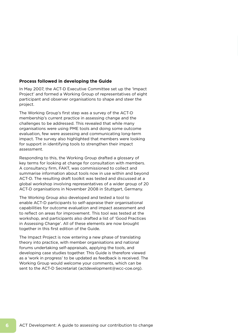#### **Process followed in developing the Guide**

In May 2007, the ACT-D Executive Committee set up the 'Impact Project' and formed a Working Group of representatives of eight participant and observer organisations to shape and steer the project.

The Working Group's first step was a survey of the ACT-D membership's current practice in assessing change and the challenges to be addressed. This revealed that while many organisations were using PME tools and doing some outcome evaluation, few were assessing and communicating long-term impact. The survey also highlighted that members were looking for support in identifying tools to strengthen their impact assessment.

Responding to this, the Working Group drafted a glossary of key terms for looking at change for consultation with members. A consultancy firm, FAKT, was commissioned to collect and summarise information about tools now in use within and beyond ACT-D. The resulting draft toolkit was tested and discussed at a global workshop involving representatives of a wider group of 20 ACT-D organisations in November 2008 in Stuttgart, Germany.

The Working Group also developed and tested a tool to enable ACT-D participants to self-appraise their organisational capabilities for outcome evaluation and impact assessment and to reflect on areas for improvement. This tool was tested at the workshop, and participants also drafted a list of 'Good Practices in Assessing Change'. All of these elements are now brought together in this first edition of the Guide.

The Impact Project is now entering a new phase of translating theory into practice, with member organisations and national forums undertaking self-appraisals, applying the tools, and developing case studies together. This Guide is therefore viewed as a 'work in progress' to be updated as feedback is received. The Working Group would welcome your comments, which can be sent to the ACT-D Secretariat (actdevelopment@wcc-coe.org).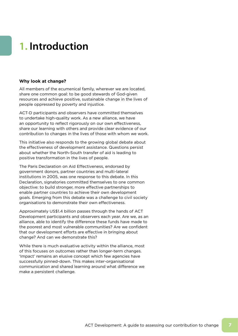# **1. Introduction**

#### **Why look at change?**

All members of the ecumenical family, wherever we are located, share one common goal: to be good stewards of God-given resources and achieve positive, sustainable change in the lives of people oppressed by poverty and injustice.

ACT-D participants and observers have committed themselves to undertake high-quality work. As a new alliance, we have an opportunity to reflect rigorously on our own effectiveness, share our learning with others and provide clear evidence of our contribution to changes in the lives of those with whom we work.

This initiative also responds to the growing global debate about the effectiveness of development assistance. Questions persist about whether the North-South transfer of aid is leading to positive transformation in the lives of people.

The Paris Declaration on Aid Effectiveness, endorsed by government donors, partner countries and multi-lateral institutions in 2005, was one response to this debate. In this Declaration, signatories committed themselves to one common objective: to build stronger, more effective partnerships to enable partner countries to achieve their own development goals. Emerging from this debate was a challenge to civil society organisations to demonstrate their own effectiveness.

Approximately US\$1.4 billion passes through the hands of ACT Development participants and observers each year. Are we, as an alliance, able to identify the difference these funds have made to the poorest and most vulnerable communities? Are we confident that our development efforts are effective in bringing about change? And can we demonstrate this?

While there is much evaluative activity within the alliance, most of this focuses on outcomes rather than longer-term changes. 'Impact' remains an elusive concept which few agencies have successfully pinned-down. This makes inter-organisational communication and shared learning around what difference we make a persistent challenge.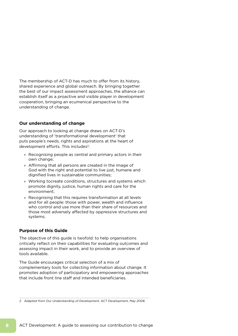The membership of ACT-D has much to offer from its history, shared experience and global outreach. By bringing together the best of our impact assessment approaches, the alliance can establish itself as a proactive and visible player in development cooperation, bringing an ecumenical perspective to the understanding of change.

#### **Our understanding of change**

Our approach to looking at change draws on ACT-D's understanding of 'transformational development' that puts people's needs, rights and aspirations at the heart of development efforts. This includes<sup>2</sup>:

- » Recognising people as central and primary actors in their own change;
- » Affirming that all persons are created in the image of God with the right and potential to live just, humane and dignified lives in sustainable communities;
- » Working tocreate conditions, structures and systems which promote dignity, justice, human rights and care for the environment;
- » Recognising that this requires transformation at all levels and for all people: those with power, wealth and influence who control and use more than their share of resources and those most adversely affected by oppressive structures and systems;

#### **Purpose of this Guide**

The objective of this guide is twofold: to help organisations critically reflect on their capabilities for evaluating outcomes and assessing impact in their work, and to provide an overview of tools available.

The Guide encourages critical selection of a mix of complementary tools for collecting information about change. It promotes adoption of participatory and empowering approaches that include front line staff and intended beneficiaries.

<sup>2</sup> Adapted from Our Understanding of Development, ACT Development, May 2008.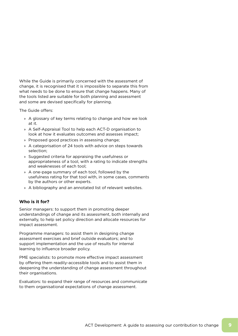While the Guide is primarily concerned with the assessment of change, it is recognised that it is impossible to separate this from what needs to be done to ensure that change happens. Many of the tools listed are suitable for both planning and assessment and some are devised specifically for planning.

The Guide offers:

- » A glossary of key terms relating to change and how we look at it.
- » A Self-Appraisal Tool to help each ACT-D organisation to look at how it evaluates outcomes and assesses impact;
- » Proposed good practices in assessing change;
- » A categorisation of 24 tools with advice on steps towards selection;
- » Suggested criteria for appraising the usefulness or appropriateness of a tool, with a rating to indicate strengths and weaknesses of each tool;
- » A one-page summary of each tool, followed by the usefulness rating for that tool with, in some cases, comments by the authors or other experts.
- » A bibliography and an annotated list of relevant websites.

#### **Who is it for?**

Senior managers: to support them in promoting deeper understandings of change and its assessment, both internally and externally, to help set policy direction and allocate resources for impact assessment.

Programme managers: to assist them in designing change assessment exercises and brief outside evaluators; and to support implementation and the use of results for internal learning to influence broader policy.

PME specialists: to promote more effective impact assessment by offering them readily-accessible tools and to assist them in deepening the understanding of change assessment throughout their organisations.

Evaluators: to expand their range of resources and communicate to them organisational expectations of change assessment.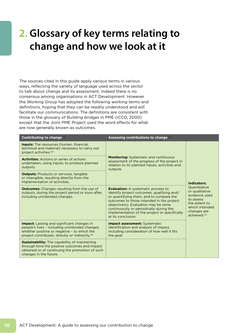# **2. Glossary of key terms relating to change and how we look at it**

The sources cited in this guide apply various terms in various ways, reflecting the variety of language used across the sector to talk about change and its assessment. Indeed there is no consensus among organisations in ACT Development. However the Working Group has adopted the following working terms and definitions, hoping that they can be readily understood and will facilitate our communications. The definitions are consistent with those in the glossary of Building bridges in PME (ICCO, 2000) except that the Joint PME Project used the word effects for what are now generally known as outcomes.

| Contributing to change $\circ$                                                                                                                                                                                    | Assessing contributions to change (4)                                                                                                                                                                                                                                                                                                      |                                                                                                                                            |  |  |  |
|-------------------------------------------------------------------------------------------------------------------------------------------------------------------------------------------------------------------|--------------------------------------------------------------------------------------------------------------------------------------------------------------------------------------------------------------------------------------------------------------------------------------------------------------------------------------------|--------------------------------------------------------------------------------------------------------------------------------------------|--|--|--|
| <b>Inputs:</b> The resources (human, financial,<br>technical and material) necessary to carry out<br>project activities. <sup>(2)</sup>                                                                           |                                                                                                                                                                                                                                                                                                                                            |                                                                                                                                            |  |  |  |
| <b>Activities:</b> Actions or series of actions<br>undertaken, using inputs, to produce planned<br>outputs.                                                                                                       | <b>Monitoring:</b> Systematic and continuous<br>assessment of the progress of the project in<br>relation to its planned inputs, activities and<br>outputs.                                                                                                                                                                                 |                                                                                                                                            |  |  |  |
| <b>Outputs:</b> Products or services, tangible<br>or intangible, resulting directly from the<br>implementation of activities.                                                                                     |                                                                                                                                                                                                                                                                                                                                            | Indicators:                                                                                                                                |  |  |  |
| <b>Outcomes:</b> Changes resulting from the use of<br>outputs, during the project period or soon after,<br>including unintended changes.                                                                          | <b>Evaluation:</b> A systematic process to<br>identify project outcomes, qualifying and/<br>or quantifying them, and to compare the<br>outcomes to those intended in the project<br>objective(s). Evaluation may be done<br>continuously or periodically during the<br>implementation of the project or specifically<br>at its conclusion. | Quantitative<br>or qualitative<br>evidence used<br>to assess<br>the extent to<br>which intended<br>changes are<br>achieved. <sup>(5)</sup> |  |  |  |
| <b>Impact:</b> Lasting and significant changes in<br>people's lives - including unintended changes,<br>whether positive or negative - to which the<br>project contributes, directly or indirectly. <sup>(3)</sup> | <b>Impact assessment: Systematic</b><br>identification and analysis of impact,<br>including consideration of how well it fits<br>the goal.                                                                                                                                                                                                 |                                                                                                                                            |  |  |  |
| <b>Sustainability:</b> The capability of maintaining<br>through time the positive outcomes and impact<br>obtained or of continuing the promotion of such<br>changes in the future.                                |                                                                                                                                                                                                                                                                                                                                            |                                                                                                                                            |  |  |  |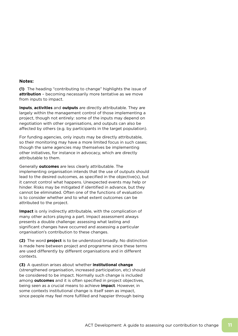#### **Notes:**

**(1)** The heading "contributing to change" highlights the issue of **attribution** – becoming necessarily more tentative as we move from inputs to impact.

**Inputs**, **activities** and **outputs** are directly attributable. They are largely within the management control of those implementing a project, though not entirely: some of the inputs may depend on negotiation with other organisations, and outputs can also be affected by others (e.g. by participants in the target population).

For funding agencies, only inputs may be directly attributable, so their monitoring may have a more limited focus in such cases; though the same agencies may themselves be implementing other initiatives, for instance in advocacy, which are directly attributable to them.

Generally **outcomes** are less clearly attributable. The implementing organisation intends that the use of outputs should lead to the desired outcomes, as specified in the objective(s), but it cannot control what happens. Unexpected events may help or hinder. Risks may be mitigated if identified in advance, but they cannot be eliminated. Often one of the functions of evaluation is to consider whether and to what extent outcomes can be attributed to the project.

**Impact** is only indirectly attributable, with the complication of many other actors playing a part. Impact assessment always presents a double challenge: assessing what lasting and significant changes have occurred and assessing a particular organisation's contribution to these changes.

**(2)** The word **project** is to be understood broadly. No distinction is made here between project and programme since these terms are used differently by different organisations and in different contexts.

**(3)** A question arises about whether **institutional change**  (strengthened organisation, increased participation, etc) should be considered to be impact. Normally such change is included among **outcomes** and it is often specified in project objectives, being seen as a crucial means to achieve **impact**. However, in some contexts institutional change is itself seen as impact, since people may feel more fulfilled and happier through being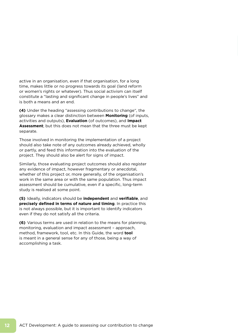active in an organisation, even if that organisation, for a long time, makes little or no progress towards its goal (land reform or women's rights or whatever). Thus social activism can itself constitute a "lasting and significant change in people's lives" and is both a means and an end.

**(4)** Under the heading "assessing contributions to change", the glossary makes a clear distinction between **Monitoring** (of inputs, activities and outputs), **Evaluation** (of outcomes), and **Impact Assessment**; but this does not mean that the three must be kept separate.

Those involved in monitoring the implementation of a project should also take note of any outcomes already achieved, wholly or partly, and feed this information into the evaluation of the project. They should also be alert for signs of impact.

Similarly, those evaluating project outcomes should also register any evidence of impact, however fragmentary or anecdotal, whether of this project or, more generally, of the organisation's work in the same area or with the same population. Thus impact assessment should be cumulative, even if a specific, long-term study is realised at some point.

**(5)** Ideally, indicators should be **independent** and **verifiable**, and **precisely defined in terms of nature and timing**. In practice this is not always possible, but it is important to identify indicators even if they do not satisfy all the criteria.

**(6)** Various terms are used in relation to the means for planning, monitoring, evaluation and impact assessment – approach, method, framework, tool, etc. In this Guide, the word **tool** is meant in a general sense for any of those, being a way of accomplishing a task.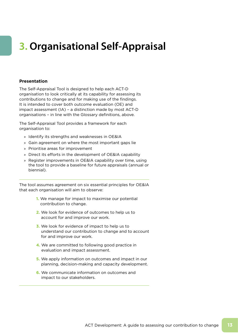# **3. Organisational Self-Appraisal**

#### **Presentation**

The Self-Appraisal Tool is designed to help each ACT-D organisation to look critically at its capability for assessing its contributions to change and for making use of the findings. It is intended to cover both outcome evaluation (OE) and impact assessment (IA) – a distinction made by most ACT-D organisations – in line with the Glossary definitions, above.

The Self-Appraisal Tool provides a framework for each organisation to:

- » Identify its strengths and weaknesses in OE&IA
- » Gain agreement on where the most important gaps lie
- » Prioritise areas for improvement
- » Direct its efforts in the development of OE&IA capability
- » Register improvements in OE&IA capability over time, using the tool to provide a baseline for future appraisals (annual or biennial).

The tool assumes agreement on six essential principles for OE&IA that each organisation will aim to observe:

- **1.** We manage for impact to maximise our potential contribution to change.
- **2.** We look for evidence of outcomes to help us to account for and improve our work.
- **3.** We look for evidence of impact to help us to understand our contribution to change and to account for and improve our work.
- **4.** We are committed to following good practice in evaluation and impact assessment.
- **5.** We apply information on outcomes and impact in our planning, decision-making and capacity development.
- **6.** We communicate information on outcomes and impact to our stakeholders.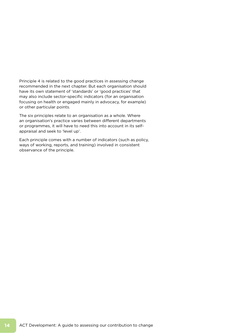Principle 4 is related to the good practices in assessing change recommended in the next chapter. But each organisation should have its own statement of 'standards' or 'good practices' that may also include sector-specific indicators (for an organisation focusing on health or engaged mainly in advocacy, for example) or other particular points.

The six principles relate to an organisation as a whole. Where an organisation's practice varies between different departments or programmes, it will have to need this into account in its selfappraisal and seek to 'level up'.

Each principle comes with a number of indicators (such as policy, ways of working, reports, and training) involved in consistent observance of the principle.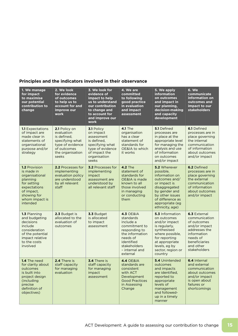### **Principles and the indicators involved in their observance**

| 1. We manage<br>for impact<br>to maximise<br>our potential<br>contribution to<br>change                                                                    | 2. We look<br>for evidence<br>of outcomes<br>to help us to<br>account for and<br>improve our<br>work                          | 3. We look for<br>evidence of<br>impact to help<br>us to understand<br>our contribution<br>to change and<br>to account for<br>and improve our<br>work                                                                                                 | 4. We are<br>committed<br>to following<br>good practice<br>in evaluation<br>and impact<br>assessment                                                                               | 5. We apply<br>information<br>on outcomes<br>and impact in<br>our planning,<br>decision-making<br>and capacity<br>development                                                                 | <b>6. We</b><br>communicate<br>information on<br>outcomes and<br>impact to our<br><b>stakeholders</b>                                                   |
|------------------------------------------------------------------------------------------------------------------------------------------------------------|-------------------------------------------------------------------------------------------------------------------------------|-------------------------------------------------------------------------------------------------------------------------------------------------------------------------------------------------------------------------------------------------------|------------------------------------------------------------------------------------------------------------------------------------------------------------------------------------|-----------------------------------------------------------------------------------------------------------------------------------------------------------------------------------------------|---------------------------------------------------------------------------------------------------------------------------------------------------------|
| <b>1.1 Expectations</b><br>of impact are<br>made clear in<br>statements of<br>organisational<br>purpose and/or<br>strategy                                 | 2.1 Policy on<br>evaluation<br>is defined.<br>specifying what<br>type of evidence<br>of outcomes<br>the organisation<br>seeks | <b>4.1 The</b><br>3.1 Policy<br>organisation<br>on impact<br>has a clear<br>assessment<br>statement of<br>is defined.<br>standards for<br>specifying what<br>type of evidence<br>OE&IA to which<br>it works<br>of impact the<br>organisation<br>seeks |                                                                                                                                                                                    | 5.1 Defined<br>processes are<br>in place at the<br>appropriate level<br>for managing the<br>analysis and use<br>of information<br>on outcomes<br>and/or impact                                | <b>6.1</b> Defined<br>processes are in<br>place governing<br>the internal<br>communication<br>of information<br>about outcomes<br>and/or impact         |
| <b>1.2 Provision</b><br>is made in<br>organisational<br>planning<br>for setting<br>expectations<br>of impact,<br>showing for<br>whom impact is<br>intended | 2.2 Processes for<br>implementing<br>evaluation policy<br>are understood<br>by all relevant<br>staff                          | <b>3.2</b> Processes for<br>implementing<br>impact<br>assessment are<br>understood by<br>all relevant staff                                                                                                                                           | <b>4.2 The</b><br>statement of<br>standards for<br>OE&IA is made<br>known to all<br>those involved<br>in managing<br>or conducting<br>them                                         | 5.2 Wherever<br>possible.<br>information on<br>outcomes and/<br>or impact is<br>disaggregated<br>by gender and<br>by other issues<br>of difference as<br>appropriate (eg<br>ethnicity, age)   | 6.2 Defined<br>processes are in<br>place governing<br>the external<br>communication<br>of information<br>about outcomes<br>and/or impact                |
| 1.3 Planning<br>and budgeting<br>decisions<br>include<br>consideration<br>of the potential<br>impact relative<br>to the costs<br>involved                  | 2.3 Budget is<br>allocated to the<br>evaluation of<br>outcomes                                                                | 3.3 Budget<br>is allocated<br>to impact<br>assessment                                                                                                                                                                                                 | <b>4.3 OE&amp;IA</b><br>standards<br>include a<br>commitment to<br>responding to<br>the information<br>needs of<br>identified<br><b>stakeholders</b><br>- internal and<br>external | <b>5.3 Information</b><br>on outcomes<br>and/or impact<br>is regularly,<br>synthesised<br>where possible,<br>for reporting<br>at appropriate<br>levels, eg by<br>sector, region or<br>country | 6.3 External<br>communication<br>of outcomes<br>and/or impact<br>addresses the<br>information<br>needs of<br>beneficiaries<br>and other<br>stakeholders |
| 1.4 The need<br>for clarity about<br>outcomes<br>is built into<br>project design<br>(including<br>precise<br>definition of<br>objectives)                  | 2.4 There is<br>staff capacity<br>for managing<br>evaluation                                                                  | 3.4 There is<br>staff capacity<br>for managing<br>impact<br>assessment                                                                                                                                                                                | <b>4.4 OE&amp;IA</b><br>standards are<br>consistent<br>with ACT<br>Development<br><b>Good Practices</b><br>in Assessing<br>Change                                                  | <b>5.4</b> Unintended<br>outcomes<br>and impacts<br>are identified,<br>reported to<br>appropriate<br>levels of<br>management<br>and followed-<br>up in a timely<br>manner                     | 6.4 Internal<br>and external<br>communication<br>about outcomes<br>and/or impact<br>is open about<br>failures or<br>shortcomings                        |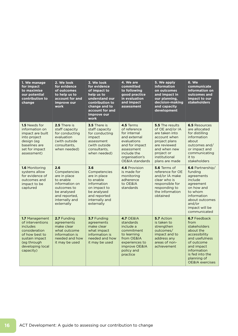| 1. We manage<br>for impact<br>to maximise<br>our potential<br>contribution to<br>change                                                             | 2. We look<br>for evidence<br>of outcomes<br>to help us to<br>account for and<br>improve our<br>work                                              | 3. We look<br>for evidence<br>of impact to<br>help us to<br>understand our<br>contribution to<br>change and to<br>account for and<br>improve our<br>work | 4. We are<br>committed<br>to following<br>good practice<br>in evaluation<br>and impact<br>assessment                                                                                                                                                                                                                                   | 5. We apply<br>information<br>on outcomes<br>and impact in<br>our planning,<br>decision-making<br>and capacity<br>development         | <b>6. We</b><br>communicate<br>information on<br>outcomes and<br>impact to our<br><b>stakeholders</b>                                                                                           |
|-----------------------------------------------------------------------------------------------------------------------------------------------------|---------------------------------------------------------------------------------------------------------------------------------------------------|----------------------------------------------------------------------------------------------------------------------------------------------------------|----------------------------------------------------------------------------------------------------------------------------------------------------------------------------------------------------------------------------------------------------------------------------------------------------------------------------------------|---------------------------------------------------------------------------------------------------------------------------------------|-------------------------------------------------------------------------------------------------------------------------------------------------------------------------------------------------|
| 1.5 Needs for<br>information on<br>impact are built<br>into project<br>design (eg<br>baselines are<br>set for impact<br>assessment)                 | 2.5 There is<br>staff capacity<br>for conducting<br>evaluation<br>(with outside)<br>consultants,<br>when needed)                                  | 3.5 There is<br>staff capacity<br>for conducting<br>impact<br>assessment<br>(with outside)<br>consultants.<br>when needed)                               | 4.5 Terms<br>5.5 The results<br>of reference<br>of OE and/or IA<br>for internal<br>are taken into<br>and external<br>account when<br>evaluations<br>project plans<br>and for impact<br>are reviewed<br>and when new<br>assessment<br>include the<br>project or<br>organisation's<br>institutional<br>OE&IA standards<br>plans are made |                                                                                                                                       | <b>6.5 Resources</b><br>are allocated<br>for distilling<br>information<br>about<br>outcomes and/<br>or impact and<br>communicating<br>it to<br>stakeholders                                     |
| <b>1.6 Monitoring</b><br>systems allow<br>for evidence of<br>outcomes and<br>impact to be<br>captured                                               | 2.6<br>Competencies<br>are in place<br>to enable<br>information on<br>outcomes to<br>be analysed<br>and reported,<br>internally and<br>externally | 3.6<br>Competencies<br>are in place<br>to enable<br>information<br>on impact to<br>be analysed<br>and reported<br>internally and<br>externally           | 4.6 Provision<br>is made for<br>monitoring<br>adherence<br>to OE&IA<br>standards                                                                                                                                                                                                                                                       | 5.6 Terms of<br>reference for OE<br>and/or IA make<br>clear who is<br>responsible for<br>responding to<br>the information<br>obtained | 6.6 Partnership/<br>funding<br>agreements<br>include<br>agreement<br>on how and<br>to whom<br>information<br>about outcomes<br>and/or<br>impact will be<br>communicated                         |
| 1.7 Management<br>of interventions<br>includes<br>consideration<br>of how best to<br>sustain impact<br>(eg through<br>developing local<br>capacity) | 2.7 Funding<br>agreements<br>make clear<br>what outcome<br>information is<br>needed and how<br>it may be used                                     | 3.7 Funding<br>agreements<br>make clear<br>what impact<br>information is<br>needed and how<br>it may be used                                             | <b>4.7 OE&amp;IA</b><br>standards<br>include a<br>commitment<br>to learning<br>from OE&IA<br>experiences to<br>improve OE&IA<br>policy and<br>practice                                                                                                                                                                                 | 5.7 Action<br>is taken to<br>strengthen<br>outcomes/<br>impact and to<br>address any<br>areas of non-<br>achievement                  | 6.7 Feedback<br>from<br>stakeholders<br>about the<br>accessibility<br>and usefulness<br>of outcome<br>and impact<br>information<br>is fed into the<br>planning of<br><b>OE&amp;IA</b> exercises |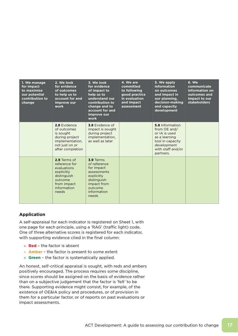| 1. We manage<br>for impact<br>to maximise<br>our potential<br>contribution to<br>change | 2. We look<br>for evidence<br>of outcomes<br>to help us to<br>account for and<br>improve our<br>work                        | 3. We look<br>for evidence<br>of impact to<br>help us to<br>understand our<br>contribution to<br>change and to<br>account for and<br>improve our<br>work | 4. We are<br>committed<br>to following<br>good practice<br>in evaluation<br>and impact<br>assessment | 5. We apply<br><b>information</b><br>on outcomes<br>and impact in<br>our planning,<br>decision-making<br>and capacity<br>development   | <b>6. We</b><br>communicate<br>information on<br>outcomes and<br>impact to our<br><b>stakeholders</b> |
|-----------------------------------------------------------------------------------------|-----------------------------------------------------------------------------------------------------------------------------|----------------------------------------------------------------------------------------------------------------------------------------------------------|------------------------------------------------------------------------------------------------------|----------------------------------------------------------------------------------------------------------------------------------------|-------------------------------------------------------------------------------------------------------|
|                                                                                         | 2.8 Evidence<br>of outcomes<br>is sought<br>during project<br>implementation,<br>not just on or<br>after completion         | 3.8 Evidence of<br>impact is sought<br>during project<br>implementation,<br>as well as later                                                             |                                                                                                      | 5.8 Information<br>from OE and/<br>or IA is used<br>as a learning<br>tool in capacity<br>development<br>with staff and/or<br>partners. |                                                                                                       |
|                                                                                         | 2.9 Terms of<br>reference for<br>evaluations<br>explicitly<br>distinguish<br>outcome<br>from impact<br>information<br>needs | 3.9 Terms<br>of reference<br>for impact<br>assessments<br>explicitly<br>distinguish<br>impact from<br>outcome<br>information<br>needs                    |                                                                                                      |                                                                                                                                        |                                                                                                       |

#### **Application**

A self-appraisal for each indicator is registered on Sheet 1, with one page for each principle, using a 'RAG' (traffic light) code. One of three alternative scores is registered for each indicator, with supporting evidence cited in the final column:

- » **Red** the factor is absent
- » **Amber** the factor is present to some extent
- » **Green** the factor is systematically applied.

An honest, self-critical appraisal is sought, with reds and ambers positively encouraged. The process requires some discipline, since scores should be assigned on the basis of evidence rather than on a subjective judgement that the factor is 'felt' to be there. Supporting evidence might consist, for example, of the existence of OE&IA policy and procedures, or of provision in them for a particular factor, or of reports on past evaluations or impact assessments.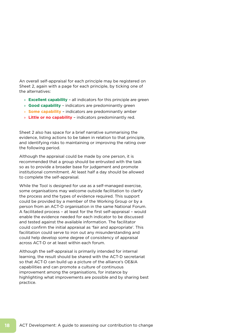An overall self-appraisal for each principle may be registered on Sheet 2, again with a page for each principle, by ticking one of the alternatives:

- » **Excellent capability** all indicators for this principle are green
- » **Good capability** indicators are predominantly green
- » **Some capability** indicators are predominantly amber
- » **Little or no capability** indicators predominantly red.

Sheet 2 also has space for a brief narrative summarising the evidence, listing actions to be taken in relation to that principle, and identifying risks to maintaining or improving the rating over the following period.

Although the appraisal could be made by one person, it is recommended that a group should be entrusted with the task so as to provide a broader base for judgement and promote institutional commitment. At least half a day should be allowed to complete the self-appraisal.

While the Tool is designed for use as a self-managed exercise, some organisations may welcome outside facilitation to clarify the process and the types of evidence required. This support could be provided by a member of the Working Group or by a person from an ACT-D organisation in the same National Forum. A facilitated process – at least for the first self-appraisal – would enable the evidence needed for each indicator to be discussed and tested against the available information. The facilitator could confirm the initial appraisal as 'fair and appropriate'. This facilitation could serve to iron out any misunderstanding and could help develop some degree of consistency of appraisal across ACT-D or at least within each forum.

Although the self-appraisal is primarily intended for internal learning, the result should be shared with the ACT-D secretariat so that ACT-D can build up a picture of the alliance's OE&IA capabilities and can promote a culture of continuous improvement among the organisations, for instance by highlighting what improvements are possible and by sharing best practice.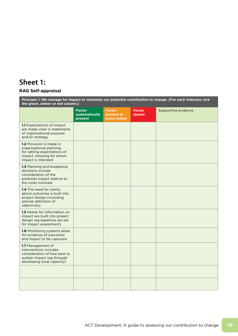## **Sheet 1:**

### **RAG Self-appraisal**

| Principle 1: We manage for impact to maximise our potential contribution to change. [For each indicator, tick<br>the green, amber or red column.] |                                            |                                            |                         |                     |  |  |  |  |
|---------------------------------------------------------------------------------------------------------------------------------------------------|--------------------------------------------|--------------------------------------------|-------------------------|---------------------|--|--|--|--|
|                                                                                                                                                   | <b>Factor</b><br>systematically<br>present | <b>Factor</b><br>present to<br>some extent | <b>Factor</b><br>absent | Supporting evidence |  |  |  |  |
| <b>1.1</b> Expectations of impact<br>are made clear in statements<br>of organisational purpose<br>and/or strategy.                                |                                            |                                            |                         |                     |  |  |  |  |
| <b>1.2</b> Provision is made in<br>organisational planning<br>for setting expectations of<br>impact, showing for whom<br>impact is intended.      |                                            |                                            |                         |                     |  |  |  |  |
| 1.3 Planning and budgeting<br>decisions include<br>consideration of the<br>potential impact relative to<br>the costs involved.                    |                                            |                                            |                         |                     |  |  |  |  |
| 1.4 The need for clarity<br>about outcomes is built into<br>project design (including<br>precise definition of<br>objectives).                    |                                            |                                            |                         |                     |  |  |  |  |
| <b>1.5</b> Needs for information on<br>impact are built into project<br>design (eg baselines are set<br>for impact assessment).                   |                                            |                                            |                         |                     |  |  |  |  |
| <b>1.6 Monitoring systems allow</b><br>for evidence of outcomes<br>and impact to be captured                                                      |                                            |                                            |                         |                     |  |  |  |  |
| 1.7 Management of<br>interventions includes<br>consideration of how best to<br>sustain impact (eg through<br>developing local capacity)           |                                            |                                            |                         |                     |  |  |  |  |
|                                                                                                                                                   |                                            |                                            |                         |                     |  |  |  |  |
|                                                                                                                                                   |                                            |                                            |                         |                     |  |  |  |  |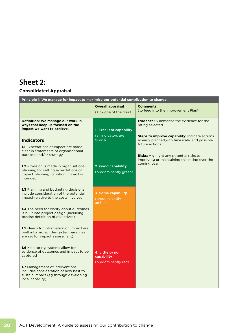## **Sheet 2:**

### **Consolidated Appraisal**

|                                                                                                                                                                                                                                                                                                          | Principle 1: We manage for impact to maximise our potential contribution to change |                                                                                                                                                                                          |  |  |  |  |  |  |  |
|----------------------------------------------------------------------------------------------------------------------------------------------------------------------------------------------------------------------------------------------------------------------------------------------------------|------------------------------------------------------------------------------------|------------------------------------------------------------------------------------------------------------------------------------------------------------------------------------------|--|--|--|--|--|--|--|
|                                                                                                                                                                                                                                                                                                          | <b>Overall appraisal</b><br>(Tick one of the four)                                 | <b>Comments</b><br>(to feed into the Improvement Plan)                                                                                                                                   |  |  |  |  |  |  |  |
| Definition: We manage our work in<br>ways that keep us focused on the<br>impact we want to achieve.<br><b>Indicators</b><br><b>1.1</b> Expectations of impact are made<br>clear in statements of organisational                                                                                          | 1. Excellent capability<br>(all indicators are<br>green)                           | <b>Evidence:</b> Summarise the evidence for the<br>rating selected.<br>Steps to improve capability: Indicate actions<br>already planned, with timescale, and possible<br>future actions. |  |  |  |  |  |  |  |
| purpose and/or strategy.<br>1.2 Provision is made in organisational<br>planning for setting expectations of<br>impact, showing for whom impact is<br>intended.                                                                                                                                           | 2. Good capability<br>(predominantly green)                                        | Risks: Highlight any potential risks to<br>improving or maintaining this rating over the<br>coming year.                                                                                 |  |  |  |  |  |  |  |
| 1.3 Planning and budgeting decisions<br>include consideration of the potential<br>impact relative to the costs involved.<br><b>1.4</b> The need for clarity about outcomes<br>is built into project design (including<br>precise definition of objectives).                                              | <b>3. Some capability</b><br>(predominantly<br>amber)                              |                                                                                                                                                                                          |  |  |  |  |  |  |  |
| 1.5 Needs for information on impact are<br>built into project design (eg baselines<br>are set for impact assessment).<br><b>1.6</b> Monitoring systems allow for<br>evidence of outcomes and impact to be<br>captured<br><b>1.7</b> Management of interventions<br>includes consideration of how best to | 4. Little or no<br>capability<br>(predominantly red)                               |                                                                                                                                                                                          |  |  |  |  |  |  |  |
| sustain impact (eg through developing<br>local capacity)                                                                                                                                                                                                                                                 |                                                                                    |                                                                                                                                                                                          |  |  |  |  |  |  |  |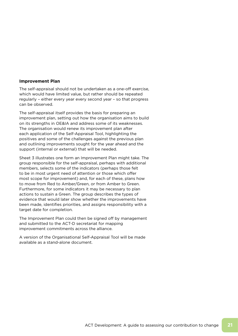#### **Improvement Plan**

The self-appraisal should not be undertaken as a one-off exercise, which would have limited value, but rather should be repeated regularly – either every year every second year – so that progress can be observed.

The self-appraisal itself provides the basis for preparing an improvement plan, setting out how the organisation aims to build on its strengths in OE&IA and address some of its weaknesses. The organisation would renew its improvement plan after each application of the Self-Appraisal Tool, highlighting the positives and some of the challenges against the previous plan and outlining improvements sought for the year ahead and the support (internal or external) that will be needed.

Sheet 3 illustrates one form an Improvement Plan might take. The group responsible for the self-appraisal, perhaps with additional members, selects some of the indicators (perhaps those felt to be in most urgent need of attention or those which offer most scope for improvement) and, for each of these, plans how to move from Red to Amber/Green, or from Amber to Green. Furthermore, for some indicators it may be necessary to plan actions to sustain a Green. The group describes the types of evidence that would later show whether the improvements have been made, identifies priorities, and assigns responsibility with a target date for completion.

The Improvement Plan could then be signed off by management and submitted to the ACT-D secretariat for mapping improvement commitments across the alliance.

A version of the Organisational Self-Appraisal Tool will be made available as a stand-alone document.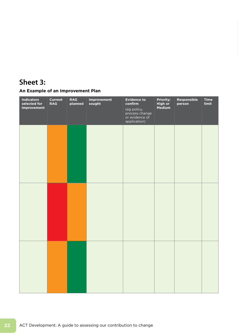## **Sheet 3:**

### **An Example of an Improvement Plan**

| <b>Indicators</b><br>selected for<br>improvement | <b>Current</b><br><b>RAG</b> | <b>RAG</b><br>planned | Improvement<br>sought | <b>Evidence to</b><br>confirm<br>(eg policy,<br>process change<br>or evidence of<br>application) | <b>Priority:</b><br>High or<br>Medium | Responsible<br>person | <b>Time</b><br>limit |
|--------------------------------------------------|------------------------------|-----------------------|-----------------------|--------------------------------------------------------------------------------------------------|---------------------------------------|-----------------------|----------------------|
|                                                  |                              |                       |                       |                                                                                                  |                                       |                       |                      |
|                                                  |                              |                       |                       |                                                                                                  |                                       |                       |                      |
|                                                  |                              |                       |                       |                                                                                                  |                                       |                       |                      |
|                                                  |                              |                       |                       |                                                                                                  |                                       |                       |                      |
|                                                  |                              |                       |                       |                                                                                                  |                                       |                       |                      |
|                                                  |                              |                       |                       |                                                                                                  |                                       |                       |                      |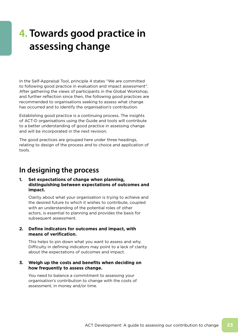# **4. Towards good practice in assessing change**

In the Self-Appraisal Tool, principle 4 states "We are committed to following good practice in evaluation and impact assessment". After gathering the views of participants in the Global Workshop, and further reflection since then, the following good practices are recommended to organisations seeking to assess what change has occurred and to identify the organisation's contribution.

Establishing good practice is a continuing process. The insights of ACT-D organisations using the Guide and tools will contribute to a better understanding of good practice in assessing change and will be incorporated in the next revision.

The good practices are grouped here under three headings, relating to design of the process and to choice and application of tools.

### **In designing the process**

#### **1. Set expectations of change when planning, distinguishing between expectations of outcomes and impact.**

 Clarity about what your organisation is trying to achieve and the desired future to which it wishes to contribute, coupled with an understanding of the potential roles of other actors, is essential to planning and provides the basis for subsequent assessment.

#### **2. Define indicators for outcomes and impact, with means of verification.**

 This helps to pin down what you want to assess and why. Difficulty in defining indicators may point to a lack of clarity about the expectations of outcomes and impact.

#### **3. Weigh up the costs and benefits when deciding on how frequently to assess change.**

 You need to balance a commitment to assessing your organisation's contribution to change with the costs of assessment, in money and/or time.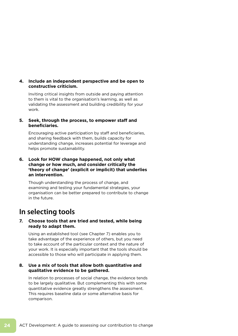#### **4. Include an independent perspective and be open to constructive criticism.**

 Inviting critical insights from outside and paying attention to them is vital to the organisation's learning, as well as validating the assessment and building credibility for your work.

#### **5. Seek, through the process, to empower staff and beneficiaries.**

 Encouraging active participation by staff and beneficiaries, and sharing feedback with them, builds capacity for understanding change, increases potential for leverage and helps promote sustainability.

#### **6. Look for HOW change happened, not only what change or how much, and consider critically the 'theory of change' (explicit or implicit) that underlies an intervention.**

 Though understanding the process of change, and examining and testing your fundamental strategies, your organisation can be better prepared to contribute to change in the future.

## **In selecting tools**

#### **7. Choose tools that are tried and tested, while being ready to adapt them.**

 Using an established tool (see Chapter 7) enables you to take advantage of the experience of others, but you need to take account of the particular context and the nature of your work. It is especially important that the tools should be accessible to those who will participate in applying them.

#### **8. Use a mix of tools that allow both quantitative and qualitative evidence to be gathered.**

 In relation to processes of social change, the evidence tends to be largely qualitative. But complementing this with some quantitative evidence greatly strengthens the assessment. This requires baseline data or some alternative basis for comparison.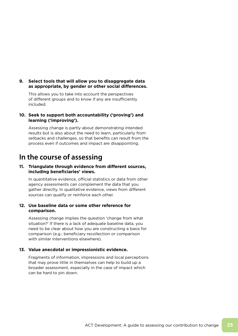#### **9. Select tools that will allow you to disaggregate data as appropriate, by gender or other social differences.**

 This allows you to take into account the perspectives of different groups and to know if any are insufficiently included.

#### **10. Seek to support both accountability ('proving') and learning ('improving').**

 Assessing change is partly about demonstrating intended results but is also about the need to learn, particularly from setbacks and challenges, so that benefits can result from the process even if outcomes and impact are disappointing.

### **In the course of assessing**

#### **11. Triangulate through evidence from different sources, including beneficiaries' views.**

 In quantitative evidence, official statistics or data from other agency assessments can complement the data that you gather directly. In qualitative evidence, views from different sources can qualify or reinforce each other.

#### **12. Use baseline data or some other reference for comparison.**

 Assessing change implies the question 'change from what situation?' If there is a lack of adequate baseline data, you need to be clear about how you are constructing a basis for comparison (e.g.: beneficiary recollection or comparison with similar interventions elsewhere).

#### **13. Value anecdotal or impressionistic evidence.**

 Fragments of information, impressions and local perceptions that may prove little in themselves can help to build up a broader assessment, especially in the case of impact which can be hard to pin down.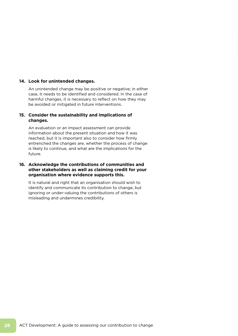#### **14. Look for unintended changes.**

 An unintended change may be positive or negative; in either case, it needs to be identified and considered. In the case of harmful changes, it is necessary to reflect on how they may be avoided or mitigated in future interventions.

#### **15. Consider the sustainability and implications of changes.**

 An evaluation or an impact assessment can provide information about the present situation and how it was reached, but it is important also to consider how firmly entrenched the changes are, whether the process of change is likely to continue, and what are the implications for the future.

#### **16. Acknowledge the contributions of communities and other stakeholders as well as claiming credit for your organisation where evidence supports this.**

 It is natural and right that an organisation should wish to identify and communicate its contribution to change, but ignoring or under-valuing the contributions of others is misleading and undermines credibility.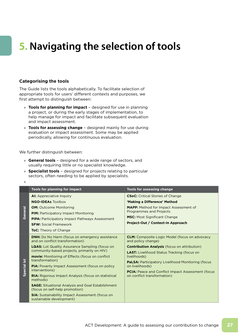# **5. Navigating the selection of tools**

#### **Categorising the tools**

The Guide lists the tools alphabetically. To facilitate selection of appropriate tools for users' different contexts and purposes, we first attempt to distinguish between:

- » **Tools for planning for impact**  designed for use in planning a project, or during the early stages of implementation, to help manage for impact and facilitate subsequent evaluation and impact assessment.
- » **Tools for assessing change**  designed mainly for use during evaluation or impact assessment. Some may be applied periodically, allowing for continuous evaluation.

We further distinguish between:

- » **General tools**  designed for a wide range of sectors, and usually requiring little or no specialist knowledge.
- » **Specialist tools**  designed for projects relating to particular sectors, often needing to be applied by specialists.

<sup>»</sup>

|                         | Tools for planning for impact                                                                        | <b>Tools for assessing change</b>                                                                                                 |  |  |  |  |
|-------------------------|------------------------------------------------------------------------------------------------------|-----------------------------------------------------------------------------------------------------------------------------------|--|--|--|--|
|                         | <b>AI:</b> Appreciative Inquiry                                                                      | <b>CSoC:</b> Critical Stories of Change                                                                                           |  |  |  |  |
|                         | <b>NGO-IDEAs Toolbox</b>                                                                             | 'Making a Difference' Method                                                                                                      |  |  |  |  |
|                         | <b>OM:</b> Outcome Monitoring                                                                        | <b>MAPP:</b> Method for Impact Assessment of                                                                                      |  |  |  |  |
| General                 | <b>PIM:</b> Participatory Impact Monitoring                                                          | <b>Programmes and Projects</b>                                                                                                    |  |  |  |  |
|                         | <b>PIPA:</b> Participatory Impact Pathways Assessment                                                | <b>MSC:</b> Most Significant Change                                                                                               |  |  |  |  |
|                         | <b>SFW: Social Framework</b>                                                                         | Project-Out / Context-In Approach                                                                                                 |  |  |  |  |
|                         | <b>ToC:</b> Theory of Change                                                                         |                                                                                                                                   |  |  |  |  |
|                         | <b>DNH:</b> Do No Harm (focus on emergency assistance<br>and on conflict transformation)             | <b>CLM:</b> Composite Logic Model (focus on advocacy<br>and policy change)<br><b>Contribution Analysis (focus on attribution)</b> |  |  |  |  |
|                         | <b>LQAS:</b> Lot Quality Assurance Sampling (focus on<br>community-based projects, primarily on HIV) |                                                                                                                                   |  |  |  |  |
|                         | <b>movie:</b> Monitoring of Effects (focus on conflict                                               | <b>LAST:</b> Livelihood Status Tracking (focus on<br>livelihoods)                                                                 |  |  |  |  |
| $\overline{\mathbf{5}}$ | transformation)                                                                                      | <b>PaLSA: Participatory Livelihood Monitoring (focus)</b>                                                                         |  |  |  |  |
|                         | PIA: Poverty Impact Assessment (focus on policy                                                      | on livelihoods)                                                                                                                   |  |  |  |  |
| Special                 | interventions)                                                                                       | <b>PCIA:</b> Peace and Conflict Impact Assessment (focus                                                                          |  |  |  |  |
|                         | <b>RIA:</b> Rigorous Impact Analysis (focus on statistical<br>methods)                               | on conflict transformation)                                                                                                       |  |  |  |  |
|                         | <b>SAGE:</b> Situational Analysis and Goal Establishment<br>(focus on self-help promotion)           |                                                                                                                                   |  |  |  |  |
|                         | <b>SIA:</b> Sustainability Impact Assessment (focus on<br>sustainable development)                   |                                                                                                                                   |  |  |  |  |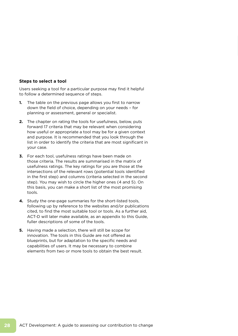#### **Steps to select a tool**

Users seeking a tool for a particular purpose may find it helpful to follow a determined sequence of steps.

- **1.** The table on the previous page allows you first to narrow down the field of choice, depending on your needs – for planning or assessment, general or specialist.
- **2.** The chapter on rating the tools for usefulness, below, puts forward 17 criteria that may be relevant when considering how useful or appropriate a tool may be for a given context and purpose. It is recommended that you look through the list in order to identify the criteria that are most significant in your case.
- **3.** For each tool, usefulness ratings have been made on those criteria. The results are summarised in the matrix of usefulness ratings. The key ratings for you are those at the intersections of the relevant rows (potential tools identified in the first step) and columns (criteria selected in the second step). You may wish to circle the higher ones (4 and 5). On this basis, you can make a short list of the most promising tools.
- **4.** Study the one-page summaries for the short-listed tools, following up by reference to the websites and/or publications cited, to find the most suitable tool or tools. As a further aid, ACT-D will later make available, as an appendix to this Guide, fuller descriptions of some of the tools.
- **5.** Having made a selection, there will still be scope for innovation. The tools in this Guide are not offered as blueprints, but for adaptation to the specific needs and capabilities of users. It may be necessary to combine elements from two or more tools to obtain the best result.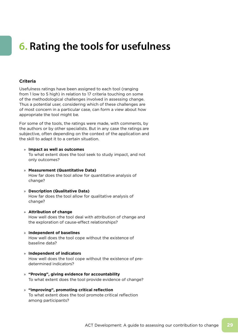# **6. Rating the tools for usefulness**

#### **Criteria**

Usefulness ratings have been assigned to each tool (ranging from 1 low to 5 high) in relation to 17 criteria touching on some of the methodological challenges involved in assessing change. Thus a potential user, considering which of these challenges are of most concern in a particular case, can form a view about how appropriate the tool might be.

For some of the tools, the ratings were made, with comments, by the authors or by other specialists. But in any case the ratings are subjective, often depending on the context of the application and the skill to adapt it to a certain situation.

» **Impact as well as outcomes**

 To what extent does the tool seek to study impact, and not only outcomes?

- » **Measurement (Quantitative Data)** How far does the tool allow for quantitative analysis of change?
- » **Description (Qualitative Data)** How far does the tool allow for qualitative analysis of change?
- » **Attribution of change** How well does the tool deal with attribution of change and the exploration of cause-effect relationships?
- » **Independent of baselines** How well does the tool cope without the existence of baseline data?
- » **Independent of indicators** How well does the tool cope without the existence of predetermined indicators?
- » **"Proving", giving evidence for accountability** To what extent does the tool provide evidence of change?
- » **"Improving", promoting critical reflection** To what extent does the tool promote critical reflection among participants?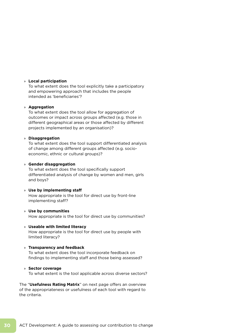#### » **Local participation**

 To what extent does the tool explicitly take a participatory and empowering approach that includes the people intended as 'beneficiaries'?

#### » **Aggregation**

 To what extent does the tool allow for aggregation of outcomes or impact across groups affected (e.g. those in different geographical areas or those affected by different projects implemented by an organisation)?

#### » **Disaggregation**

 To what extent does the tool support differentiated analysis of change among different groups affected (e.g. socioeconomic, ethnic or cultural groups)?

#### » **Gender disaggregation**

 To what extent does the tool specifically support differentiated analysis of change by women and men, girls and boys?

#### » **Use by implementing staff**

 How appropriate is the tool for direct use by front-line implementing staff?

#### » **Use by communities**

How appropriate is the tool for direct use by communities?

#### » **Useable with limited literacy**

 How appropriate is the tool for direct use by people with limited literacy?

#### » **Transparency and feedback**

 To what extent does the tool incorporate feedback on findings to implementing staff and those being assessed?

#### » **Sector coverage**

To what extent is the tool applicable across diverse sectors?

The "**Usefulness Rating Matrix**" on next page offers an overview of the appropriateness or usefulness of each tool with regard to the criteria.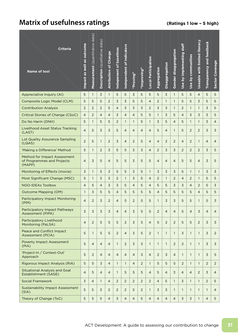## **Matrix of usefulness ratings** *CRA* **(Ratings 1 low - 5 high)**

| <b>Criteria</b><br><b>Name of tool</b>                               | Impact as well as outcome | Measurement (quantitative data) | Description (qualitative data) | <b>Attribution of Change</b> | Indepenent of baselines | Independent of indicators | "Proving"      | "Improving"    | Local Participation | Aggregation    | Disaggregation | Gender disaggregation | Use by implementing staff | Use by communities | Useable with limited literacy | Transparency and feedback | <b>Sector Coverage</b> |
|----------------------------------------------------------------------|---------------------------|---------------------------------|--------------------------------|------------------------------|-------------------------|---------------------------|----------------|----------------|---------------------|----------------|----------------|-----------------------|---------------------------|--------------------|-------------------------------|---------------------------|------------------------|
| Appreciative Inquiry (AI)                                            | 5                         | $\mathbf{1}$                    | 3                              | $\mathbf{1}$                 | 5                       | 5                         | 3              | 5              | 5                   | 5              | 3              | $\mathbf{1}$          | 5                         | 5                  | $\overline{4}$                | 5                         | 5                      |
| Composite Logic Model (CLM)                                          | 5                         | 5                               | 5                              | 2                            | 3                       | 3                         | 5              | 5              | $\overline{4}$      | 2              | $\mathbf{1}$   | $\mathbf{1}$          | 5                         | 5                  | 3                             | 5                         | 5                      |
| <b>Contribution Analysis</b>                                         | 2                         | $\overline{2}$                  | $\overline{2}$                 | 5                            | $\overline{4}$          | 3                         | 3              | 3              | 2                   | 3              | 3              | $\mathbf{1}$          | $\overline{2}$            | $\mathbf{1}$       | $\mathbf{1}$                  | 3                         | 5                      |
| Critical Stories of Change (CSoC)                                    | $\overline{4}$            | $\overline{2}$                  | 4                              | $\overline{4}$               | 3                       | $\overline{4}$            | 4              | 5              | 5                   | $\mathbf{1}$   | 3              | 5                     | 4                         | 3                  | 3                             | 3                         | 5                      |
| Do No Harm (DNH)                                                     | 5                         | $\mathbf{1}$                    | 5                              | 5                            | $\overline{2}$          | $\mathbf{1}$              | $\mathbf{1}$   | 5              | $\mathbf{1}$        | 3              | 5              | $\overline{4}$        | 5                         | $\mathbf{1}$       | $\mathbf{1}$                  | 3                         | $\overline{4}$         |
| <b>Livelihood Asset Status Tracking</b><br>(LAST)                    | $\overline{4}$            | 5                               | 3                              | 3                            | 5                       | $\overline{4}$            | $\overline{4}$ | $\overline{4}$ | $\overline{4}$      | 5              | $\overline{4}$ | $\mathbf{1}$          | 5                         | $\overline{2}$     | 2                             | 3                         | 3                      |
| Lot Quality Assurance Sampling<br>(LQAS)                             | $\overline{c}$            | 5                               | $\mathbf{1}$                   | 2                            | 3                       | $\overline{4}$            | $\overline{2}$ | 5              | $\overline{4}$      | $\overline{4}$ | $\overline{2}$ | $\overline{2}$        | 4                         | $\overline{2}$     | $\mathbf{1}$                  | $\overline{4}$            | $\overline{4}$         |
| 'Making a Difference' Method                                         | 5                         | $\mathbf{1}$                    | 2                              | 3                            | 5                       | 5                         | 3              | 3              | $\overline{4}$      | 2              | 3              | 3                     | $\overline{2}$            | $\overline{2}$     | 2                             | 3                         | 5                      |
| Method for Impact Assessment<br>of Programmes and Projects<br>(MAPP) | $\overline{4}$            | 3                               | 5                              | $\overline{4}$               | 5                       | 5                         | 3              | 5              | 5                   | $\overline{4}$ | $\overline{4}$ | $\overline{4}$        | 5                         | 5                  | $\overline{4}$                | 3                         | 5                      |
| Monitoring of Effects (movie)                                        | 3                         | $\mathbf{1}$                    | 5                              | $\overline{3}$               | 5                       | 5                         | 3              | 5              | $\mathbf{1}$        | 3              | 3              | 3                     | 5                         | $\mathbf{1}$       | $\mathbf{1}$                  | 3                         | $\overline{3}$         |
| Most Significant Change (MSC)                                        | 5                         | 1                               | 5                              | 3                            | 2                       | $\mathbf{1}$              | 3              | 5              | $\overline{4}$      | $\overline{2}$ | $\mathbf{1}$   | $\overline{2}$        | 4                         | 2                  | $\mathbf{1}$                  | 5                         | 5                      |
| <b>NGO-IDEAs Toolbox</b>                                             | 4                         | 5                               | $\overline{4}$                 | 3                            | 3                       | 5                         | 4              | 5              | $\overline{4}$      | 5              | 5              | 3                     | 3                         | $\overline{4}$     | $\overline{2}$                | 5                         | $\overline{3}$         |
| <b>Outcome Mapping (OM)</b>                                          | $\mathbf{1}$              | 3                               | 5                              | 5                            | $\overline{4}$          | 5                         | 5              | 5              | 5                   | $\overline{4}$ | 5              | 5                     | 5                         | 5                  | $\overline{4}$                | 5                         | 5                      |
| <b>Participatory Impact Monitoring</b><br>(PIM)                      | $\overline{4}$            | $\overline{2}$                  | 3                              | 2                            | $\overline{4}$          | 5                         | $\overline{2}$ | 5              | 5                   | 1              | 3              | 3                     | 5                         | 5                  | $\mathbf{1}$                  | 5                         | 3                      |
| <b>Participatory Impact Pathways</b><br>Assessment (PIPA)            | 3                         | 3                               | 3                              | 3                            | $\overline{4}$          | $\overline{4}$            | 3              | 5              | 5                   | $\overline{c}$ | 4              | 4                     | 5                         | $\overline{4}$     | 3                             | 4                         | 4                      |
| Participatory Livelihood<br>Monitoring (PaLSA)                       | $\overline{4}$            | $\overline{2}$                  | 5                              | 5                            | 5                       | $\overline{2}$            | 3              | 5              | $\overline{4}$      | 5              | 2              | $\overline{2}$        | 5                         | 5                  | 2                             | $\overline{3}$            | $\overline{3}$         |
| Peace and Conflict Impact<br>Assessment (PCIA)                       | 5                         | $\mathbf{1}$                    | 5                              | 5                            | $\overline{2}$          | $\overline{4}$            | $\overline{3}$ | 5              | 2                   | $\mathbf{1}$   | $\mathbf{1}$   | $\mathbf{1}$          | 3                         | $\mathbf{1}$       | $\mathbf{1}$                  | $\overline{3}$            | $\overline{2}$         |
| <b>Poverty Impact Assessment</b><br>(PIA)                            | 5                         | $\overline{4}$                  | $\overline{4}$                 | $\overline{4}$               | $\mathbf{1}$            | 2                         | $\overline{3}$ | 3              | $\mathbf{1}$        | $\mathbf{1}$   | $\mathbf{1}$   | 2                     | $\overline{2}$            | $\mathbf{1}$       | $\mathbf{1}$                  | $\overline{3}$            | $\overline{3}$         |
| 'Project-In / Context-Out'<br>Approach                               | 5                         | $\overline{2}$                  | $\overline{4}$                 | $\overline{4}$               | $\overline{4}$          | $\overline{4}$            | $\overline{4}$ | 3              | $\overline{4}$      | $\overline{2}$ | $\mathsf 3$    | $\overline{4}$        | $\mathbf{1}$              | $\mathbf{1}$       | $\mathbf{1}$                  | $\overline{3}$            | 5                      |
| Rigorous Impact Analysis (RIA)                                       | 5                         | 5                               | 3                              | $\overline{4}$               | $\mathbf{1}$            | $\mathbf{1}$              | $\overline{4}$ | $\overline{2}$ | $\mathbf{1}$        | 5              | 5              | 5                     | $\overline{2}$            | $\mathbf{1}$       | $\mathbf{1}$                  | $\overline{2}$            | $\overline{2}$         |
| <b>Situational Analysis and Goal</b><br>Establishment (SAGE)         | $\overline{4}$            | 5                               | $\overline{4}$                 | $\overline{4}$               | $\mathbf{1}$            | 5                         | 5              | 5              | $\overline{4}$      | 5              | $\overline{4}$ | 3                     | 4                         | $\overline{4}$     | 2                             | 3                         | 4                      |
| <b>Social Framework</b>                                              | 3                         | $\overline{4}$                  | $\mathbf{1}$                   | $\overline{4}$               | $\overline{2}$          | $\overline{2}$            | $\overline{2}$ | 2              | 2                   | $\overline{4}$ | 5              | $\mathbf{1}$          | 3                         | $\mathbf{1}$       | $\mathbf{1}$                  | $\overline{2}$            | 5                      |
| <b>Sustainability Impact Assessment</b><br>(SIA)                     | 5                         | 5                               | 3                              | 2                            | 2                       | 2                         | 5              | 2              | $\mathbf{1}$        | $\overline{3}$ | 3              | $\mathbf{1}$          | 1                         | $\mathbf{1}$       | 1                             | $\mathbf{1}$              | 4                      |
| Theory of Change (ToC)                                               | 5                         | 5                               | 5                              | $\overline{4}$               | 3                       | $\overline{4}$            | $\overline{4}$ | 5              | $\overline{4}$      | $\overline{4}$ | $\overline{4}$ | $\overline{4}$        | 3                         | $\overline{3}$     | $\mathbf{1}$                  | $\overline{4}$            | 5                      |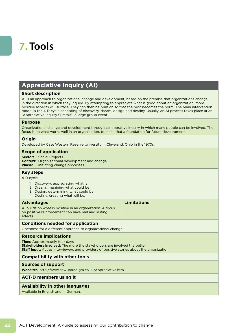# **7. Tools**

### **Appreciative Inquiry (AI)**

#### **Short description**

AI is an approach to organizational change and development, based on the premise that organizations change in the direction in which they inquire. By attempting to appreciate what is good about an organization, more positive aspects will surface. They can then be built on so that the best becomes the norm. The main intervention model is the 4-D cycle consisting of discovery, dream, design and destiny. Usually, an AI process takes place at an "Appreciative Inquiry Summit", a large group event.

#### **Purpose**

Organizational change and development through collaborative inquiry in which many people can be involved. The focus is on what works well in an organization, to make that a foundation for future development.

#### **Origin**

Developed by Case Western Reserve University in Cleveland, Ohio in the 1970s.

#### **Scope of application**

**Sector:** Social Projects **Context:** Organizational development and change **Phase:** Initiating change processes.

#### **Key steps**

4-D cycle:

- 1. Discovery: appreciating what is
- 2. Dream: imagining what could be
- 3. Design: determining what could be
- 4. Destiny: creating what will be.

#### **Advantages**

AI builds on what is positive in an organization. A focus on positive reinforcement can have real and lasting effects.

**Limitations**

#### **Conditions needed for application**

Openness for a different approach to organizational change.

#### **Resource implications**

**Time:** Approximately four days **Stakeholders involved:** The more the stakeholders are involved the better **Staff input:** Act as interviewers and providers of positive stories about the organization.

#### **Compatibility with other tools**

#### **Sources of support**

**Websites:** http://www.new-paradigm.co.uk/Appreciative.htm

#### **ACT-D members using it**

#### **Availability in other languages**

Available in English and in German.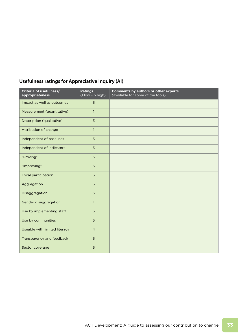| <b>Usefulness ratings for Appreciative Inquiry (AI)</b> |  |  |
|---------------------------------------------------------|--|--|
|---------------------------------------------------------|--|--|

| Criteria of usefulness/<br>appropriateness | <b>Ratings</b><br>$(1$ low $-5$ high) | Comments by authors or other experts<br>(available for some of the tools) |
|--------------------------------------------|---------------------------------------|---------------------------------------------------------------------------|
| Impact as well as outcomes                 | 5                                     |                                                                           |
| Measurement (quantitative)                 | $\mathbf{1}$                          |                                                                           |
| Description (qualitative)                  | $\overline{3}$                        |                                                                           |
| Attribution of change                      | $\mathbf{1}$                          |                                                                           |
| Independent of baselines                   | 5                                     |                                                                           |
| Independent of indicators                  | 5                                     |                                                                           |
| "Proving"                                  | $\overline{3}$                        |                                                                           |
| "Improving"                                | 5                                     |                                                                           |
| Local participation                        | 5                                     |                                                                           |
| Aggregation                                | 5                                     |                                                                           |
| Disaggregation                             | $\overline{3}$                        |                                                                           |
| Gender disaggregation                      | $\mathbf{1}$                          |                                                                           |
| Use by implementing staff                  | 5                                     |                                                                           |
| Use by communities                         | 5                                     |                                                                           |
| Useable with limited literacy              | $\overline{4}$                        |                                                                           |
| Transparency and feedback                  | 5                                     |                                                                           |
| Sector coverage                            | 5                                     |                                                                           |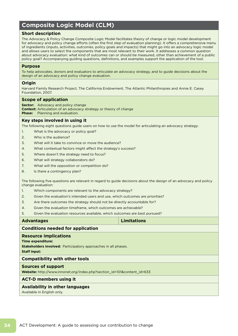### **Composite Logic Model (CLM)**

#### **Short description**

The Advocacy & Policy Change Composite Logic Model facilitates theory of change or logic model development for advocacy and policy change efforts (often the first step of evaluation planning). It offers a comprehensive menu of ingredients (inputs, activities, outcomes, policy goals and impacts) that might go into an advocacy logic model and allows users to select the components that are most relevant to their work. It addresses a common question about advocacy evaluation: what kind of outcomes can or should be measured, other than achievement of a public policy goal? Accompanying guiding questions, definitions, and examples support the application of the tool.

#### **Purpose**

To help advocates, donors and evaluators to articulate an advocacy strategy, and to guide decisions about the design of an advocacy and policy change evaluation.

#### **Origin**

Harvard Family Research Project, The California Endowment, The Atlantic Philanthropies and Annie E. Casey Foundation, 2007.

#### **Scope of application**

**Sector:** Advocacy and policy change **Context:** Articulation of an advocacy strategy or theory of change **Phase:** Planning and evaluation.

#### **Key steps involved in using it**

The following eight questions guide users on how to use the model for articulating an advocacy strategy:

- 1. What is the advocacy or policy goal?
- 2. Who is the audience?
- 3. What will it take to convince or move the audience?
- 4. What contextual factors might affect the strategy's success?
- 5. Where doesn't the strategy need to focus?
- 6. What will strategy collaborators do?
- 7. What will the opposition or competition do?
- 8. Is there a contingency plan?

The following five questions are relevant in regard to guide decisions about the design of an advocacy and policy change evaluation:

- 1. Which components are relevant to the advocacy strategy?
- 2. Given the evaluation's intended users and use, which outcomes are priorities?
- 3. Are there outcomes the strategy should not be directly accountable for?
- 4. Given the evaluation timeframe, which outcomes are achievable?
- 5. Given the evaluation resources available, which outcomes are best pursued?

### **Advantages Limitations Conditions needed for application Resource implications Time expenditure: Stakeholders involved:** Participatory approaches in all phases. **Staff input: Compatibility with other tools Sources of support Website:** http://www.innonet.org/index.php?section\_id=101&content\_id=633 **ACT-D members using it Availability in other languages** Available in English only.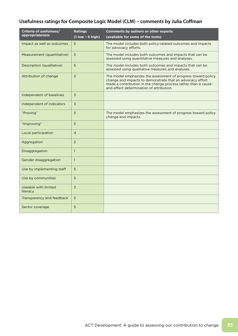### **Usefulness ratings for Composite Logic Model (CLM) – comments by Julia Coffman**

| Criteria of usefulness/          | <b>Ratings</b>     | <b>Comments by authors or other experts</b>                                                                                                                                                                                              |
|----------------------------------|--------------------|------------------------------------------------------------------------------------------------------------------------------------------------------------------------------------------------------------------------------------------|
| appropriateness                  | $(1$ low - 5 high) | (available for some of the tools)                                                                                                                                                                                                        |
| Impact as well as outcomes       | 5                  | The model includes both policy-related outcomes and impacts<br>for advocacy efforts.                                                                                                                                                     |
| Measurement (quantitative)       | 5                  | The model includes both outcomes and impacts that can be<br>assessed using quantitative measures and analyses.                                                                                                                           |
| Description (qualitative)        | 5                  | The model includes both outcomes and impacts that can be<br>assessed using qualitative measures and analyses.                                                                                                                            |
| Attribution of change            | $\overline{2}$     | The model emphasizes the assessment of progress toward policy<br>change and impacts to demonstrate that an advocacy effort<br>made a contribution in the change process rather than a cause-<br>and-effect determination of attribution. |
| Independent of baselines         | $\overline{3}$     |                                                                                                                                                                                                                                          |
| Independent of indicators        | 3                  |                                                                                                                                                                                                                                          |
| "Proving"                        | 5                  | The model emphasizes the assessment of progress toward policy<br>change and impacts.                                                                                                                                                     |
| "Improving"                      | 5                  |                                                                                                                                                                                                                                          |
| Local participation              | $\overline{4}$     |                                                                                                                                                                                                                                          |
| Aggregation                      | $\overline{2}$     |                                                                                                                                                                                                                                          |
| Disaggregation                   | $\overline{1}$     |                                                                                                                                                                                                                                          |
| Gender disaggregation            | $\mathbf{1}$       |                                                                                                                                                                                                                                          |
| Use by implementing staff        | 5                  |                                                                                                                                                                                                                                          |
| Use by communities               | 5                  |                                                                                                                                                                                                                                          |
| Useable with limited<br>literacy | 3                  |                                                                                                                                                                                                                                          |
| Transparency and feedback        | 5                  |                                                                                                                                                                                                                                          |
| Sector coverage                  | 5                  |                                                                                                                                                                                                                                          |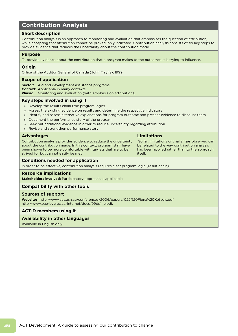### **Contribution Analysis**

#### **Short description**

Contribution analysis is an approach to monitoring and evaluation that emphasises the question of attribution, while accepting that attribution cannot be proved, only indicated. Contribution analysis consists of six key steps to provide evidence that reduces the uncertainty about the contribution made.

#### **Purpose**

To provide evidence about the contribution that a program makes to the outcomes it is trying to influence.

#### **Origin**

Office of the Auditor General of Canada (John Mayne), 1999.

#### **Scope of application**

**Sector:** Aid and development assistance programs **Context:** Applicable in many contexts **Phase:** Monitoring and evaluation (with emphasis on attribution).

#### **Key steps involved in using it**

- » Develop the results chain (the program logic)
- » Assess the existing evidence on results and determine the respective indicators
- » Identify and assess alternative explanations for program outcome and present evidence to discount them
- » Document the performance story of the program
- » Seek out additional evidence in order to reduce uncertainty regarding attribution
- » Revise and strengthen performance story

#### **Advantages**

Contribution analysis provides evidence to reduce the uncertainty about the contribution made. In this context, program staff have been shown to be more comfortable with targets that are to be strived for but cannot easily be met.

#### **Limitations**

 So far, limitations or challenges observed can be related to the way contribution analysis has been applied rather than to the approach itself.

#### **Conditions needed for application**

In order to be effective, contribution analysis requires clear program logic (result chain).

#### **Resource implications**

**Stakeholders involved:** Participatory approaches applicable.

#### **Compatibility with other tools**

#### **Sources of support**

**Websites:** http://www.aes.asn.au/conferences/2006/papers/022%20Fiona%20Kotvojs.pdf http://www.oag-bvg.gc.ca/internet/docs/99dp1\_e.pdf.

#### **ACT-D members using it**

#### **Availability in other languages**

Available in English only.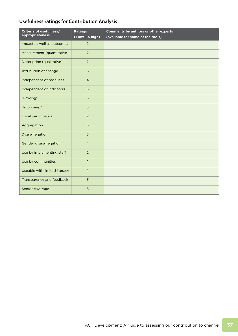# **Usefulness ratings for Contribution Analysis**

| Criteria of usefulness/<br>appropriateness | <b>Ratings</b><br>$(1$ low - 5 high) | <b>Comments by authors or other experts</b><br>(available for some of the tools) |
|--------------------------------------------|--------------------------------------|----------------------------------------------------------------------------------|
| Impact as well as outcomes                 | $\overline{2}$                       |                                                                                  |
| Measurement (quantitative)                 | $\overline{2}$                       |                                                                                  |
| Description (qualitative)                  | $\overline{2}$                       |                                                                                  |
| Attribution of change                      | 5                                    |                                                                                  |
| Independent of baselines                   | $\overline{4}$                       |                                                                                  |
| Independent of indicators                  | $\overline{3}$                       |                                                                                  |
| "Proving"                                  | $\overline{3}$                       |                                                                                  |
| "Improving"                                | $\overline{3}$                       |                                                                                  |
| Local participation                        | $\overline{2}$                       |                                                                                  |
| Aggregation                                | $\overline{3}$                       |                                                                                  |
| Disaggregation                             | $\overline{3}$                       |                                                                                  |
| Gender disaggregation                      | $\overline{1}$                       |                                                                                  |
| Use by implementing staff                  | $\overline{2}$                       |                                                                                  |
| Use by communities                         | $\mathbf{1}$                         |                                                                                  |
| Useable with limited literacy              | $\mathbf{1}$                         |                                                                                  |
| Transparency and feedback                  | $\overline{3}$                       |                                                                                  |
| Sector coverage                            | 5                                    |                                                                                  |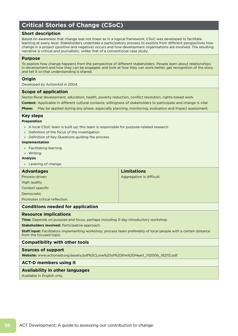# **Critical Stories of Change (CSoC)**

### **Short description**

Based on awareness that change was not linear as in a logical framework, CSoC was developed to facilitate learning at every level. Stakeholders undertake a participatory process to explore from different perspectives how change in a project (positive and negative) occurs and how development organisations are involved. The resulting narrative is critical and journalistic, unlike that of a conventional case study.

#### **Purpose**

To explore how change happens from the perspective of different stakeholders. People learn about relationships in development and how they can be engaged, and look at how they can work better, get recognition of the story, and tell it so that understanding is shared.

### **Origin**

Developed by ActionAid in 2004.

#### **Scope of application**

Sector:Rural development, education, health, poverty reduction, conflict resolution, rights-based work

**Context:** Applicable in different cultural contexts; willingness of stakeholders to participate and change is vital

**Phase:** May be applied during any phase, especially planning, monitoring, evaluation and impact assessment.

#### **Key steps**

**Preparation**

- » A local CSoC team is built up; this team is responsible for purpose-related research
- » Definition of the focus of the investigation
- » Definition of Key Questions guiding the process.

#### **Implementation**

- » Facilitating learning
- » Writing.

#### **Analysis**

» Levering of change.

# **Advantages** Process-driven **High quality** Context specific Democratic Promotes critical reflection. **Limitations** Aggregation is difficult.

# **Conditions needed for application**

#### **Resource implications**

**Time:** Depends on purpose and focus, perhaps including 3-day introductory workshop

**Stakeholders involved: Participative approach** 

**Staff input:** Facilitators implementing workshop; process team preferably of local people with a certain distance from the focused topic.

# **Compatibility with other tools**

#### **Sources of support**

**Website:** www.actionaid.org/assets/pdf%5CLove%20of%20the%20Heart\_1112006\_162112.pdf

# **ACT-D members using it**

#### **Availability in other languages**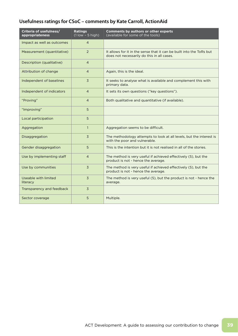# **Usefulness ratings for CSoC – comments by Kate Carroll, ActionAid**

| Criteria of usefulness/<br>appropriateness | <b>Ratings</b><br>$(1$ low $-5$ high) | <b>Comments by authors or other experts</b><br>(available for some of the tools)                                   |
|--------------------------------------------|---------------------------------------|--------------------------------------------------------------------------------------------------------------------|
| Impact as well as outcomes                 | 4                                     |                                                                                                                    |
| Measurement (quantitative)                 | $\overline{2}$                        | It allows for it in the sense that it can be built into the ToRs but<br>does not necessarily do this in all cases. |
| Description (qualitative)                  | $\overline{4}$                        |                                                                                                                    |
| Attribution of change                      | $\overline{4}$                        | Again, this is the ideal.                                                                                          |
| Independent of baselines                   | 3                                     | It seeks to analyse what is available and complement this with<br>primary data.                                    |
| Independent of indicators                  | $\overline{4}$                        | It sets its own questions ("key questions").                                                                       |
| "Proving"                                  | $\overline{4}$                        | Both qualitative and quantitative (if available).                                                                  |
| "Improving"                                | 5                                     |                                                                                                                    |
| Local participation                        | 5                                     |                                                                                                                    |
| Aggregation                                | $\mathbf{1}$                          | Aggregation seems to be difficult.                                                                                 |
| Disaggregation                             | 3                                     | The methodology attempts to look at all levels, but the interest is<br>with the poor and vulnerable.               |
| Gender disaggregation                      | 5                                     | This is the intention but it is not realised in all of the stories.                                                |
| Use by implementing staff                  | $\overline{4}$                        | The method is very useful if achieved effectively (5), but the<br>product is not - hence the average.              |
| Use by communities                         | 3                                     | The method is very useful if achieved effectively (5), but the<br>product is not - hence the average.              |
| Useable with limited<br>literacy           | 3                                     | The method is very useful (5), but the product is not - hence the<br>average.                                      |
| Transparency and feedback                  | 3                                     |                                                                                                                    |
| Sector coverage                            | 5                                     | Multiple.                                                                                                          |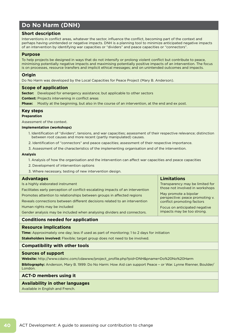# **Do No Harm (DNH)**

### **Short description**

Interventions in conflict areas, whatever the sector, influence the conflict, becoming part of the context and perhaps having unintended or negative impacts. DNH is a planning tool to minimize anticipated negative impacts of an intervention by identifying war capacities or "dividers" and peace capacities or "connectors".

#### **Purpose**

To help projects be designed in ways that do not intensify or prolong violent conflict but contribute to peace, minimising potentially negative impacts and maximising potentially positive impacts of an intervention. The focus is on processes, resource transfers and implicit ethical messages; and on unintended outcomes and impacts.

#### **Origin**

Do No Harm was developed by the Local Capacities for Peace Project (Mary B. Anderson).

### **Scope of application**

**Sector:** Developed for emergency assistance; but applicable to other sectors

**Context:** Projects intervening in conflict areas

**Phase:** Mostly at the beginning, but also in the course of an intervention, at the end and ex post.

# **Key steps**

### **Preparation**

Assessment of the context.

#### **Implementation (workshops)**

- 1. Identification of "dividers", tensions, and war capacities; assessment of their respective relevance; distinction between root causes and more recent (partly manipulated) causes.
- 2. Identification of "connectors" and peace capacities; assessment of their respective importance.
- 3. Assessment of the characteristics of the implementing organisation and of the intervention.

#### **Analysis**

1. Analysis of how the organisation and the intervention can affect war capacities and peace capacities

- 2. Development of intervention options
- 3. Where necessary, testing of new intervention design.

#### **Advantages**

Is a highly elaborated instrument

Facilitates early perception of conflict-escalating impacts of an intervention Promotes attention to relationships between groups in affected regions

Reveals connections between different decisions related to an intervention Human rights may be included

Gender analysis may be included when analysing dividers and connectors.

# **Limitations**

Transparency may be limited for those not involved in workshops

May promote a bipolar perspective: peace promoting v. conflict promoting factors

Focus on anticipated negative impacts may be too strong.

# **Conditions needed for application**

#### **Resource implications**

**Time:** Approximately one day; less if used as part of monitoring; 1 to 2 days for initiation **Stakeholders involved:** Flexible; target group does not need to be involved.

#### **Compatibility with other tools**

#### **Sources of support**

**Website:** http://www.cdainc.com/cdawww/project\_profile.php?pid=DNH&pname=Do%20No%20Harm **Bibliography:** Anderson, Mary B. 1999: Do No Harm: How Aid can support Peace – or War. Lynne Rienner, Boulder/ London.

### **ACT-D members using it**

#### **Availability in other languages**

Available in English and French.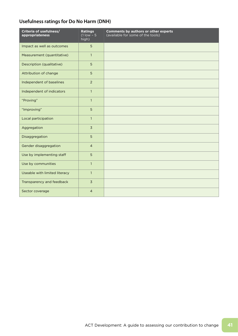# **Usefulness ratings for Do No Harm (DNH)**

| Criteria of usefulness/<br>appropriateness | <b>Ratings</b><br>$(1$ low - 5<br>high) | <b>Comments by authors or other experts</b><br>(available for some of the tools) |
|--------------------------------------------|-----------------------------------------|----------------------------------------------------------------------------------|
| Impact as well as outcomes                 | 5                                       |                                                                                  |
| Measurement (quantitative)                 | $\mathbf{1}$                            |                                                                                  |
| Description (qualitative)                  | 5                                       |                                                                                  |
| Attribution of change                      | 5                                       |                                                                                  |
| Independent of baselines                   | $\overline{2}$                          |                                                                                  |
| Independent of indicators                  | $\mathbf{1}$                            |                                                                                  |
| "Proving"                                  | $\mathbf{1}$                            |                                                                                  |
| "Improving"                                | 5                                       |                                                                                  |
| Local participation                        | $\mathbf{1}$                            |                                                                                  |
| Aggregation                                | $\overline{3}$                          |                                                                                  |
| Disaggregation                             | 5                                       |                                                                                  |
| Gender disaggregation                      | $\overline{4}$                          |                                                                                  |
| Use by implementing staff                  | 5                                       |                                                                                  |
| Use by communities                         | $\mathbf{1}$                            |                                                                                  |
| Useable with limited literacy              | $\mathbf{1}$                            |                                                                                  |
| Transparency and feedback                  | $\overline{3}$                          |                                                                                  |
| Sector coverage                            | $\overline{4}$                          |                                                                                  |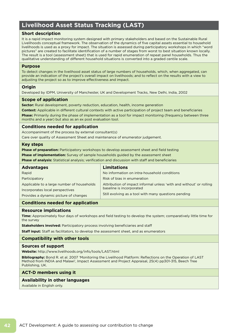# **Livelihood Asset Status Tracking (LAST)**

# **Short description**

It is a rapid impact monitoring system designed with primary stakeholders and based on the Sustainable Rural Livelihoods conceptual framework. The observation of the dynamics of five capital assets essential to household livelihoods is used as a proxy for impact. The situation is assessed during participatory workshops in which "word pictures" are created to facilitate identification of a number of stages from worst to best situation known locally. The result is a tool (assessment sheet) that is used for rapid enumeration of repeat panel households. Thus the qualitative understanding of different household situations is converted into a graded centile scale.

# **Purpose**

To detect changes in the livelihood asset status of large numbers of households, which, when aggregated, can provide an indication of the project's overall impact on livelihoods; and to reflect on the results with a view to adjusting the project so as to improve effectiveness and impact.

# **Origin**

Developed by IDPM, University of Manchester, UK and Development Tracks, New Delhi, India, 2002

# **Scope of application**

**Sector:** Rural development, poverty reduction, education, health, income generation

**Context:** Applicable in different cultural contexts with active participation of project team and beneficiaries **Phase:** Primarily during the phase of implementation as a tool for impact monitoring (frequency between three months and a year) but also as an ex post evaluation tool.

### **Conditions needed for application**

Accompaniment of the process by external consultant(s) Care over quality of Assessment Sheet and maintenance of enumerator judgement.

#### **Key steps**

**Phase of preparation:** Participatory workshops to develop assessment sheet and field testing **Phase of implementation:** Survey of sample households guided by the assessment sheet **Phase of analysis:** Statistical analysis; verification and discussion with staff and beneficiaries

| <b>Advantages</b>                          | <b>Limitations</b>                                                  |
|--------------------------------------------|---------------------------------------------------------------------|
| Rapid                                      | No information on intra-household conditions                        |
| Participatory                              | Risk of bias in enumeration                                         |
| Applicable to a large number of households | Attribution of impact informal unless 'with and without' or rolling |
| Incorporates local perspectives            | baseline is incorporated                                            |
| Provides a dynamic picture of changes      | Still evolving as a tool with many questions pending                |

# **Conditions needed for application**

### **Resource implications**

**Time:** Approximately four days of workshops and field testing to develop the system; comparatively little time for the survey

**Stakeholders involved:** Participatory process involving beneficiaries and staff

**Staff input:** Staff as facilitators, to develop the assessment sheet, and as enumerators

# **Compatibility with other tools**

#### **Sources of support**

**Website:** http://www.livelihoods.org/info/tools/LAST.html

**Bibliography:** Bond R. et al. 2007 'Monitoring the Livelihood Platform: Reflections on the Operation of LAST Method from INDIA and Malawi', Impact Assessment and Project Appraisal, 25(4) pp301-315, Beech Tree Publishing, UK.

### **ACT-D members using it**

#### **Availability in other languages**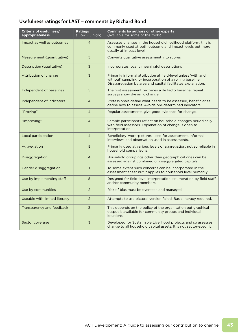# **Usefulness ratings for LAST – comments by Richard Bond**

| Criteria of usefulness/<br>appropriateness | <b>Ratings</b><br>$(1$ low $-5$ high) | <b>Comments by authors or other experts</b><br>(available for some of the tools)                                                                                                           |
|--------------------------------------------|---------------------------------------|--------------------------------------------------------------------------------------------------------------------------------------------------------------------------------------------|
| Impact as well as outcomes                 | $\overline{4}$                        | Assesses changes in the household livelihood platform, this is<br>commonly used at both outcome and impact levels but more<br>usually at impact level.                                     |
| Measurement (quantitative)                 | 5                                     | Converts qualitative assessment into scores                                                                                                                                                |
| Description (qualitative)                  | 3                                     | Incorporates locally meaningful descriptions                                                                                                                                               |
| Attribution of change                      | $\overline{3}$                        | Primarily informal attribution at field-level unless 'with and<br>without' sampling or incorporation of a rolling baseline.<br>Disaggregation by area and capital facilitates explanation. |
| Independent of baselines                   | 5                                     | The first assessment becomes a de facto baseline, repeat<br>surveys show dynamic change.                                                                                                   |
| Independent of indicators                  | $\overline{4}$                        | Professionals define what needs to be assessed, beneficiaries<br>define how to assess. Avoids pre-determined indicators.                                                                   |
| "Proving"                                  | $\overline{4}$                        | Regular assessments give good evidence for change.                                                                                                                                         |
| "Improving"                                | $\overline{4}$                        | Sample participants reflect on household changes periodically<br>with field assessors. Explanation of change is open to<br>interpretation.                                                 |
| Local participation                        | $\overline{4}$                        | Beneficiary 'word-pictures' used for assessment. Informal<br>interviews and observation used in assessments.                                                                               |
| Aggregation                                | 5                                     | Primarily used at various levels of aggregation, not so reliable in<br>household comparisons.                                                                                              |
| Disaggregation                             | $\overline{4}$                        | Household groupings other than geographical ones can be<br>assessed against combined or disaggregated capitals.                                                                            |
| Gender disaggregation                      | $\mathbf{1}$                          | To some extent such concerns can be incorporated in the<br>assessment sheet but it applies to household level primarily.                                                                   |
| Use by implementing staff                  | 5                                     | Designed for field-level interpretation, enumeration by field staff<br>and/or community members.                                                                                           |
| Use by communities                         | 2                                     | Risk of bias must be overseen and managed.                                                                                                                                                 |
| Useable with limited literacy              | $\overline{2}$                        | Attempts to use pictoral version failed. Basic literacy required.                                                                                                                          |
| Transparency and feedback                  | 3                                     | This depends on the policy of the organisation but graphical<br>output is available for community groups and individual<br>locations.                                                      |
| Sector coverage                            | $\overline{3}$                        | Developed for Sustainable Livelihood projects and so assesses<br>change to all household capital assets. It is not sector-specific.                                                        |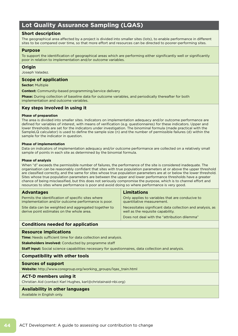# **Lot Quality Assurance Sampling (LQAS)**

# **Short description**

The geographical area affected by a project is divided into smaller sites (lots), to enable performance in different sites to be compared over time, so that more effort and resources can be directed to poorer-performing sites.

#### **Purpose**

To support the identification of geographical areas which are performing either significantly well or significantly poor in relation to implementation and/or outcome variables.

### **Origin**

Joseph Valadez.

### **Scope of application**

**Sector:** Multiple

**Context:** Community-based programming/service delivery

**Phase:** During collection of baseline data for outcome variables, and periodically thereafter for both implementation and outcome variables.

# **Key steps involved in using it**

#### **Phase of preparation**

The area is divided into smaller sites. Indicators on implementation adequacy and/or outcome performance are defined for variables of interest, with means of verification (e.g. questionnaires) for these indicators. Upper and lower thresholds are set for the indicators under investigation. The binominal formula (made practical with the SampleLQ calculator) is used to define the sample size (n) and the number of permissible failures (d) within the sample for the indicator in question.

#### **Phase of implementation**

Data on indicators of implementation adequacy and/or outcome performance are collected on a relatively small sample of points in each site as determined by the binomial formula.

#### **Phase of analysis**

When "d" exceeds the permissible number of failures, the performance of the site is considered inadequate. The organisation can be reasonably confidant that sites with true population parameters at or above the upper threshold are classified correctly, and the same for sites whose true population parameters are at or below the lower threshold. Sites whose true population parameters are between the upper and lower performance thresholds have a greater chance of being misclassified, but this does not seriously compromise the purpose, which is to channel effort and resources to sites where performance is poor and avoid doing so where performance is very good.

| <b>Advantages</b>                                    | Limitations                                               |
|------------------------------------------------------|-----------------------------------------------------------|
| Permits the identification of specific sites where   | Only applies to variables that are conducive to           |
| implementation and/or outcome performance is poor.   | quantitative measurement.                                 |
| Site data can be weighted and aggregated together to | Necessitates significant data collection and analysis, as |
| derive point estimates on the whole area.            | well as the requisite capability.                         |
|                                                      | Does not deal with the "attribution dilemma"              |

# **Conditions needed for application**

#### **Resource implications**

**Time:** Needs sufficient time for data collection and analysis.

**Stakeholders involved:** Conducted by programme staff

**Staff input:** Social science capabilities necessary for questionnaires, data collection and analysis.

# **Compatibility with other tools**

#### **Sources of support**

**Website:** http://www.coregroup.org/working\_groups/lqas\_train.html

#### **ACT-D members using it**

Christian Aid (contact Karl Hughes, karl@christainaid-nbi.org)

#### **Availability in other languages**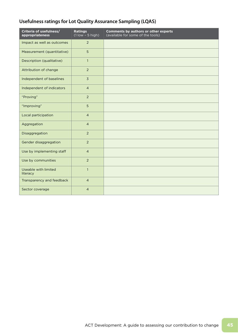# **Usefulness ratings for Lot Quality Assurance Sampling (LQAS)**

| Criteria of usefulness/<br>appropriateness | <b>Ratings</b><br>$(1$ low - 5 high) | Comments by authors or other experts<br>(available for some of the tools) |
|--------------------------------------------|--------------------------------------|---------------------------------------------------------------------------|
| Impact as well as outcomes                 | $\overline{2}$                       |                                                                           |
| Measurement (quantitative)                 | 5                                    |                                                                           |
| Description (qualitative)                  | $\mathbf{1}$                         |                                                                           |
| Attribution of change                      | $\overline{2}$                       |                                                                           |
| Independent of baselines                   | $\overline{3}$                       |                                                                           |
| Independent of indicators                  | $\overline{4}$                       |                                                                           |
| "Proving"                                  | $\overline{2}$                       |                                                                           |
| "Improving"                                | 5                                    |                                                                           |
| Local participation                        | $\overline{4}$                       |                                                                           |
| Aggregation                                | $\overline{4}$                       |                                                                           |
| Disaggregation                             | 2                                    |                                                                           |
| Gender disaggregation                      | $\overline{2}$                       |                                                                           |
| Use by implementing staff                  | $\overline{4}$                       |                                                                           |
| Use by communities                         | $\overline{2}$                       |                                                                           |
| Useable with limited<br>literacy           | $\mathbf{1}$                         |                                                                           |
| Transparency and feedback                  | $\overline{4}$                       |                                                                           |
| Sector coverage                            | $\overline{4}$                       |                                                                           |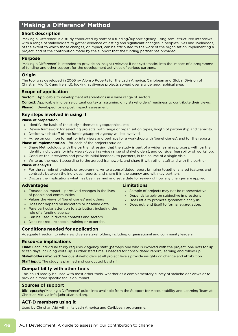# **'Making a Difference' Method**

# **Short description**

'Making a Difference' is a study conducted by staff of a funding/support agency, using semi-structured interviews with a range of stakeholders to gather evidence of lasting and significant changes in people's lives and livelihoods, of the extent to which those changes, or impact, can be attributed to the work of the organisation implementing a project, and of the contribution made by the support that the funding partner has provided.

#### **Purpose**

'Making a Difference' is intended to provide an insight (relevant if not systematic) into the impact of a programme of funding and other support for the development activities of various partners.

### **Origin**

The tool was developed in 2005 by Alonso Roberts for the Latin America, Caribbean and Global Division of Christian Aid (UK and Ireland), looking at diverse projects spread over a wide geographical area.

### **Scope of application**

**Sector:** Applicable to development interventions in a wide range of sectors.

**Context:** Applicable in diverse cultural contexts, assuming only stakeholders' readiness to contribute their views. **Phase:** Developed for ex post impact assessment.

# **Key steps involved in using it**

#### **Phase of preparation**

- » Identify the basis of the study thematic, geographical, etc.
- » Devise framework for selecting projects, with range of organisation types, length of partnership and capacity.
- » Decide which staff of the funding/support agency will be involved.
- » Agree on common format for interviews and perhaps for a workshop with 'beneficiaries'; and for the reports.

**Phase of implementation** – for each of the projects studied:

- » Share Methodology with the partner, stressing that the study is part of a wider learning process; with partner, identify individuals for interviews (covering wide range of stakeholders), and consider feasability of workshop.
- » Conduct the interviews and provide initial feedback to partners, in the course of a single visit.
- » Write up the report according to the agreed framework, and share it with other staff and with the partner.

#### **Phase of analysis**

- » For the sample of projects or programme, write a consolidated report bringing together shared features and contrasts between the individual reports, and share it in the agency and with key partners.
- » Discuss the implications what has been learned and set a date for review of how any changes are applied.

# **Advantages**

#### **Limitations**

- » Sample of projects may not be representative
- » Depends largely on subjective impressions
- » Does little to promote systematic analysis
- » Does not lend itself to formal aggregation.
- » Values the views of 'beneficiaries' and others » Does not depend on indicators or baseline data
- » Pays particular attention to attribution, including the role of a funding agency

» Focuses on impact – perceived changes in the lives

- Can be used in diverse contexts and sectors
- » Does not require special training or expertise.

# **Conditions needed for application**

Adequate freedom to interview diverse stakeholders, including organisational and community leaders.

#### **Resource implications**

of people and communities

**Time:** Each individual study requires 2 agency staff (perhaps one who is involved with the project, one not) for up to ten days including write-up. Further staff time is needed for consolidated report, learning and follow-up.

**Stakeholders involved:** Various stakeholders at all project levels provide insights on change and attribution.

**Staff input:** The study is planned and conducted by staff.

# **Compatibility with other tools**

This could readily be used with most other tools, whether as a complementary survey of stakeholder views or to provide a more specific focus on impact.

#### **Sources of support**

**Bibliography:**'Making a Difference' guidelines available from the Support for Accountability and Learning Team at Christian Aid via info@christian-aid.org.

#### **ACT-D members using it**

Used by Christian Aid within its Latin America and Caribbean programme.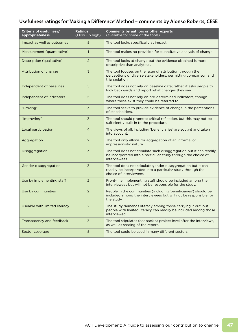# **Usefulness ratings for 'Making a Difference' Method – comments by Alonso Roberts, CESE**

| Criteria of usefulness/<br>appropriateness | <b>Ratings</b><br>$(1$ low $-5$ high) | <b>Comments by authors or other experts</b><br>(available for some of the tools)                                                                       |
|--------------------------------------------|---------------------------------------|--------------------------------------------------------------------------------------------------------------------------------------------------------|
| Impact as well as outcomes                 | 5                                     | The tool looks specifically at impact.                                                                                                                 |
| Measurement (quantitative)                 | $\mathbf{1}$                          | The tool makes no provision for quantitative analysis of change.                                                                                       |
| Description (qualitative)                  | $\overline{2}$                        | The tool looks at change but the evidence obtained is more<br>descriptive than analytical.                                                             |
| Attribution of change                      | $\overline{3}$                        | The tool focuses on the issue of attribution through the<br>perceptions of diverse stakeholders, permitting comparison and<br>triangulation.           |
| Independent of baselines                   | 5                                     | The tool does not rely on baseline data; rather, it asks people to<br>look backwards and report what changes they see.                                 |
| Independent of indicators                  | 5                                     | The tool does not rely on pre-determined indicators, though<br>where these exist they could be referred to.                                            |
| "Proving"                                  | 3                                     | The tool seeks to provide evidence of change in the perceptions<br>of stakeholders.                                                                    |
| "Improving"                                | 3                                     | The tool should promote critical reflection, but this may not be<br>sufficiently built in to the procedure.                                            |
| Local participation                        | $\overline{4}$                        | The views of all, including 'beneficiaries' are sought and taken<br>into account.                                                                      |
| Aggregation                                | $\overline{2}$                        | The tool only allows for aggregation of an informal or<br>impressionistic nature.                                                                      |
| Disaggregation                             | 3                                     | The tool does not stipulate such disaggregation but it can readily<br>be incorporated into a particular study through the choice of<br>interviewees.   |
| Gender disaggregation                      | 3                                     | The tool does not stipulate gender disaggregation but it can<br>readily be incorporated into a particular study through the<br>choice of interviewees. |
| Use by implementing staff                  | $\overline{2}$                        | Front-line implementing staff should be included among the<br>interviewees but will not be responsible for the study.                                  |
| Use by communities                         | $\overline{2}$                        | People in the communities (including 'beneficiaries') should be<br>included among the interviewees but will not be responsible for<br>the study.       |
| Useable with limited literacy              | $\overline{2}$                        | The study demands literacy among those carrying it out, but<br>people with limited literacy can readily be included among those<br>interviewed.        |
| Transparency and feedback                  | 3                                     | The tool stipulates feedback at project level after the interviews,<br>as well as sharing of the report.                                               |
| Sector coverage                            | 5                                     | The tool could be used in many different sectors.                                                                                                      |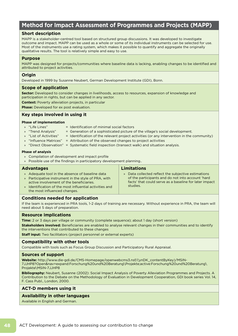# **Method for Impact Assessment of Programmes and Projects (MAPP)**

# **Short description**

MAPP is a stakeholder-centred tool based on structured group discussions. It was developed to investigate outcome and impact. MAPP can be used as a whole or some of its individual instruments can be selected for use. Most of the instruments use a rating system, which makes it possible to quantify and aggregate the originally qualitative results. The tool is relatively simple and easy to use.

### **Purpose**

MAPP was designed for projects/communities where baseline data is lacking, enabling changes to be identified and attributed to project activities.

### **Origin**

Developed in 1999 by Susanne Neubert, German Development Institute (GDI), Bonn.

# **Scope of application**

**Sector:** Developed to consider changes in livelihoods, access to resources, expansion of knowledge and participation in rights, but can be applied in any sector.

**Context:** Poverty alleviation projects, in particular

**Phase:** Developed for ex post evaluation.

# **Key steps involved in using it**

#### **Phase of implementation**

- » "Life Lines" = Identification of minimal social factors
- » "Trend Analysis" = Generation of a sophisticated picture of the village's social development.
- » "List of Activities" = Identification of the relevant project activities (or any intervention in the community)

**Limitations**

studies.

» Data collected reflect the subjective estimations of the participants and do not into account 'hard facts' that could serve as a baseline for later impact

- » "Influence Matrices" = Attribution of the observed changes to project activities
- » "Direct Observation" = Systematic field inspection (transect walk) and situation analysis.

#### **Phase of analysis**

- » Compilation of development and impact profile
- » Possible use of the findings in participatory development planning..

#### **Advantages**

- » Adequate tool in the absence of baseline data
- » Participative instrument in the style of PRA, with active involvement of the beneficiaries.
- » Identification of the most influential activities and the most influenced changes.

# **Conditions needed for application**

If the team is experienced in PRA tools, 1-2 days of training are necessary. Without experience in PRA, the team will need about 5 days of preparation.

#### **Resource implications**

**Time:** 2 or 3 days per village or community (complete sequence); about 1 day (short version)

**Stakeholders involved:** Beneficiaries are enabled to analyse relevant changes in their communities and to identify the interventions that contributed to these changes

**Staff input:** Two facilitators (project personnel or external experts)

# **Compatibility with other tools**

Compatible with tools such as Focus Group Discussion and Participatory Rural Appraisal.

# **Sources of support**

**Website:** http://www.die-gdi.de/CMS-Homepage/openwebcms3.nsf/(ynDK\_contentByKey)/MSIN-7JJHP8?Open&nav=expand:Forschung%20und%20Beratung\Projekte;active:Forschung%20und%20Beratung\ Projekte\MSIN-7JJHP8

**Bibliography:** Neubert, Susanne (2002): Social Impact Analysis of Poverty Alleviation Programmes and Projects. A Contribution to the Debate on the Methodology of Evaluation in Development Cooperation, GDI book series Vol. 14, F. Cass Publ., London, 2000.

# **ACT-D members using it**

# **Availability in other languages**

Available in English and German.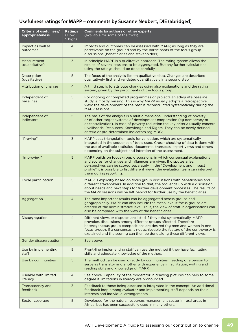# **Usefulness ratings for MAPP – comments by Susanne Neubert, DIE (abridged)**

| Criteria of usefulness/<br>appropriateness | <b>Ratings</b><br>$(1$ low -<br>5 high) | <b>Comments by authors or other experts</b><br>(available for some of the tools)                                                                                                                                                                                                                                                                                                     |
|--------------------------------------------|-----------------------------------------|--------------------------------------------------------------------------------------------------------------------------------------------------------------------------------------------------------------------------------------------------------------------------------------------------------------------------------------------------------------------------------------|
| Impact as well as<br>outcomes              | $\overline{4}$                          | Impacts and outcomes can be assessed with MAPP, as long as they are<br>perceivable on the ground and by the participants of the focus group<br>discussions (beneficiaries and stakeholders).                                                                                                                                                                                         |
| Measurement<br>(quantitative)              | 3                                       | In principle MAPP is a qualitative approach. The rating system allows the<br>results of several sessions to be aggregated. But any further calculations<br>using the ratings should be done carefully.                                                                                                                                                                               |
| Description<br>(qualitative)               | 5                                       | The focus of the analysis lies on qualitative data. Changes are described<br>qualitatively first and validated quantitatively in a second step.                                                                                                                                                                                                                                      |
| Attribution of change                      | $\overline{4}$                          | A third step is to attribute changes using also explanations and the rating<br>system, given by the participants of the focus group.                                                                                                                                                                                                                                                 |
| Independent of<br>baselines                | 5                                       | For ongoing or completed programmes or projects an adequate baseline<br>study is mostly missing. This is why MAPP usually adopts a retrospective<br>view: the development of the past is reconstructed systematically during the<br>MAPP sessions.                                                                                                                                   |
| Independent of<br><b>indicators</b>        | 5                                       | The basis of the analysis is a multidimensional understanding of poverty<br>or of other target systems of development cooperation (eg democracy or<br>decentralization). In case of poverty reduction the key criteria usually concern<br>Livelihoods, Resources, Knowledge and Rights. They can be newly defined<br>criteria or pre-determined indicators (eg MDG).                 |
| "Proving"                                  | 3                                       | MAPP uses triangulation tools for validation, which are systematically<br>integrated in the sequence of tools used. Cross-checking of data is done with<br>the use of available statistics, documents, transects, expert views and others<br>depending on the subject and intention of the assessment.                                                                               |
| "Improving"                                | 5                                       | MAPP builds on focus group discussions, in which consensual explanations<br>and scores for changes and influences are given. If disputes arise,<br>perspectives can be scored separately. In the "Development and Impact<br>profile" it is possible to list different views; the evaluation team can interpret<br>them during reporting.                                             |
| Local participation                        | 5                                       | MAPP is explicitly based on focus group discussions with beneficiaries and<br>different stakeholders. In addition to that, the tool ends up with a discussion<br>about needs and next steps for further development processes. The results of<br>the MAPP sessions will be left behind for further use by the beneficiaries.                                                         |
| Aggregation                                | 4                                       | The most important results can be aggregated across groups and<br>geographically. MAPP can also include the meso level if focus groups are<br>created at the administrative level. Thus, the view of staff in organisations can<br>also be compared with the view of the beneficiaries.                                                                                              |
| Disaggregation                             | $\overline{4}$                          | Different views or disputes are listed if they exist systematically. MAPP<br>provokes discussions among different groups affected. Therefore<br>heterogeneous group compositions are desired (eg men and women in one<br>focus group). If a consensus is not achievable the feature of the controversy is<br>explained and the scoring can then be done along these different views. |
| Gender disaggregation                      | 4                                       | See above.                                                                                                                                                                                                                                                                                                                                                                           |
| Use by implementing<br>staff               | 5                                       | Front-line implementing staff can use the method if they have facilitating<br>skills and adequate knowledge of the method.                                                                                                                                                                                                                                                           |
| Use by communities                         | 5                                       | The method can be used directly by communities, needing one person to<br>serve as translator and another with experience in facilitation, writing and<br>reading skills and knowledge of MAPP.                                                                                                                                                                                       |
| <b>Useable with limited</b><br>literacy    | $\overline{4}$                          | See above. Capability of the moderator in drawing pictures can help to some<br>degree if limitations in literacy are pronounced.                                                                                                                                                                                                                                                     |
| Transparency and<br>feedback               | $\overline{3}$                          | Feedback to those being assessed is integrated in the concept. An additional<br>feedback loop among evaluator and implementing staff depends on their<br>interests and individual arrangements.                                                                                                                                                                                      |
| Sector coverage                            | 5                                       | Developed for the natural resources management sector in rural areas in<br>Africa, but has been successfully used in many others.                                                                                                                                                                                                                                                    |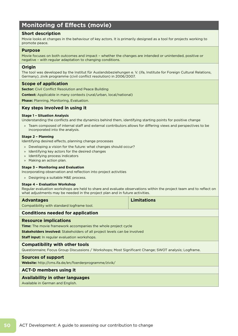# **Monitoring of Effects (movie)**

### **Short description**

Movie looks at changes in the behaviour of key actors. It is primarily designed as a tool for projects working to promote peace.

#### **Purpose**

Movie focuses on both outcomes and impact – whether the changes are intended or unintended, positive or negative – with regular adaptation to changing conditions.

### **Origin**

The tool was developed by the Institut für Auslandsbeziehungen e. V. (ifa, Institute for Foreign Cultural Relations, Germany), zivik programme (civil conflict resolution) in 2006/2007.

#### **Scope of application**

**Sector:** Civil Conflict Resolution and Peace Building

**Context:** Applicable in many contexts (rural/urban, local/national)

**Phase:** Planning, Monitoring, Evaluation.

### **Key steps involved in using it**

#### **Stage 1 – Situation Analysis**

Understanding the conflicts and the dynamics behind them, identifying starting points for positive change

» Team composed of internal staff and external contributors allows for differing views and perspectives to be incorporated into the analysis.

#### **Stage 2 – Planning**

Identifying desired effects, planning change processes

- » Developing a vision for the future: what changes should occur?
- » Identifying key actors for the desired changes
- » Identifying process indicators
- » Making an action plan.

#### **Stage 3 – Monitoring and Evaluation**

Incorporating observation and reflection into project activities

» Designing a suitable M&E process.

#### **Stage 4 – Evaluation Workshop**

Regular evaluation workshops are held to share and evaluate observations within the project team and to reflect on what adjustments may be needed in the project plan and in future activities.

| <b>Advantages</b>                          | <b>Limitations</b> |
|--------------------------------------------|--------------------|
| Compatibility with standard logframe tool. |                    |

#### **Conditions needed for application**

#### **Resource implications**

**Time:** The movie framework accompanies the whole project cycle

**Stakeholders involved:** Stakeholders of all project levels can be involved

**Staff input:** In regular evaluation workshops.

#### **Compatibility with other tools**

Questionnaire; Focus Group Discussions / Workshops; Most Significant Change; SWOT analysis; Logframe.

#### **Sources of support**

**Website:** http://cms.ifa.de/en/foerderprogramme/zivik/

#### **ACT-D members using it**

#### **Availability in other languages**

Available in German and English.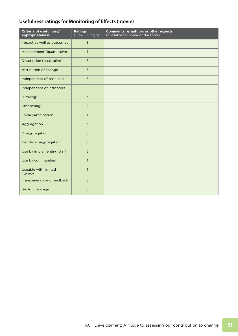# **Usefulness ratings for Monitoring of Effects (movie)**

| Criteria of usefulness/<br>appropriateness | <b>Ratings</b><br>$(1$ low $-5$ high) | <b>Comments by authors or other experts</b><br>(available for some of the tools) |
|--------------------------------------------|---------------------------------------|----------------------------------------------------------------------------------|
| Impact as well as outcomes                 | $\overline{3}$                        |                                                                                  |
| Measurement (quantitative)                 | $\mathbf{1}$                          |                                                                                  |
| Description (qualitative)                  | 5                                     |                                                                                  |
| Attribution of change                      | $\overline{3}$                        |                                                                                  |
| Independent of baselines                   | 5                                     |                                                                                  |
| Independent of indicators                  | 5                                     |                                                                                  |
| "Proving"                                  | $\overline{3}$                        |                                                                                  |
| "Improving"                                | 5                                     |                                                                                  |
| Local participation                        | $\mathbf{1}$                          |                                                                                  |
| Aggregation                                | $\overline{3}$                        |                                                                                  |
| Disaggregation                             | $\overline{3}$                        |                                                                                  |
| Gender disaggregation                      | $\overline{3}$                        |                                                                                  |
| Use by implementing staff                  | 5                                     |                                                                                  |
| Use by communities                         | $\mathbf{1}$                          |                                                                                  |
| Useable with limited<br>literacy           | $\mathbf{1}$                          |                                                                                  |
| Transparency and feedback                  | $\overline{3}$                        |                                                                                  |
| Sector coverage                            | $\overline{3}$                        |                                                                                  |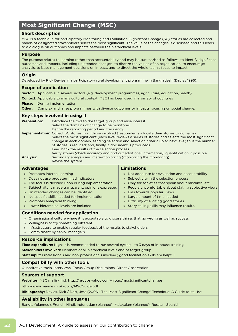# **Most Significant Change (MSC)**

# **Short description**

MSC is a technique for participatory Monitoring and Evaluation. Significant Change (SC) stories are collected and panels of designated stakeholders select the most significant. The value of the changes is discussed and this leads to a dialogue on outcomes and impacts between the hierarchical levels.

#### **Purpose**

The purpose relates to learning rather than accountability and may be summarised as follows: to identify significant outcomes and impacts, including unintended changes, to discern the values of an organisation, to encourage analysis, to base management decisions on impact, and to direct the whole team's focus to impact.

### **Origin**

Developed by Rick Davies in a participatory rural development programme in Bangladesh (Davies 1996).

### **Scope of application**

**Sector:** Applicable in several sectors (e.g. development programmes, agriculture, education, health)

**Context:** Applicable to many cultural context; MSC has been used in a variety of countries

**Phase:** During implementation

**Other:** Complex and large programmes with diverse outcomes or impacts focusing on social change.

### **Key steps involved in using it**

| <b>Preparation:</b> | Introduce the tool to the target group and raise interest<br>Select the domains of change to be monitored<br>Define the reporting period and frequency.                                                                                                                                                                                                                                                                                                                                                                                   |
|---------------------|-------------------------------------------------------------------------------------------------------------------------------------------------------------------------------------------------------------------------------------------------------------------------------------------------------------------------------------------------------------------------------------------------------------------------------------------------------------------------------------------------------------------------------------------|
|                     | Implementation: Collect SC stories from those involved (respondents allocate their stories to domains)<br>Select the most significant (each level reviews a series of stories and selects the most significant<br>change in each domain, sending selection and selection criteria up to next level; thus the number<br>of stories is reduced; and, finally, a document is produced)<br>Feed back the results of the selection process<br>Verify stories (check accuracy and find out additional information); quantification if possible. |
| <b>Analysis:</b>    | Secondary analysis and meta-monitoring (monitoring the monitoring)<br>Revise the system.                                                                                                                                                                                                                                                                                                                                                                                                                                                  |

| <b>Advantages</b>                                      | <b>Limitations</b>                                    |
|--------------------------------------------------------|-------------------------------------------------------|
| » Promotes internal learning                           | » Not adequate for evaluation and accountability      |
| » Does not use predetermined indicators                | » Subjectivity in the selection process               |
| » The focus is decided upon during implementation      | » Only for societies that speak about mistakes, etc   |
| » Subjectivity is made transparent, opinions expressed | » People uncomfortable about stating subjective views |
| » Unintended changes can be identified                 | » Bias towards popular views                          |
| » No specific skills needed for implementation         | » Large amount of time needed                         |
| » Promotes analytical thinking                         | » Difficulty of eliciting good stories                |
| » Lower hierarchical levels are included.              | » Story-telling skills may influence results.         |

# **Conditions needed for application**

- » Organisational culture where it is acceptable to discuss things that go wrong as well as success
- » Willingness to try something different
- » Infrastructure to enable regular feedback of the results to stakeholders
- » Commitment by senior managers.

#### **Resource implications**

**Time expenditure:** High; it is recommended to run several cycles; 1 to 3 days of in-house training

**Stakeholders involved:** Members of all hierarchical levels and of target group

**Staff input:** Professionals and non-professionals involved; good facilitation skills are helpful.

# **Compatibility with other tools**

Quantitative tools, interviews, Focus Group Discussions, Direct Observation.

#### **Sources of support**

**Websites:** MSC mailing list: http://groups.yahoo.com/group/mostsignificantchanges

http://www.mande.co.uk/docs/MSCGuide.pdf

**Bibliography:** Davies, Rick / Dart, Jess (2006): The 'Most Significant Change' Technique: A Guide to Its Use.

# **Availability in other languages**

Bangla (planned), French, Hindi, Indonesian (planned), Malayalam (planned), Russian, Spanish.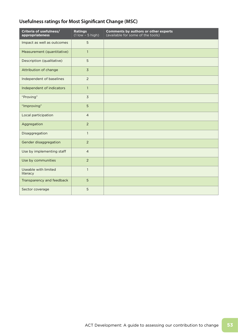# **Usefulness ratings for Most Significant Change (MSC)**

| Criteria of usefulness/<br>appropriateness | <b>Ratings</b><br>$(1$ low $-5$ high) | <b>Comments by authors or other experts</b><br>(available for some of the tools) |
|--------------------------------------------|---------------------------------------|----------------------------------------------------------------------------------|
| Impact as well as outcomes                 | 5                                     |                                                                                  |
| Measurement (quantitative)                 | $\mathbf{1}$                          |                                                                                  |
| Description (qualitative)                  | 5                                     |                                                                                  |
| Attribution of change                      | $\overline{3}$                        |                                                                                  |
| Independent of baselines                   | 2                                     |                                                                                  |
| Independent of indicators                  | $\mathbf{1}$                          |                                                                                  |
| "Proving"                                  | $\overline{3}$                        |                                                                                  |
| "Improving"                                | 5                                     |                                                                                  |
| Local participation                        | $\overline{4}$                        |                                                                                  |
| Aggregation                                | $\overline{2}$                        |                                                                                  |
| Disaggregation                             | $\mathbf{1}$                          |                                                                                  |
| Gender disaggregation                      | 2                                     |                                                                                  |
| Use by implementing staff                  | $\overline{4}$                        |                                                                                  |
| Use by communities                         | $\overline{2}$                        |                                                                                  |
| Useable with limited<br>literacy           | $\mathbf{1}$                          |                                                                                  |
| Transparency and feedback                  | 5                                     |                                                                                  |
| Sector coverage                            | 5                                     |                                                                                  |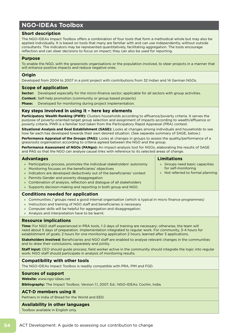# **NGO-IDEAs Toolbox**

# **Short description**

The NGO-IDEAs Impact Toolbox offers a combination of four tools that form a methodical whole but may also be applied individually. It is based on tools that many are familiar with and can use independently, without outside consultants. The indicators may be represented quantitatively, facilitating aggregation. The tools encourage reflection and can steer decisions to focus on impact; they can also be used for reporting.

#### **Purpose**

To enable the NGO, with the grassroots organisations or the population involved, to steer projects in a manner that will enhance positive impacts and reduce negative ones.

#### **Origin**

Developed from 2004 to 2007 in a joint project with contributions from 32 Indian and 14 German NGOs.

#### **Scope of application**

**Sector:** Developed especially for the micro-finance sector; applicable for all sectors with group activities.

**Context:** Self-help promotion (community or group based projects)

**Phase:** Developed for monitoring during project implementation.

#### **Key steps involved in using it – here key elements**

**Participatory Wealth Ranking (PWR):** Clusters households according to affluence/poverty criteria. It serves the purpose of poverty-oriented target group selection and assignment of impacts according to wealth/affluence or poverty criteria. PWR is a familiar tool taken from the Participatory Rapid Appraisal (PRA) context.

**Situational Analysis and Goal Establishment (SAGE):** Looks at changes among individuals and households to see how far each has developed towards their own desired situation. (See separate summary of SAGE, below.)

**Performance Appraisal of the Groups (PAG):** Looks at changes in groups to assess the quality/performance of a grassroots organisation according to criteria agreed between the NGO and the group.

**Performance Assessment of NGOs (PANgo):** An impact-analysis tool for NGOs, elaborating the results of SAGE and PAG so that the NGO can analyse causal links with reference to its selected areas of change.

| <b>Advantages</b><br>Participatory process, promotes the individual stakeholders' autonomy<br>$\mathcal{V}$<br>Monitoring focuses on the beneficiaries' objectives<br>$\rightarrow$<br>Indicators are developed deductively out of the beneficiaries' context<br>$\rightarrow$<br>Permits Gender and poverty disaggregation<br>$\mathcal{V}$<br>Combination of analysis, reflection and dialogue of all stakeholders<br>$\mathcal{V}$<br>Supports decision-making and reporting in both group and NGO.<br>$\mathcal{V}$                                                                                                                                                                                                                            | <b>Limitations</b><br>» Groups need basic capacities<br>for self-monitoring<br>» Not referred to formal planning |
|----------------------------------------------------------------------------------------------------------------------------------------------------------------------------------------------------------------------------------------------------------------------------------------------------------------------------------------------------------------------------------------------------------------------------------------------------------------------------------------------------------------------------------------------------------------------------------------------------------------------------------------------------------------------------------------------------------------------------------------------------|------------------------------------------------------------------------------------------------------------------|
| <b>Conditions needed for application</b><br>Communities / groups need a good internal organisation (which is typical in micro finance programmes)<br>$\mathcal{V}$<br>Instruction and training of NGO staff and beneficiaries is necessary<br>$\rangle$<br>Computer skills will be helpful for aggregation and disaggregation.<br>$\rangle$<br>Analysis and interpretation have to be learnt.<br>$\rangle\!\rangle$                                                                                                                                                                                                                                                                                                                                |                                                                                                                  |
| <b>Resource implications</b><br><b>Time:</b> For NGO staff experienced in PRA tools, 1-2 days of training are necessary; otherwise, the team will<br>need about 5 days of preparation. Implementation integrated to regular work. For community, 3-4 hours for<br>establishment of goals; 2 hours for one monitoring application 2 hours; learned after 3 applications.<br>Stakeholders involved: Beneficiaries and NGO staff are enabled to analyse relevant changes in the communities<br>and to draw their conclusions, separately and jointly.<br>Staff input: CEO should guide process; field worker active in the community should integrate the logic into regular<br>work; NGO staff should participate in analysis of monitoring results. |                                                                                                                  |
| <b>Compatibility with other tools</b><br>The NGO-IDEAs Impact Toolbox is readily compatible with PRA, PIM and FGD.                                                                                                                                                                                                                                                                                                                                                                                                                                                                                                                                                                                                                                 |                                                                                                                  |
| <b>Sources of support</b><br>Website: www.ngo-ideas.net<br><b>Bibliography:</b> The Impact Toolbox, Version 1.1, 2007. Ed.: NGO-IDEAs; Cochin, India.                                                                                                                                                                                                                                                                                                                                                                                                                                                                                                                                                                                              |                                                                                                                  |
| <b>ACT-D members using it</b><br>Partners in India of Bread for the World and EED.                                                                                                                                                                                                                                                                                                                                                                                                                                                                                                                                                                                                                                                                 |                                                                                                                  |

# **Availability in other languages**

Toolbox available in English only.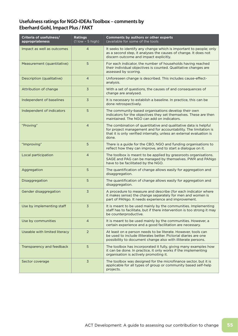# **Usefulness ratings for NGO-IDEAs Toolbox – comments by Eberhard Gohl, Impact Plus / FAKT**

| Criteria of usefulness/<br>appropriateness | <b>Ratings</b><br>$(1$ low $-5$ high) | <b>Comments by authors or other experts</b><br>(available for some of the tools                                                                                                                                       |
|--------------------------------------------|---------------------------------------|-----------------------------------------------------------------------------------------------------------------------------------------------------------------------------------------------------------------------|
| Impact as well as outcomes                 | $\overline{4}$                        | It seeks to identify any change which is important to people; only<br>as a second step, it analyses the causes of change. It does not<br>discern outcome and impact explicitly.                                       |
| Measurement (quantitative)                 | 5                                     | For each indicator, the number of households having reached<br>their individual objectives is counted. Qualitative changes are<br>assessed by scoring.                                                                |
| Description (qualitative)                  | $\overline{4}$                        | Unforeseen change is described. This includes cause-effect-<br>analysis.                                                                                                                                              |
| Attribution of change                      | 3                                     | With a set of questions, the causes of and consequences of<br>change are analysed.                                                                                                                                    |
| Independent of baselines                   | 3                                     | It is necessary to establish a baseline. In practice, this can be<br>done retrospectively.                                                                                                                            |
| Independent of indicators                  | 5                                     | The community-based organisations develop their own<br>indicators for the objectives they set themselves. These are then<br>maintained. The NGO can add on indicators.                                                |
| "Proving"                                  | $\overline{4}$                        | The combination of quantitative and qualitative data is helpful<br>for project management and for accountability. The limitation is<br>that it is only verified internally, unless an external evaluation is<br>done. |
| "Improving"                                | 5                                     | There is a guide for the CBO, NGO and funding organisations to<br>reflect how they can improve, and to start a dialogue on it.                                                                                        |
| Local participation                        | $\overline{4}$                        | The toolbox is meant to be applied by grassroots organisations.<br>SAGE and PAG can be managed by themselves. PWR and PANgo<br>have to be facilitated by the NGO.                                                     |
| Aggregation                                | 5                                     | The quantification of change allows easily for aggregation and<br>disaggregation.                                                                                                                                     |
| Disaggregation                             | 5                                     | The quantification of change allows easily for aggregation and<br>disaggregation.                                                                                                                                     |
| Gender disaggregation                      | 3                                     | A procedure to measure and describe (for each indicator where<br>it makes sense) the change separately for men and women is<br>part of PANgo. It needs experience and improvement.                                    |
| Use by implementing staff                  | 3                                     | It is meant to be used mainly by the communities. Implementing<br>staff has to facilitate, but if there intervention is too strong it may<br>be counterproductive.                                                    |
| Use by communities                         | $\overline{4}$                        | It is meant to be used mainly by the communities. However, a<br>certain experience and a good facilitation are necessary.                                                                                             |
| Useable with limited literacy              | $\overline{2}$                        | At least on e person needs to be literate. However, tools can<br>be used to include illiterates better. Pictorial diaries are one<br>possibility to document change also with illiterate persons.                     |
| Transparency and feedback                  | 5                                     | The toolbox has incorporated it fully, giving many examples how<br>it can be done. In practice, it only works if the implementing<br>organisation is actively promoting it.                                           |
| Sector coverage                            | 3                                     | The toolbox was designed for the microfinance sector, but it is<br>applicable for all types of group or community based self-help<br>projects.                                                                        |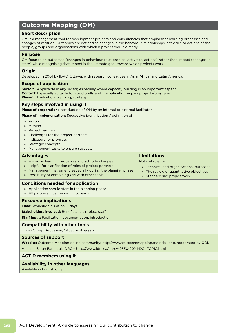# **Outcome Mapping (OM)**

### **Short description**

OM is a management tool for development projects and consultancies that emphasises learning processes and changes of attitude. Outcomes are defined as changes in the behaviour, relationships, activities or actions of the people, groups and organisations with which a project works directly.

#### **Purpose**

OM focuses on outcomes (changes in behaviour, relationships, activities, actions) rather than impact (changes in state) while recognising that impact is the ultimate goal toward which projects work.

#### **Origin**

Developed in 2001 by IDRC, Ottawa, with research colleagues in Asia, Africa, and Latin America.

#### **Scope of application**

**Sector:** Applicable in any sector, especially where capacity building is an important aspect. **Context:** Especially suitable for structurally and thematically complex projects/programs **Phase:** Evaluation, planning, strategy.

#### **Key steps involved in using it**

**Phase of preparation:** Introduction of OM by an internal or external facilitator

**Phase of implementation:** Successive identification / definition of:

- » Vision
- » Mission
- » Project partners
- » Challenges for the project partners
- » Indicators for progress
- » Strategic concepts
- » Management tasks to ensure success.

#### **Advantages** » Focus on learning processes and attitude changes » Helpful for clarification of roles of project partners » Management instrument, especially during the planning phase » Possibility of combining OM with other tools. **Limitations** Not suitable for » Technical and organisational purposes » The review of quantitative objectives » Standardised project work.

#### **Conditions needed for application**

- » Application should start in the planning phase
- » All partners must be willing to learn.

#### **Resource implications**

**Time:** Workshop duration: 3 days

**Stakeholders involved:** Beneficiaries, project staff

**Staff input:** Facilitation, documentation, introduction.

### **Compatibility with other tools**

Focus Group Discussion, Situation Analysis.

#### **Sources of support**

**Website:** Outcome Mapping online community: http://www.outcomemapping.ca/index.php, moderated by ODI. And see Sarah Earl et al, IDRC – http://www.idrc.ca/en/ev-9330-201-1-DO\_TOPIC.html

#### **ACT-D members using it**

#### **Availability in other languages**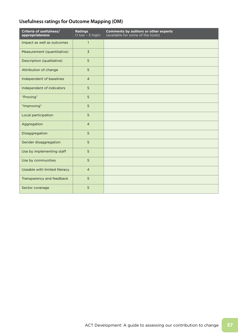# **Usefulness ratings for Outcome Mapping (OM)**

| Criteria of usefulness/<br>appropriateness | <b>Ratings</b><br>$(1$ low $-5$ high) | Comments by authors or other experts<br>(available for some of the tools) |
|--------------------------------------------|---------------------------------------|---------------------------------------------------------------------------|
| Impact as well as outcomes                 | $\mathbf{1}$                          |                                                                           |
| Measurement (quantitative)                 | $\overline{3}$                        |                                                                           |
| Description (qualitative)                  | 5                                     |                                                                           |
| Attribution of change                      | 5                                     |                                                                           |
| Independent of baselines                   | $\overline{4}$                        |                                                                           |
| Independent of indicators                  | 5                                     |                                                                           |
| "Proving"                                  | 5                                     |                                                                           |
| "Improving"                                | 5                                     |                                                                           |
| Local participation                        | 5                                     |                                                                           |
| Aggregation                                | $\overline{4}$                        |                                                                           |
| Disaggregation                             | 5                                     |                                                                           |
| Gender disaggregation                      | 5                                     |                                                                           |
| Use by implementing staff                  | 5                                     |                                                                           |
| Use by communities                         | 5                                     |                                                                           |
| Useable with limited literacy              | $\overline{4}$                        |                                                                           |
| Transparency and feedback                  | 5                                     |                                                                           |
| Sector coverage                            | 5                                     |                                                                           |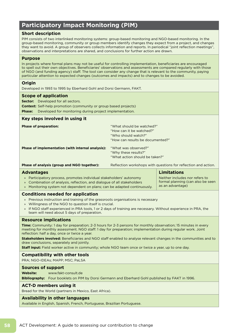# **Participatory Impact Monitoring (PIM)**

# **Short description**

PIM consists of two interlinked monitoring systems: group-based monitoring and NGO-based monitoring. In the group-based monitoring, community or group members identify changes they expect from a project, and changes they want to avoid. A group of observers collects information and reports. In periodical "joint reflection meetings", observations and interpretations are shared, and conclusions for further action are drawn.

#### **Purpose**

In projects where formal plans may not be useful for controlling implementation, beneficiaries are encouraged to spell out their own objectives. Beneficiaries' observations and assessments are compared regularly with those of NGO (and funding agency) staff. The tool can consider any change that is relevant to the community, paying particular attention to expected changes (outcomes and impacts) and to changes to be avoided.

### **Origin**

Developed in 1993 to 1995 by Eberhard Gohl and Dorsi Germann, FAKT.

#### **Scope of application**

**Sector:** Developed for all sectors. **Context:** Self-help promotion (community or group based projects) **Phase:** Developed for monitoring during project implementation. **Key steps involved in using it Phase of preparation:** The state of **preparation:** The state of **preparation:** The state of **preparation**: The state of **preparation**: The state of **preparation**: The state of **preparation**: The state of **preparation**: Th "How can it be watched?" "Who should watch?"

"How can results be documented?"

**Limitations**

as an advantage)

Neither includes nor refers to formal planning (can also be seen

| "What was observed?"           |
|--------------------------------|
| "Why these results?"           |
| "What action should be taken?" |
|                                |

**Phase of analysis (group and NGO together):** Reflection workshops with questions for reflection and action.

#### **Advantages**

- » Participatory process, promotes individual stakeholders' autonomy
- » Combination of analysis, reflection, and dialogue of all stakeholders
- » Monitoring system not dependent on plans; can be adapted continuously.

### **Conditions needed for application**

- » Previous instruction and training of the grassroots organisations is necessary
- » Willingness of the NGO to question itself is crucial.
- » If NGO staff experienced in PRA tools, 1 or 2 days of training are necessary. Without experience in PRA, the team will need about 5 days of preparation.

# **Resource implications**

**Time:** Community: 1 day for preparation; 2-3 hours for 2-3 persons for monthly observation; 15 minutes in every meeting for monthly assessment. NGO staff: 1 day for preparation; implementation during regular work. Joint reflection: half a day, once or twice a year.

**Stakeholders involved:** Beneficiaries and NGO staff enabled to analyse relevant changes in the communities and to draw conclusions, separately and jointly.

**Staff input:** Field worker active in community; whole NGO team once or twice a year, up to one day.

# **Compatibility with other tools**

PRA; NGO-IDEAs; MAPP; MSC; PaLSA

#### **Sources of support**

**Website:** www.fakt-consult.de

**Bibliography:** Four booklets on PIM by Dorsi Germann and Eberhard Gohl published by FAKT in 1996.

#### **ACT-D members using it**

Bread for the World (partners in Mexico, East Africa).

#### **Availability in other languages**

Available in English, Spanish, French, Portuguese, Brazilian Portuguese.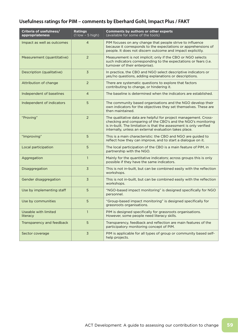# **Usefulness ratings for PIM – comments by Eberhard Gohl, Impact Plus / FAKT**

| Criteria of usefulness/<br>appropriateness | <b>Ratings</b><br>$(1$ low $-5$ high) | <b>Comments by authors or other experts</b><br>(available for some of the tools)                                                                                                                                                                                 |
|--------------------------------------------|---------------------------------------|------------------------------------------------------------------------------------------------------------------------------------------------------------------------------------------------------------------------------------------------------------------|
| Impact as well as outcomes                 | $\overline{4}$                        | PIM focuses on any change that people strive to influence<br>because it corresponds to the expectations or apprehensions of<br>people. It does not discern outcome and impact explicitly.                                                                        |
| Measurement (quantitative)                 | 2                                     | Measurement is not implicit; only if the CBO or NGO selects<br>such indicators corresponding to the expectations or fears (i.e.<br>turnover of their enterprise).                                                                                                |
| Description (qualitative)                  | 3                                     | In practice, the CBO and NGO select descriptive indicators or<br>yes/no questions, adding explanations or descriptions.                                                                                                                                          |
| Attribution of change                      | $\overline{2}$                        | There are systematic questions to explore that factors<br>contributing to change, or hindering it.                                                                                                                                                               |
| Independent of baselines                   | $\overline{4}$                        | The baseline is determined when the indicators are established.                                                                                                                                                                                                  |
| Independent of indicators                  | 5                                     | The community based organisations and the NGO develop their<br>own indicators for the objectives they set themselves. These are<br>then maintained.                                                                                                              |
| "Proving"                                  | 2                                     | The qualitative data are helpful for project management. Cross-<br>checking and comparing of the CBO's and the NGO's monitoring<br>is in-built. The limitation is that the assessment is only verified<br>internally, unless an external evaluation takes place. |
| "Improving"                                | 5                                     | This is a main characteristic: the CBO and NGO are guided to<br>reflect how they can improve, and to start a dialogue on it.                                                                                                                                     |
| Local participation                        | 5                                     | The local participation of the CBO is a main feature of PIM, in<br>partnership with the NGO.                                                                                                                                                                     |
| Aggregation                                | $\mathbf{1}$                          | Mainly for the quantitative indicators; across groups this is only<br>possible if they have the same indicators.                                                                                                                                                 |
| Disaggregation                             | 3                                     | This is not in-built, but can be combined easily with the reflection<br>workshops.                                                                                                                                                                               |
| Gender disaggregation                      | 3                                     | This is not in-built, but can be combined easily with the reflection<br>workshops.                                                                                                                                                                               |
| Use by implementing staff                  | 5                                     | "NGO-based impact monitoring" is designed specifically for NGO<br>personnel.                                                                                                                                                                                     |
| Use by communities                         | 5                                     | "Group-based impact monitoring" is designed specifically for<br>grassroots organisations.                                                                                                                                                                        |
| Useable with limited<br>literacy           | $\mathbf{1}$                          | PIM is designed specifically for grassroots organisations.<br>However, some people need literacy skills.                                                                                                                                                         |
| Transparency and feedback                  | 5                                     | Transparency, feedback and reflection are main features of the<br>participatory monitoring concept of PIM.                                                                                                                                                       |
| Sector coverage                            | $\overline{3}$                        | PIM is applicable for all types of group or community based self-<br>help projects.                                                                                                                                                                              |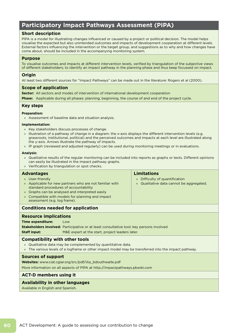# **Participatory Impact Pathways Assessment (PIPA)**

# **Short description**

PIPA is a model for illustrating changes influenced or caused by a project or political decision. The model helps visualise the expected but also unintended outcomes and impacts of development cooperation at different levels. External factors influencing the intervention or the target group, and suggestions as to why and how changes have come about, should be included in the accompanying monitoring system.

### **Purpose**

To visualise outcomes and impacts at different intervention levels, verified by triangulation of the subjective views of different stakeholders; to identify an impact pathway in the planning phase and thus keep focussed on impact.

### **Origin**

At least two different sources for "Impact Pathways" can be made out in the literature: Rogers et al (2000).

# **Scope of application**

**Sector:** All sectors and modes of intervention of international development cooperation

**Phase:** Applicable during all phases: planning, beginning, the course of and end of the project cycle.

#### **Key steps**

#### **Preparation:**

» Assessment of baseline data and situation analysis.

#### **Implementation:**

- » Key stakeholders discuss processes of change.
- » Illustration of a pathway of change in a diagram: the x-axis displays the different intervention levels (e.g. grassroots, institutional, political) and the perceived outcomes and impacts at each level are illustrated along the y-axis. Arrows illustrate the pathway of impacts.
- » IP graph (reviewed and adjusted regularly) can be used during monitoring meetings or in evaluations.

#### **Analysis:**

- » Qualitative results of the regular monitoring can be included into reports as graphs or texts. Different opinions can easily be illustrated in the impact pathway graphs.
- » Verification by triangulation or spot checks.

| <b>Advantages</b>                                                                                                                                                                                                                                          | Limitations                                                                               |  |  |
|------------------------------------------------------------------------------------------------------------------------------------------------------------------------------------------------------------------------------------------------------------|-------------------------------------------------------------------------------------------|--|--|
| » User-friendly<br>» Applicable for new partners who are not familiar with<br>standard procedures of accountability<br>» Graphs can be analysed and interpreted easily<br>» Compatible with models for planning and impact<br>assessment (e.g. log frame). | Difficulty of quantification<br>$\mathcal{V}$<br>» Qualitative data cannot be aggregated. |  |  |
| <b>Conditions needed for application</b>                                                                                                                                                                                                                   |                                                                                           |  |  |
|                                                                                                                                                                                                                                                            |                                                                                           |  |  |

# **Resource implications**

#### **Time expenditure:** Low

**Stakeholders involved:** Participative or at least consultative tool; key persons involved

**Staff input:** M&E expert at the start, project leaders later.

#### **Compatibility with other tools**

- » Qualitative data may be complemented by quantitative data.
- » The various levels of a logframe or other impact model may be transferred into the impact pathway.

#### **Sources of support**

**Websites:** www.ciat.cgiar.org/src/pdf/iita\_bdouthwaite.pdf

More information on all aspects of PIPA at http://impactpathways.pbwiki.com

# **ACT-D members using it**

#### **Availability in other languages**

Available in English and Spanish.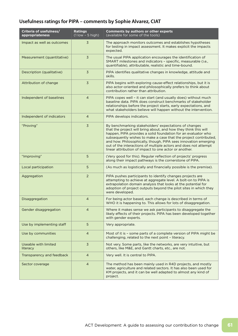# **Usefulness ratings for PIPA – comments by Sophie Alvarez, CIAT**

| Criteria of usefulness/<br>appropriateness | <b>Ratings</b><br>$(1$ low $-5$ high) | <b>Comments by authors or other experts</b><br>(available for some of the tools)                                                                                                                                                                                                                                                                                                                                                                             |
|--------------------------------------------|---------------------------------------|--------------------------------------------------------------------------------------------------------------------------------------------------------------------------------------------------------------------------------------------------------------------------------------------------------------------------------------------------------------------------------------------------------------------------------------------------------------|
| Impact as well as outcomes                 | 3                                     | The approach monitors outcomes and establishes hypotheses<br>for testing in impact assessment. It makes explicit the impacts<br>expected.                                                                                                                                                                                                                                                                                                                    |
| Measurement (quantitative)                 | 3                                     | The usual PIPA application encourages the identification of<br>SMART milestones and indicators - specific, measurable (i.e.,<br>quantifiable), attributable, realistic and time-bound.                                                                                                                                                                                                                                                                       |
| Description (qualitative)                  | 3                                     | PIPA identifies qualitative changes in knowledge, attitude and<br>skills.                                                                                                                                                                                                                                                                                                                                                                                    |
| Attribution of change                      | 3                                     | PIPA begins with exploring cause-effect relationships, but it is<br>also actor-oriented and philosophically prefers to think about<br>contribution rather than attribution.                                                                                                                                                                                                                                                                                  |
| Independent of baselines                   | $\overline{4}$                        | PIPA copes well - it can start (and usually does) without much<br>baseline data. PIPA does construct benchmarks of stakeholder<br>relationships before the project starts, early expectations, and<br>what stakeholders believe will happen without the intervention.                                                                                                                                                                                        |
| Independent of indicators                  | $\overline{4}$                        | PIPA develops indicators.                                                                                                                                                                                                                                                                                                                                                                                                                                    |
| "Proving"                                  | $\overline{\mathsf{3}}$               | By benchmarking stakeholders' expectations of changes<br>that the project will bring about, and how they think this will<br>happen, PIPA provides a solid foundation for an evaluator who<br>subsequently wishes to make a case that the project contributed,<br>and how. Philosophically, though, PIPA sees innovation emerging<br>out of the interactions of multiple actors and does not attempt<br>linear attribution of impact to one actor or another. |
| "Improving"                                | 5                                     | (Very good for this). Regular reflection of projects' progress<br>along their impact pathways is the cornerstone of PIPA.                                                                                                                                                                                                                                                                                                                                    |
| Local participation                        | 5                                     | (As much as logistically and financially possible is the premise).                                                                                                                                                                                                                                                                                                                                                                                           |
| Aggregation                                | 2                                     | PIPA pushes participants to identify changes projects are<br>attempting to achieve at aggregate level. A bolt-on to PIPA is<br>extrapolation domain analysis that looks at the potential for<br>adoption of project outputs beyond the pilot sites in which they<br>were developed.                                                                                                                                                                          |
| Disaggregation                             | $\overline{4}$                        | For being actor based, each change is described in terms of<br>WHO it is happening to. This allows for lots of disaggregation.                                                                                                                                                                                                                                                                                                                               |
| Gender disaggregation                      | 4                                     | Where it makes sense we ask participants to disaggregate the<br>likely effects of their projects. PIPA has been developed together<br>with gender experts.                                                                                                                                                                                                                                                                                                   |
| Use by implementing staff                  | 5                                     | Very appropriate.                                                                                                                                                                                                                                                                                                                                                                                                                                            |
| Use by communities                         | $\overline{4}$                        | Most of it is - some parts of a complete version of PIPA might be<br>challenging, related to the next point - literacy.                                                                                                                                                                                                                                                                                                                                      |
| Useable with limited<br>literacy           | 3                                     | Not very. Some parts, like the networks, are very intuitive, but<br>others, like M&E, and Gantt charts, etc., are not.                                                                                                                                                                                                                                                                                                                                       |
| Transparency and feedback                  | $\overline{4}$                        | Very well. It is central to PIPA.                                                                                                                                                                                                                                                                                                                                                                                                                            |
| Sector coverage                            | $\overline{4}$                        | The method has been mainly used in R4D projects, and mostly<br>water, agriculture and related sectors. It has also been used for<br>KM projects, and it can be well adapted to almost any kind of<br>project.                                                                                                                                                                                                                                                |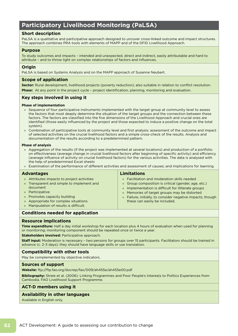# **Participatory Livelihood Monitoring (PaLSA)**

# **Short description**

PaLSA is a qualitative and participative approach designed to uncover cross-linked outcome and impact structures. The approach combines PRA tools with elements of MAPP and of the DFID Livelihood Approach.

### **Purpose**

To study outcomes and impacts – intended and unexpected, direct and indirect, easily attributable and hard to attribute – and to throw light on complex relationships of factors and influences.

# **Origin**

PaLSA is based on Systems Analysis and on the MAPP approach of Susanne Neubert.

# **Scope of application**

**Sector:** Rural development, livelihood projects (poverty reduction); also suitable in relation to conflict resolution. **Phase:** At any point in the project cycle - project identification, planning, monitoring and evaluation.

# **Key steps involved in using it**

#### **Phase of implementation**

- » Sequence of four participative instruments implemented with the target group at community level to assess the factors that most deeply determine the situation of the target groups and the connection between these factors. The factors are classified into the five dimensions of the Livelihood Approach and crucial ones are identified (those easily influenced by the project and those expected to induce a positive change on the total system).
- » Combination of participative tools at community level and first analysis: assessment of the outcome and impact of selected activities on the crucial livelihood factors and a simple cross-check of the results. Analysis and documentation of the results according to a predetermined pattern.

#### **Phase of analysis**

- » Aggregation of the results (if the project was implemented at several locations) and production of a portfolio on effectiveness (average change in crucial livelihood factors after beginning of specific activity) and efficiency (average influence of activity on crucial livelihood factors) for the various activities. The data is analysed with the help of predetermined Excel sheets
- » Examination of the performance of different activities and assessment of causes; and implications for learning.

| <b>Advantages</b>                          | <b>Limitations</b>                                         |  |
|--------------------------------------------|------------------------------------------------------------|--|
| » Attributes impacts to project activities | » Facilitation and moderation skills needed                |  |
| » Transparent and simple to implement and  | » Group composition is critical (gender, age, etc.)        |  |
| document                                   | » Implementation is difficult for illiterate groups        |  |
| » Participative                            | » Memories of target groups may be distorted               |  |
| » Promotes capacity building               | » Failure, initially, to consider negative impacts; though |  |
| » Appropriate for complex situations       | these can easily be included.                              |  |
| » Manipulation of results is difficult.    |                                                            |  |

# **Conditions needed for application**

#### **Resource implications**

**Time expenditure:** Half a day initial workshop for each location plus 4 hours of evaluation when used for planning or monitoring; monitoring component should be repeated once or twice a year.

**Stakeholders involved:** Participative approach.

**Staff input:** Moderation is necessary – two persons for groups over 15 participants. Facilitators should be trained in advance (c. 2-3 days); they should have language skills or use translation.

#### **Compatibility with other tools**

May be complemented by objective indicators.

#### **Sources of support**

**Website:** ftp://ftp.fao.org/docrep/fao/009/ah455e/ah455e00.pdf

**Bibliography:** Strele et al. (2006): Linking Programmes and Poor People's Interests to Politics Experiences from Cambodia, FAO Livelihood Support Programme.

# **ACT-D members using it**

#### **Availability in other languages**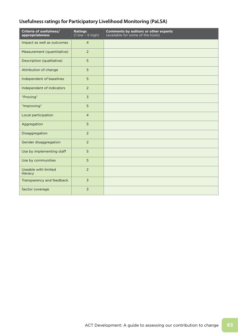# **Usefulness ratings for Participatory Livelihood Monitoring (PaLSA)**

| Criteria of usefulness/<br>appropriateness | <b>Ratings</b><br>$(1$ low $-5$ high) | <b>Comments by authors or other experts</b><br>(available for some of the tools) |
|--------------------------------------------|---------------------------------------|----------------------------------------------------------------------------------|
| Impact as well as outcomes                 | $\overline{4}$                        |                                                                                  |
| Measurement (quantitative)                 | $\overline{2}$                        |                                                                                  |
| Description (qualitative)                  | 5                                     |                                                                                  |
| Attribution of change                      | 5                                     |                                                                                  |
| Independent of baselines                   | 5                                     |                                                                                  |
| Independent of indicators                  | 2                                     |                                                                                  |
| "Proving"                                  | $\overline{3}$                        |                                                                                  |
| "Improving"                                | 5                                     |                                                                                  |
| Local participation                        | $\overline{4}$                        |                                                                                  |
| Aggregation                                | 5                                     |                                                                                  |
| Disaggregation                             | $\overline{2}$                        |                                                                                  |
| Gender disaggregation                      | $\overline{2}$                        |                                                                                  |
| Use by implementing staff                  | 5                                     |                                                                                  |
| Use by communities                         | 5                                     |                                                                                  |
| Useable with limited<br>literacy           | $\overline{2}$                        |                                                                                  |
| Transparency and feedback                  | $\overline{3}$                        |                                                                                  |
| Sector coverage                            | $\overline{3}$                        |                                                                                  |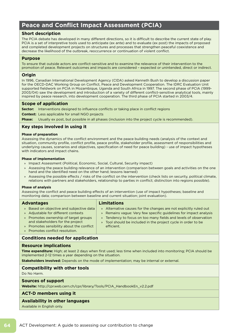# **Peace and Conflict Impact Assessment (PCIA)**

### **Short description**

The PCIA debate has developed in many different directions, so it is difficult to describe the current state of play. PCIA is a set of interpretive tools used to anticipate (ex ante) and to evaluate (ex post) the impacts of proposed and completed development projects on structures and processes that strengthen peaceful coexistence and decrease the likelihood of the outbreak, reoccurrence or continuation of violent conflict.

### **Purpose**

To ensure that outside actors are conflict-sensitive and to examine the relevance of their intervention to the promotion of peace. Relevant outcomes and impacts are considered – expected or unintended, direct or indirect.

#### **Origin**

In 1996, Canadian International Development Agency (CIDA) asked Kenneth Bush to develop a discussion paper for the OECD-DAC Working Group on Conflict, Peace and Development Cooperation. The IDRC Evaluation Unit supported fieldwork on PCIA in Mozambique, Uganda and South Africa in 1997. The second phase of PCIA (1999- 2003/04) saw the development and introduction of a variety of different conflict-sensitive analytical tools, mainly inspired by peace research, into development cooperation. The third phase of PCIA started in 2003/4.

#### **Scope of application**

**Sector:** Interventions designed to influence conflicts or taking place in conflict regions

**Context:** Less applicable for small NGO projects

**Phase:** Usually ex post, but possible in all phases (inclusion into the project cycle is recommended).

### **Key steps involved in using it**

#### **Phase of preparation**

Assessing the dynamics of the conflict environment and the peace building needs (analysis of the context and situation, community profile, conflict profile, peace profile, stakeholder profile, assessment of responsibilities and underlying causes, scenarios and objectives, specification of need for peace building) - use of impact hypotheses with indicators and impact chains.

#### **Phase of implementation**

- » Impact Assessment (Political, Economic, Social, Cultural, Security impact)
- » Assessing the peace building relevance of an intervention (comparison between goals and activities on the one hand and the identified need on the other hand; lessons learned)
- » Assessing the possible effects / risks of the conflict on the intervention (check lists on security, political climate, relations with partners and stakeholders, relationship to parties in conflict; distinction into regions possible).

#### **Phase of analysis**

Assessing the conflict and peace building effects of an intervention (use of impact hypotheses; baseline and monitoring data; comparison between baseline and current situation; joint evaluation).

| <b>Advantages</b>                         | <b>Limitations</b> |                                                                   |
|-------------------------------------------|--------------------|-------------------------------------------------------------------|
| » Based on objective and subjective data  |                    | » Alternative causes for the changes are not explicitly ruled out |
| » Adjustable for different contexts       |                    | » Remains vague: Very few specific quidelines for impact analysis |
| » Promotes ownership of target groups     |                    | » Tendency to focus on too many fields and levels of observation  |
| and stakeholders for the project          |                    | » Tool should be included in the project cycle in order to be     |
| » Promotes sensibility about the conflict |                    | efficient.                                                        |

» Promotes conflict resolution.

#### **Conditions needed for application**

### **Resource implications**

**Time expenditure:** High; at least 2 days when first used; less time when included into monitoring; PCIA should be implemented 2-12 times a year depending on the situation.

**Stakeholders involved:** Depends on the mode of implementation; may be internal or external.

#### **Compatibility with other tools**

Do No Harm.

#### **Sources of support**

**Website:** http://cpr.web.cern.ch/cpr/library/Tools/PCIA\_HandbookEn\_v2.2.pdf

#### **ACT-D members using it**

#### **Availability in other languages**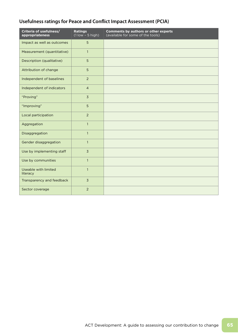# **Usefulness ratings for Peace and Conflict Impact Assessment (PCIA)**

| Criteria of usefulness/<br>appropriateness | <b>Ratings</b><br>$(1$ low - 5 high) | <b>Comments by authors or other experts</b><br>(available for some of the tools) |
|--------------------------------------------|--------------------------------------|----------------------------------------------------------------------------------|
| Impact as well as outcomes                 | 5                                    |                                                                                  |
| Measurement (quantitative)                 | $\mathbf{1}$                         |                                                                                  |
| Description (qualitative)                  | 5                                    |                                                                                  |
| Attribution of change                      | 5                                    |                                                                                  |
| Independent of baselines                   | $\overline{2}$                       |                                                                                  |
| Independent of indicators                  | $\overline{4}$                       |                                                                                  |
| "Proving"                                  | $\overline{3}$                       |                                                                                  |
| "Improving"                                | 5                                    |                                                                                  |
| Local participation                        | $\overline{2}$                       |                                                                                  |
| Aggregation                                | $\mathbf{1}$                         |                                                                                  |
| Disaggregation                             | $\mathbf{1}$                         |                                                                                  |
| Gender disaggregation                      | $\mathbf{1}$                         |                                                                                  |
| Use by implementing staff                  | $\overline{3}$                       |                                                                                  |
| Use by communities                         | $\mathbf{1}$                         |                                                                                  |
| <b>Useable with limited</b><br>literacy    | $\mathbf{1}$                         |                                                                                  |
| Transparency and feedback                  | $\overline{3}$                       |                                                                                  |
| Sector coverage                            | 2                                    |                                                                                  |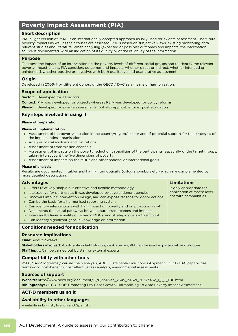# **Poverty Impact Assessment (PIA)**

# **Short description**

PIA, a light version of PSIA, is an internationally accepted approach usually used for ex ante assessment. The future poverty impacts as well as their causes are assessed. PIA is based on subjective views, existing monitoring data, relevant studies and literature. When analysing (expected or possible) outcomes and impacts, the information source is documented, with an indication of its quality or of the reliability of the information.

### **Purpose**

To assess the impact of an intervention on the poverty levels of different social groups and to identify the relevant poverty impact chains. PIA considers outcomes and impacts, whether direct or indirect, whether intended or unintended, whether positive or negative; with both qualitative and quantitative assessment.

# **Origin**

Developed in 2006/7 by different donors of the OECD / DAC as a means of harmonisation.

### **Scope of application**

**Sector:** Developed for all sectors

- **Context:** PIA was developed for projects whereas PSIA was developed for policy reforms
- **Phase:** Developed for ex ante assessments, but also applicable for ex post evaluation.

# **Key steps involved in using it**

#### **Phase of preparation**

#### **Phase of implementation**

- » Assessment of the poverty situation in the country/region/ sector and of potential support for the strategies of the implementing organisation
- » Analysis of stakeholders and institutions
- » Assessment of transmission channels
- » Assessment of impacts on the poverty reduction capabilities of the participants, especially of the target groups, taking into account the five dimensions of poverty
- » Assessment of impacts on the MDGs and other national or international goals.

#### **Phase of analysis**

Results are documented in tables and highlighted optically (colours, symbols etc.) which are complemented by more detailed descriptions.

| <b>Advantages</b>                                                                                                                                                                                                                                                                                                                                                                                                                                                                                                                                                                                          | <b>Limitations</b>                                                              |
|------------------------------------------------------------------------------------------------------------------------------------------------------------------------------------------------------------------------------------------------------------------------------------------------------------------------------------------------------------------------------------------------------------------------------------------------------------------------------------------------------------------------------------------------------------------------------------------------------------|---------------------------------------------------------------------------------|
| » Offers relatively simple but effective and flexible methodology<br>» Is attractive for partners as it was developed by several donor agencies<br>» Uncovers implicit intervention design, and can expose reasons for donor actions<br>» Can be the basis for a harmonised reporting system<br>» Can identify interventions with high impact on poverty and on pro-poor growth<br>» Documents the causal pathways between outputs/outcomes and impacts<br>» Takes multi-dimensionality of poverty, MDGs, and strategic goals into account<br>» Can identify significant gaps in knowledge or information. | Is only appropriate for<br>application at macro level,<br>not with communities. |
| <b>Conditions needed for application</b>                                                                                                                                                                                                                                                                                                                                                                                                                                                                                                                                                                   |                                                                                 |
| Des and a series of the search of the search of the search of the search of the search of the search of the search of the search of the search of the search of the search of the search of the search of the search of the se                                                                                                                                                                                                                                                                                                                                                                             |                                                                                 |

#### **Resource implications**

**Time:** About 2 weeks

**Stakeholders involved:** Applicable in field studies, desk studies, PIA can be used in participative dialogues **Staff input:** Can be carried out by staff or external experts.

#### **Compatibility with other tools**

PSIA, MAPP, logframe / causal chain analysis, ADB, Sustainable Livelihoods Approach, OECD DAC capabilities framework, cost-benefit / cost effectiveness analysis, environmental assessments.

#### **Sources of support**

**Website:** http://www.oecd.org/document/12/0,3343,en\_2649\_34621\_36573452\_1\_1\_1\_1,00.html **Bibliography:** OECD 2006: Promoting Pro-Poor Growth. Harmonising Ex Ante Poverty Impact Assessment.

#### **ACT-D members using it**

#### **Availability in other languages**

Available in English, French and Spanish.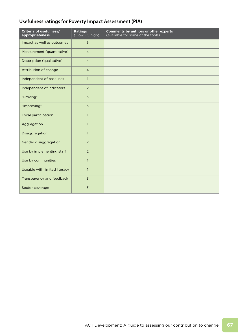# **Usefulness ratings for Poverty Impact Assessment (PIA)**

| Criteria of usefulness/<br>appropriateness | <b>Ratings</b><br>$(1$ low - 5 high) | <b>Comments by authors or other experts</b><br>(available for some of the tools) |
|--------------------------------------------|--------------------------------------|----------------------------------------------------------------------------------|
| Impact as well as outcomes                 | 5                                    |                                                                                  |
| Measurement (quantitative)                 | $\overline{4}$                       |                                                                                  |
| Description (qualitative)                  | $\overline{4}$                       |                                                                                  |
| Attribution of change                      | $\overline{4}$                       |                                                                                  |
| Independent of baselines                   | $\mathbf{1}$                         |                                                                                  |
| Independent of indicators                  | 2                                    |                                                                                  |
| "Proving"                                  | $\overline{3}$                       |                                                                                  |
| "Improving"                                | $\overline{3}$                       |                                                                                  |
| Local participation                        | $\mathbf{1}$                         |                                                                                  |
| Aggregation                                | $\mathbf{1}$                         |                                                                                  |
| Disaggregation                             | $\mathbf{1}$                         |                                                                                  |
| Gender disaggregation                      | $\overline{2}$                       |                                                                                  |
| Use by implementing staff                  | $\overline{2}$                       |                                                                                  |
| Use by communities                         | $\overline{1}$                       |                                                                                  |
| Useable with limited literacy              | $\mathbf{1}$                         |                                                                                  |
| Transparency and feedback                  | $\overline{3}$                       |                                                                                  |
| Sector coverage                            | $\overline{3}$                       |                                                                                  |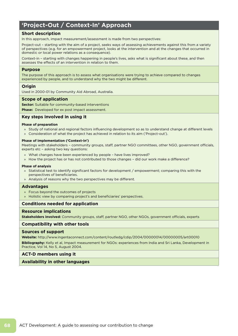# **'Project-Out / Context-In' Approach**

### **Short description**

In this approach, impact measurement/assessment is made from two perspectives:

Project-out – starting with the aim of a project, seeks ways of assessing achievements against this from a variety of perspectives (e.g. for an empowerment project, looks at the intervention and at the changes that occurred in domestic or local power relations as a consequence).

Context-in – starting with changes happening in people's lives, asks what is significant about these, and then assesses the effects of an intervention in relation to them.

#### **Purpose**

The purpose of this approach is to assess what organisations were trying to achieve compared to changes experienced by people, and to understand why the two might be different.

#### **Origin**

Used in 2000-01 by Community Aid Abroad, Australia.

#### **Scope of application**

**Sector:** Suitable for community-based interventions

**Phase:** Developed for ex post impact assessment.

#### **Key steps involved in using it**

#### **Phase of preparation**

- » Study of national and regional factors influencing development so as to understand change at different levels
- » Consideration of what the project has achieved in relation to its aim ('Project-out').

#### **Phase of implementation ('Context-in')**

Meetings with stakeholders – community groups, staff, partner NGO committees, other NGO, government officials, experts etc – asking two key questions:

- » What changes have been experienced by people have lives improved?
- » How the project has or has not contributed to those changes did our work make a difference?

#### **Phase of analysis**

- » Statistical test to identify significant factors for development / empowerment; comparing this with the perspectives of beneficiaries.
- » Analysis of reasons why the two perspectives may be different.

#### **Advantages**

- » Focus beyond the outcomes of projects
- » Holistic view by comparing project's and beneficiaries' perspectives.

#### **Conditions needed for application**

#### **Resource implications**

**Stakeholders involved:** Community groups, staff, partner NGO, other NGOs, government officials, experts

### **Compatibility with other tools**

#### **Sources of support**

**Website:** http://www.ingentaconnect.com/content/routledg/cdip/2004/00000014/00000005/art00010

**Bibliography:** Kelly et al, Impact measurement for NGOs: experiences from India and Sri Lanka, Development in Practice, Vol 14, No 5, August 2004.

#### **ACT-D members using it**

**Availability in other languages**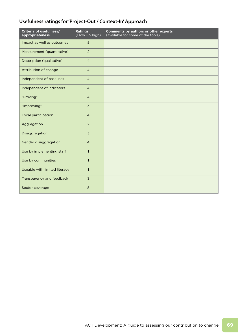# **Usefulness ratings for 'Project-Out / Context-In' Approach**

| Criteria of usefulness/<br>appropriateness | <b>Ratings</b><br>$(1$ low $-5$ high) | <b>Comments by authors or other experts</b><br>(available for some of the tools) |
|--------------------------------------------|---------------------------------------|----------------------------------------------------------------------------------|
| Impact as well as outcomes                 | 5                                     |                                                                                  |
| Measurement (quantitative)                 | $\overline{2}$                        |                                                                                  |
| Description (qualitative)                  | $\overline{4}$                        |                                                                                  |
| Attribution of change                      | $\overline{4}$                        |                                                                                  |
| Independent of baselines                   | $\overline{4}$                        |                                                                                  |
| Independent of indicators                  | $\overline{4}$                        |                                                                                  |
| "Proving"                                  | $\overline{4}$                        |                                                                                  |
| "Improving"                                | $\overline{3}$                        |                                                                                  |
| Local participation                        | $\overline{4}$                        |                                                                                  |
| Aggregation                                | $\overline{2}$                        |                                                                                  |
| Disaggregation                             | $\overline{3}$                        |                                                                                  |
| Gender disaggregation                      | $\overline{4}$                        |                                                                                  |
| Use by implementing staff                  | $\mathbf{1}$                          |                                                                                  |
| Use by communities                         | $\mathbf{1}$                          |                                                                                  |
| Useable with limited literacy              | $\mathbf{1}$                          |                                                                                  |
| Transparency and feedback                  | $\overline{3}$                        |                                                                                  |
| Sector coverage                            | 5                                     |                                                                                  |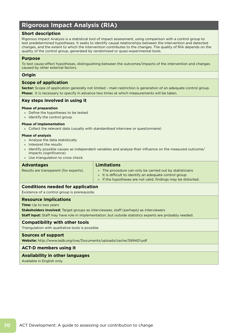# **Rigorous Impact Analysis (RIA)**

# **Short description**

Rigorous Impact Analysis is a statistical tool of impact assessment, using comparison with a control group to test predetermined hypotheses. It seeks to identify causal relationships between the intervention and detected changes, and the extent to which the intervention contributes to the changes. The quality of RIA depends on the quality of the control group, generated by randomised or quasi-experimental tools.

#### **Purpose**

To test cause-effect hypotheses, distinguishing between the outcomes/impacts of the intervention and changes caused by other external factors.

#### **Origin**

#### **Scope of application**

**Sector:** Scope of application generally not limited – main restriction is generation of an adequate control group. **Phase:** It is necessary to specify in advance two times at which measurements will be taken.

### **Key steps involved in using it**

#### **Phase of preparation**

- » Define the hypotheses to be tested
- » Identify the control group

#### **Phase of implementation**

» Collect the relevant data (usually with standardised interview or questionnaire)

#### **Phase of analysis**

- » Analyse the data statistically
- » Interpret the results
- » Identify possible causes as independent variables and analyse their influence on the measured outcome/ impacts (significance)
- » Use triangulation to cross check.

#### **Advantages**

|  |  | Results are transparent (for experts). |  |
|--|--|----------------------------------------|--|
|--|--|----------------------------------------|--|

# **Limitations**

» The procedure can only be carried out by statisticians » It is difficult to identify an adequate control group » If the hypotheses are not valid, findings may be distorted.

#### **Conditions needed for application**

Existence of a control group is prerequisite.

#### **Resource implications**

**Time:** Up to two years

**Stakeholders involved:** Target groups as interviewees, staff (perhaps) as interviewers **Staff input:** Staff may have role in implementation, but outside statistics experts are probably needed.

#### **Compatibility with other tools**

Triangulation with qualitative tools is possible.

#### **Sources of support**

**Website:** http://www.iadb.org/ove/Documents/uploads/cache/599401.pdf

#### **ACT-D members using it**

#### **Availability in other languages**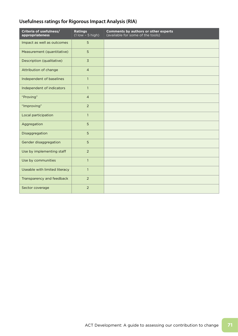# **Usefulness ratings for Rigorous Impact Analysis (RIA)**

| Criteria of usefulness/<br>appropriateness | <b>Ratings</b><br>$(1$ low $-5$ high) | <b>Comments by authors or other experts</b><br>(available for some of the tools) |
|--------------------------------------------|---------------------------------------|----------------------------------------------------------------------------------|
| Impact as well as outcomes                 | 5                                     |                                                                                  |
| Measurement (quantitative)                 | 5                                     |                                                                                  |
| Description (qualitative)                  | $\overline{3}$                        |                                                                                  |
| Attribution of change                      | $\overline{4}$                        |                                                                                  |
| Independent of baselines                   | $\mathbf{1}$                          |                                                                                  |
| Independent of indicators                  | $\mathbf{1}$                          |                                                                                  |
| "Proving"                                  | $\overline{4}$                        |                                                                                  |
| "Improving"                                | $\overline{2}$                        |                                                                                  |
| Local participation                        | $\mathbf{1}$                          |                                                                                  |
| Aggregation                                | 5                                     |                                                                                  |
| Disaggregation                             | 5                                     |                                                                                  |
| Gender disaggregation                      | 5                                     |                                                                                  |
| Use by implementing staff                  | $\overline{2}$                        |                                                                                  |
| Use by communities                         | $\mathbf{1}$                          |                                                                                  |
| Useable with limited literacy              | $\mathbf{1}$                          |                                                                                  |
| Transparency and feedback                  | 2                                     |                                                                                  |
| Sector coverage                            | 2                                     |                                                                                  |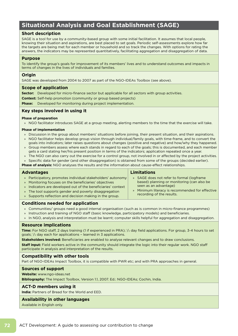# **Situational Analysis and Goal Establishment (SAGE)**

# **Short description**

SAGE is a tool for use by a community-based group with some initial facilitation. It assumes that local people, knowing their situation and aspirations, are best placed to set goals. Periodic self-assessments explore how far the targets are being met for each member or household and so track the changes. With options for rating the answers, the indicators may be represented quantitatively, facilitating aggregation and disaggregation of data.

### **Purpose**

To identify the group's goals for improvement of its members' lives and to understand outcomes and impacts in terms of changes in the lives of individuals and families.

### **Origin**

SAGE was developed from 2004 to 2007 as part of the NGO-IDEAs Toolbox (see above).

# **Scope of application**

**Sector:** Developed for micro-finance sector but applicable for all sectors with group activities.

**Context:** Self-help promotion (community or group based projects)

**Phase:** Developed for monitoring during project implementation.

### **Key steps involved in using it**

#### **Phase of preparation**

» NGO facilitator introduces SAGE at a group meeting, alerting members to the time that the exercise will take.

#### **Phase of implementation**

- » Discussion in the group about members' situations before joining, their present situation, and their aspirations.
- » NGO facilitator helps develop group vision through individual/family goals, with time-frame, and to convert the goals into indicators; later raises questions about changes (positive and negative) and how/why they happened.
- » Group members assess where each stands in regard to each of the goals; this is documented, and each member gets a card stating her/his present position in terms of the indicators; application repeated once a year.
- » The NGO can also carry out the exercise for a control group, not involved in or affected by the project activities.

» Specific data for gender (and other disaggregation) is obtained from some of the groups (decided earlier).

**Phase of analysis:** NGO analyses the results and the information about cause-effect relationships.

#### **Advantages**

#### **Limitations**

» Participatory, promotes individual stakeholders' autonomy » Monitoring focuses on the beneficiaries' objectives » Indicators are developed out of the beneficiaries' context » The tool supports gender and poverty disaggregation » Supports reflection and decision making in the group. » SAGE does not refer to formal (logframe based) planning or monitoring (can also be seen as an advantage) » Minimum literacy is recommended for effective recording of the results.

# **Conditions needed for application**

- » Communities/ groups need a good internal organisation (such as is common in micro-finance programmes)
- » Instruction and training of NGO staff (basic knowledge, participatory models) and beneficiaries.
- » In NGO, analysis and interpretation must be learnt; computer skills helpful for aggregation and disaggregation.

### **Resource implications**

**Time:** For NGO staff, 2 days training (1 if experienced in PRA);  $\frac{1}{2}$  day field applications. For group, 3-4 hours to set goals;  $\frac{1}{2}$  day each for applications - learned in 3 applications.

**Stakeholders involved:** Beneficiaries are enabled to analyse relevant changes and to draw conclusions.

**Staff input:** Field workers active in the community should integrate the logic into their regular work. NGO staff participate in analysis and interpretation of the results.

# **Compatibility with other tools**

Part of NGO-IDEAs Impact Toolbox, it is compatible with PWR etc; and with PRA approaches in general.

# **Sources of support**

**Website:** www.ngo-ideas.net

**Bibliography:** The Impact Toolbox, Version 1.1, 2007. Ed.: NGO-IDEAs; Cochin, India.

# **ACT-D members using it**

**India:** Partners of Bread for the World and EED.

#### **Availability in other languages**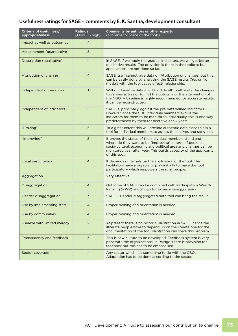# **Usefulness ratings for SAGE – comments by E. K. Santha, development consultant**

| Criteria of usefulness/<br>appropriateness | <b>Ratings</b><br>$(1$ low $-5$ high) | <b>Comments by authors or other experts</b><br>(available for some of the tools)                                                                                                                                                                                              |
|--------------------------------------------|---------------------------------------|-------------------------------------------------------------------------------------------------------------------------------------------------------------------------------------------------------------------------------------------------------------------------------|
| Impact as well as outcomes                 | $\overline{4}$                        |                                                                                                                                                                                                                                                                               |
| Measurement (quantitative)                 | 5                                     |                                                                                                                                                                                                                                                                               |
| Description (qualitative)                  | $\overline{4}$                        | In SAGE, if we apply the gradual indicators, we will get better<br>qualitative results. The provision is there in the toolbox; but<br>applications are not done so far.                                                                                                       |
| Attribution of change                      | $\overline{4}$                        | SAGE itself cannot give data on Attribution of changes; but this<br>can be easily done by analysing the SAGE results (Yes or No<br>model) with the tool cause effect-relationship.                                                                                            |
| Independent of baselines                   | $\mathbf{1}$                          | Without baseline data it will be difficult to attribute the changes<br>to various actors or to find the outcome of the intervention of<br>the NGO. A baseline is highly recommended for accurate results,<br>it can be reconstructed.                                         |
| Independent of indicators                  | 5                                     | SAGE is, principally, against the pre-determined indicators.<br>However, once the SHG individual members evolve the<br>indicators for them to be monitored individually, this is one way<br>predetermined by them for next five or six years.                                 |
| "Proving"                                  | 5                                     | To a great extent this will provide authentic data since this is a<br>tool for individual members to assess themselves and set goals.                                                                                                                                         |
| "Improving"                                | 5                                     | It proves the status of the individual members stand and<br>where do they want to be (improving) in term of personal,<br>socio-cultural, economic and political area and changes can be<br>monitored year after year. This builds capacity of the applicants<br>of this tool. |
| Local participation                        | $\overline{4}$                        | It depends on largely on the application of the tool. The<br>facilitators have a big role to play initially to make the tool<br>participatory which empowers the rural people.                                                                                                |
| Aggregation                                | 5                                     | Very effective.                                                                                                                                                                                                                                                               |
| <b>Disaggregation</b>                      | $\overline{4}$                        | Outcome of SAGE can be combined with Participatory Wealth<br>Ranking (PWR) and allows for poverty disaggregation.                                                                                                                                                             |
| Gender disaggregation                      | $\overline{3}$                        | SAGE + Gender disaggregated data tool can bring the result.                                                                                                                                                                                                                   |
| Use by implementing staff                  | 4                                     | Proper training and orientation is needed.                                                                                                                                                                                                                                    |
| Use by communities                         | $\overline{4}$                        | Proper training and orientation is needed.                                                                                                                                                                                                                                    |
| Useable with limited literacy              | $\overline{2}$                        | At present there is no pictorial illustration in SAGE, hence the<br>illiterate people have to depend up on the literate one for the<br>documentation of the tool. Illustration can solve this problem.                                                                        |
| Transparency and feedback                  | $\overline{3}$                        | This is new culture to be developed. Feedback system is very<br>poor with the organisations. In PANgo, there is provision for<br>feedback but this has to be emphasised.                                                                                                      |
| Sector coverage                            | $\overline{4}$                        | Any sector which has something to do with the CBOs.<br>Adaptation has to be done according to the sector.                                                                                                                                                                     |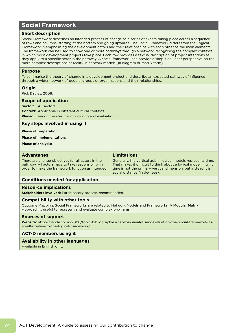# **Social Framework**

## **Short description**

Social Framework describes an intended process of change as a series of events taking place across a sequence of rows and columns, starting at the bottom and going upwards. The Social Framework differs from the Logical Framework in emphasising the development actors and their relationships with each other as the main elements. The framework can be used to show one or more pathways through a network, recognising the complex contexts in which most development projects take place. Each row provides a textual description of project intentions as they apply to a specific actor in the pathway. A social framework can provide a simplified linear perspective on the more complex descriptions of reality in network models (in diagram or matrix form).

#### **Purpose**

To summarise the theory of change in a development project and describe an expected pathway of influence through a wider network of people, groups or organizations and their relationships.

#### **Origin**

Rick Davies, 2008.

#### **Scope of application**

**Sector:** All sectors

**Context:** Applicable in different cultural contexts **Phase:** Recommended for monitoring and evaluation.

#### **Key steps involved in using it**

#### **Phase of preparation:**

**Phase of implementation:**

**Phase of analysis:**

| <b>Advantages</b>                                                                                                                                            | <b>Limitations</b>                                                                                                                                                                                                                   |
|--------------------------------------------------------------------------------------------------------------------------------------------------------------|--------------------------------------------------------------------------------------------------------------------------------------------------------------------------------------------------------------------------------------|
| There are change objectives for all actors in the<br>pathway. All actors have to take responsibility in<br>order to make the framework function as intended. | Generally, the vertical axis in logical models represents time.<br>That makes it difficult to think about a logical model in which<br>time is not the primary vertical dimension, but instead it is<br>social distance (in degrees). |

#### **Conditions needed for application**

#### **Resource implications**

**Stakeholders involved:** Participatory process recommended.

#### **Compatibility with other tools**

Outcome Mapping. Social Frameworks are related to Network Models and Frameworks. A Modular Matrix Approach is useful to represent and evaluate complex programs.

#### **Sources of support**

**Website:** http://mande.co.uk/2008/topic-bibliographies/networksanalysisandevaluation/the-social-framework-asan-alternative-to-the-logical-framework/

#### **ACT-D members using it**

#### **Availability in other languages**

Available in English only.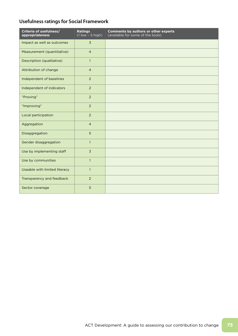# **Usefulness ratings for Social Framework**

| Criteria of usefulness/<br>appropriateness | <b>Ratings</b><br>$\overline{(1)}$ low $\overline{-}$ 5 high) | <b>Comments by authors or other experts</b><br>(available for some of the tools) |
|--------------------------------------------|---------------------------------------------------------------|----------------------------------------------------------------------------------|
| Impact as well as outcomes                 | $\overline{3}$                                                |                                                                                  |
| Measurement (quantitative)                 | $\overline{4}$                                                |                                                                                  |
| Description (qualitative)                  | $\mathbf{1}$                                                  |                                                                                  |
| Attribution of change                      | $\overline{4}$                                                |                                                                                  |
| Independent of baselines                   | $\overline{2}$                                                |                                                                                  |
| Independent of indicators                  | $\overline{2}$                                                |                                                                                  |
| "Proving"                                  | 2                                                             |                                                                                  |
| "Improving"                                | 2                                                             |                                                                                  |
| Local participation                        | $\overline{2}$                                                |                                                                                  |
| Aggregation                                | $\overline{4}$                                                |                                                                                  |
| Disaggregation                             | 5                                                             |                                                                                  |
| Gender disaggregation                      | $\mathbf{1}$                                                  |                                                                                  |
| Use by implementing staff                  | $\overline{3}$                                                |                                                                                  |
| Use by communities                         | $\mathbf{1}$                                                  |                                                                                  |
| Useable with limited literacy              | $\mathbf{1}$                                                  |                                                                                  |
| Transparency and feedback                  | $\overline{2}$                                                |                                                                                  |
| Sector coverage                            | 5                                                             |                                                                                  |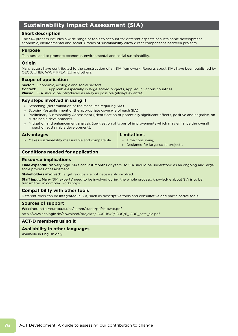# **Sustainability Impact Assessment (SIA)**

## **Short description**

The SIA process includes a wide range of tools to account for different aspects of sustainable development – economic, environmental and social. Grades of sustainability allow direct comparisons between projects.

#### **Purpose**

To assess and to promote economic, environmental and social sustainability.

## **Origin**

Many actors have contributed to the construction of an SIA framework. Reports about SIAs have been published by OECD, UNEP, WWF, FFLA, EU and others.

#### **Scope of application**

**Sector:** Economic, ecologic and social sectors **Context:** Applicable especially in large-scaled projects, applied in various countries **Phase:** SIA should be introduced as early as possible (always ex ante).

#### **Key steps involved in using it**

- » Screening (determination of the measures requiring SIA)
- » Scoping (establishment of the appropriate coverage of each SIA)
- » Preliminary Sustainability Assessment (identification of potentially significant effects, positive and negative, on sustainable development)
- » Mitigation and enhancement analysis (suggestion of types of improvements which may enhance the overall impact on sustainable development).

#### **Advantages**

» Makes sustainability measurable and comparable.

#### **Limitations**

- » Time consuming
- » Designed for large-scale projects.

#### **Conditions needed for application**

#### **Resource implications**

**Time expenditure:** Very high. SIAs can last months or years, so SIA should be understood as an ongoing and largescale process of assessment.

**Stakeholders involved:** Target groups are not necessarily involved.

**Staff input:** Many 'SIA experts' need to be involved during the whole process; knowledge about SIA is to be transmitted in complex workshops.

#### **Compatibility with other tools**

Different tools can be integrated in SIA, such as descriptive tools and consultative and participative tools.

#### **Sources of support**

**Websites:** http://europa.eu.int/comm/trade/pdf/repwto.pdf http://www.ecologic.de/download/projekte/1800-1849/1800/6\_1800\_cate\_sia.pdf

## **ACT-D members using it**

## **Availability in other languages**

Available in English only.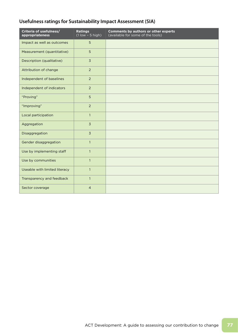# **Usefulness ratings for Sustainability Impact Assessment (SIA)**

| Criteria of usefulness/<br>appropriateness | <b>Ratings</b><br>$(1$ low $-5$ high) | Comments by authors or other experts<br>(available for some of the tools) |
|--------------------------------------------|---------------------------------------|---------------------------------------------------------------------------|
| Impact as well as outcomes                 | 5                                     |                                                                           |
| Measurement (quantitative)                 | 5                                     |                                                                           |
| Description (qualitative)                  | $\overline{3}$                        |                                                                           |
| Attribution of change                      | $\overline{2}$                        |                                                                           |
| Independent of baselines                   | $\overline{2}$                        |                                                                           |
| Independent of indicators                  | 2                                     |                                                                           |
| "Proving"                                  | 5                                     |                                                                           |
| "Improving"                                | $\overline{2}$                        |                                                                           |
| Local participation                        | $\mathbf{1}$                          |                                                                           |
| Aggregation                                | $\overline{3}$                        |                                                                           |
| Disaggregation                             | $\overline{3}$                        |                                                                           |
| Gender disaggregation                      | $\mathbf{1}$                          |                                                                           |
| Use by implementing staff                  | $\mathbf{1}$                          |                                                                           |
| Use by communities                         | $\mathbf{1}$                          |                                                                           |
| Useable with limited literacy              | $\mathbf{1}$                          |                                                                           |
| Transparency and feedback                  | $\mathbf{1}$                          |                                                                           |
| Sector coverage                            | $\overline{4}$                        |                                                                           |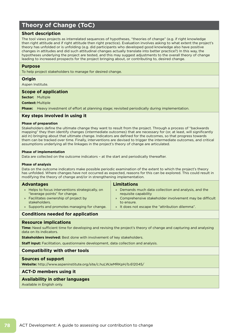# **Theory of Change (ToC)**

### **Short description**

The tool views projects as interrelated sequences of hypotheses, "theories of change" (e.g. if right knowledge then right attitude and if right attitude then right practice). Evaluation involves asking to what extent the project's theory has unfolded or is unfolding (e.g. did participants who developed good knowledge also have positive changes in attitudes and did such attitudinal changes actually translate into better practice?) In this way, the hypotheses underlying the project are tested, and this may suggest adjustments to the overall theory of change leading to increased prospects for the project bringing about, or contributing to, desired change.

#### **Purpose**

To help project stakeholders to manage for desired change.

#### **Origin**

Aspen Institute.

#### **Scope of application**

**Sector:** Multiple

**Context:** Multiple

**Phase:** Heavy investment of effort at planning stage; revisited periodically during implementation.

#### **Key steps involved in using it**

#### **Phase of preparation**

Stakeholders define the ultimate change they want to result from the project. Through a process of "backwards mapping" they then identify changes (intermediate outcomes) that are necessary for (or, at least, will significantly aid in) bringing about that ultimate change. Indicators are defined for the outcomes, so that progress towards them can be tracked over time. Finally, interventions are devised to trigger the intermediate outcomes, and critical assumptions underlying all the linkages in the project's theory of change are articulated.

#### **Phase of implementation**

Data are collected on the outcome indicators – at the start and periodically thereafter.

#### **Phase of analysis**

Data on the outcome indicators make possible periodic examination of the extent to which the project's theory has unfolded. Where changes have not occurred as expected, reasons for this can be explored. This could result in modifying the theory of change and/or in strengthening implementation.

| <b>Advantages</b>                                                                 | <b>Limitations</b>                                                           |
|-----------------------------------------------------------------------------------|------------------------------------------------------------------------------|
| » Helps to focus interventions strategically, on<br>"leverage points" for change. | » Demands much data collection and analysis, and the<br>requisite capability |
| » Facilitates ownership of project by<br>stakeholders.                            | » Comprehensive stakeholder involvement may be difficult<br>to ensure.       |
| » Supports and promotes managing for change.                                      | » It does not escape the "attribution dilemma".                              |
| Canditions nooded for condication                                                 |                                                                              |

#### **Conditions needed for application**

#### **Resource implications**

**Time:** Need sufficient time for developing and revising the project's theory of change and capturing and analysing data on its indicators.

**Stakeholders involved:** Best done with involvement of key stakeholders.

**Staff input:** Facilitation, questionnaire development, data collection and analysis.

#### **Compatibility with other tools**

#### **Sources of support**

**Website:** http://www.aspeninstitute.org/site/c.huLWJeMRKpH/b.612045/

#### **ACT-D members using it**

#### **Availability in other languages**

Available in English only.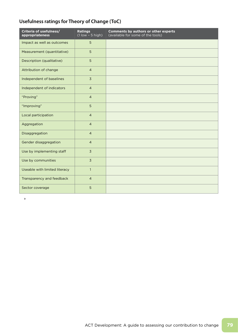# **Usefulness ratings for Theory of Change (ToC)**

| Criteria of usefulness/<br>appropriateness | <b>Ratings</b><br>$\overline{(1 \text{ low} - 5 \text{ high})}$ | <b>Comments by authors or other experts</b><br>(available for some of the tools) |
|--------------------------------------------|-----------------------------------------------------------------|----------------------------------------------------------------------------------|
| Impact as well as outcomes                 | 5                                                               |                                                                                  |
| Measurement (quantitative)                 | 5                                                               |                                                                                  |
| Description (qualitative)                  | 5                                                               |                                                                                  |
| Attribution of change                      | $\overline{4}$                                                  |                                                                                  |
| Independent of baselines                   | $\overline{3}$                                                  |                                                                                  |
| Independent of indicators                  | $\overline{4}$                                                  |                                                                                  |
| "Proving"                                  | $\overline{4}$                                                  |                                                                                  |
| "Improving"                                | 5                                                               |                                                                                  |
| Local participation                        | $\overline{4}$                                                  |                                                                                  |
| Aggregation                                | $\overline{4}$                                                  |                                                                                  |
| Disaggregation                             | $\overline{4}$                                                  |                                                                                  |
| Gender disaggregation                      | $\overline{4}$                                                  |                                                                                  |
| Use by implementing staff                  | $\overline{3}$                                                  |                                                                                  |
| Use by communities                         | $\overline{3}$                                                  |                                                                                  |
| Useable with limited literacy              | $\mathbf{1}$                                                    |                                                                                  |
| Transparency and feedback                  | $\overline{4}$                                                  |                                                                                  |
| Sector coverage                            | 5                                                               |                                                                                  |

»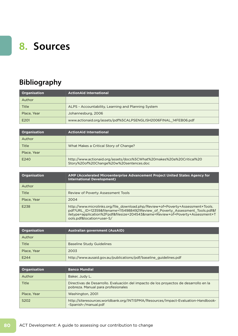# **8. Sources**

# **Bibliography**

| <b>Organisation</b> | <b>ActionAid International</b>                                  |
|---------------------|-----------------------------------------------------------------|
| Author              |                                                                 |
| Title               | ALPS - Accountability, Learning and Planning System             |
| Place, Year         | Johannesburg, 2006                                              |
| E <sub>201</sub>    | www.actionaid.org/assets/pdf%5CALPSENGLISH2006FINAL 14FEB06.pdf |

| <b>Organisation</b> | <b>ActionAid International</b>                                                                                   |
|---------------------|------------------------------------------------------------------------------------------------------------------|
| Author              |                                                                                                                  |
| Title               | What Makes a Critical Story of Change?                                                                           |
| Place, Year         |                                                                                                                  |
| E240                | http://www.actionaid.org/assets/docs%5CWhat%20makes%20a%20Critical%20<br>Story%20of%20Change%20w%20sentences.doc |

| <b>Organisation</b> | AMP (Accelerated Microenterprise Advancement Project United States Agency for<br><b>International Development)</b>                                                                                                                                                             |
|---------------------|--------------------------------------------------------------------------------------------------------------------------------------------------------------------------------------------------------------------------------------------------------------------------------|
| Author              |                                                                                                                                                                                                                                                                                |
| Title               | <b>Review of Poverty Assessment Tools</b>                                                                                                                                                                                                                                      |
| Place, Year         | 2004                                                                                                                                                                                                                                                                           |
| E238                | http://www.microlinks.org/file_download.php/Review+of+Poverty+Assessment+Tools.<br>pdf?URL ID=12359&filename=11549884921Review of Poverty Assessment Tools.pdf&f<br>iletype=application%2Fpdf&filesize=204543&name=Review+of+Poverty+Assessment+T<br>ools.pdf&location=user-S/ |

| Organisation | <b>Australian government (AusAID)</b>                             |
|--------------|-------------------------------------------------------------------|
| Author       |                                                                   |
| Title        | <b>Baseline Study Guidelines</b>                                  |
| Place, Year  | 2003                                                              |
| E244         | http://www.ausaid.gov.au/publications/pdf/baseline_guidelines.pdf |

| <b>Organisation</b>           | <b>Banco Mundial</b>                                                                                                        |
|-------------------------------|-----------------------------------------------------------------------------------------------------------------------------|
| Author                        | Baker, Judy L.                                                                                                              |
| <b>Title</b>                  | Directivas de Desarrollo. Evaluación del impacto de los proyectos de desarrollo en la<br>pobreza. Manual para profesionales |
| Place, Year                   | Washington, 2001                                                                                                            |
| S <sub>2</sub> O <sub>2</sub> | http://siteresources.worldbank.org/INTISPMA/Resources/Impact-Evaluation-Handbook-<br>-Spanish-/manual.pdf                   |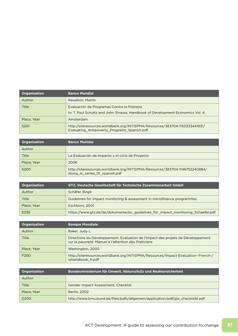| <b>Organisation</b> | <b>Banco Mundial</b>                                                                                                       |
|---------------------|----------------------------------------------------------------------------------------------------------------------------|
| Author              | Ravallion, Martin                                                                                                          |
| Title               | Evaluación de Programas Contra la Pobreza                                                                                  |
|                     | In: T. Paul Schultz and John Strauss, Handbook of Development Economics Vol. 4.                                            |
| Place, Year         | Amsterdam                                                                                                                  |
| S <sub>201</sub>    | http://siteresources.worldbank.org/INTISPMA/Resources/383704-1153333441931/<br>Evaluating_Antipoverty_Programs_Spanish.pdf |

| <b>Organisation</b> | <b>Banco Munidal</b>                                                                                          |
|---------------------|---------------------------------------------------------------------------------------------------------------|
| Author              |                                                                                                               |
| Title               | La Evaluación de Impacto y el ciclo de Proyecto                                                               |
| Place, Year         | 2006                                                                                                          |
| S <sub>200</sub>    | http://siteresources.worldbank.org/INTISPMA/Resources/383704-1146752240884/<br>doing_ie_series_01_spanish.pdf |

| <b>Organisation</b> | GTZ, Deutsche Gesellschaft für Technische Zusammenarbeit GmbH                    |
|---------------------|----------------------------------------------------------------------------------|
| Author              | Schäfer, Birgit                                                                  |
| Title               | Guidelines for impact monitoring & assessment in microfinance programmes         |
| Place, Year         | Eschborn, 2001                                                                   |
| E236                | https://www.gtz.de/de/dokumente/en_guidelines_for_impact_monitoring_Schaefer.pdf |

| <b>Organisation</b> | <b>Banque Mondiale</b>                                                                                                                   |
|---------------------|------------------------------------------------------------------------------------------------------------------------------------------|
| Author              | Baker, Judy L.                                                                                                                           |
| <b>Title</b>        | Directions du Developpement. Evaluation de l'impact des projets de Développement<br>sur la pauvreté. Manuel à l'attention des Praticiens |
| Place, Year         | Washington, 2000                                                                                                                         |
| F <sub>200</sub>    | http://siteresources.worldbank.org/INTISPMA/Resources/Impact-Evaluation--French-/<br>iehandbook fr.pdf                                   |

| Organisation     | Bundesministerium für Umwelt, Naturschutz und Reaktorsicherheit                |
|------------------|--------------------------------------------------------------------------------|
| Author           |                                                                                |
| Title            | Gender Impact Assessment. Checklist                                            |
| Place, Year      | <b>Berlin, 2002</b>                                                            |
| D <sub>200</sub> | http://www.bmu.bund.de/files/pdfs/allgemein/application/pdf/gia_checkliste.pdf |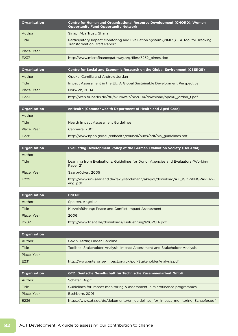| <b>Organisation</b> | <b>Centre for Human and Organisational Resource Development (CHORD); Women</b><br><b>Opportunity Fund Opportunity Network</b> |
|---------------------|-------------------------------------------------------------------------------------------------------------------------------|
| Author              | Sinapi Aba Trust, Ghana                                                                                                       |
| Title               | Participatory Impact Monitoring and Evaluation System (PIMES) - A Tool for Tracking<br><b>Transformation Draft Report</b>     |
| Place, Year         |                                                                                                                               |
| E237                | http://www.microfinancegateway.org/files/3232 pimes.doc                                                                       |

| Organisation | <b>Centre for Social and Economic Research on the Global Environment (CSERGE)</b> |
|--------------|-----------------------------------------------------------------------------------|
| Author       | Opoku, Camilla and Andrew Jordan                                                  |
| <b>Title</b> | Impact Assessment in the EU. A Global Sustainable Development Perspective         |
| Place, Year  | Norwich, 2004                                                                     |
| E223         | http://web.fu-berlin.de/ffu/akumwelt/bc2004/download/opoku_jordan_f.pdf           |

| Organisation | enHealth (Commonwealth Department of Health and Aged Care)          |
|--------------|---------------------------------------------------------------------|
| Author       |                                                                     |
| Title        | <b>Health Impact Assessment Guidelines</b>                          |
| Place, Year  | Canberra, 2001                                                      |
| E228         | http://www.nphp.gov.au/enhealth/council/pubs/pdf/hia_guidelines.pdf |

| Organisation | <b>Evaluating Development Policy of the German Evaluation Society (DeGEval)</b>              |
|--------------|----------------------------------------------------------------------------------------------|
| Author       |                                                                                              |
| Title        | Learning from Evaluations. Guidelines for Donor Agencies and Evaluators (Working<br>Paper 2) |
| Place, Year  | Saarbrücken, 2005                                                                            |
| E229         | http://www.uni-saarland.de/fak5/stockmann/akepol/download/AK_WORKINGPAPER2-<br>engl.pdf      |

| Organisation     | <b>FriENT</b>                                         |
|------------------|-------------------------------------------------------|
| Author           | Spelten, Angelika                                     |
| Title            | Kurzeinführung: Peace and Conflict Impact Assessment  |
| Place, Year      | 2006                                                  |
| D <sub>202</sub> | http://www.frient.de/downloads/Einfuehrung%20PCIA.pdf |

| Organisation |                                                                           |
|--------------|---------------------------------------------------------------------------|
| Author       | Gavin, Tertia; Pinder, Caroline                                           |
| Title        | Toolbox: Stakeholder Analysis. Impact Assessment and Stakeholder Analysis |
| Place, Year  |                                                                           |
| E231         | http://www.enterprise-impact.org.uk/pdf/StakeholderAnalysis.pdf           |

| <b>Organisation</b> | GTZ, Deutsche Gesellschaft für Technische Zusammenarbeit GmbH                    |
|---------------------|----------------------------------------------------------------------------------|
| Author              | Schäfer, Birgit                                                                  |
| Title               | Guidelines for impact monitoring & assessment in microfinance programmes         |
| Place, Year         | Eschborn, 2001                                                                   |
| E236                | https://www.gtz.de/de/dokumente/en_guidelines_for_impact_monitoring_Schaefer.pdf |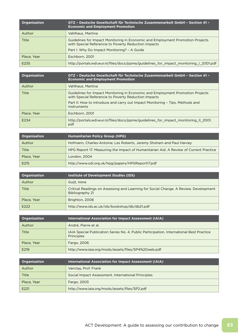| <b>Organisation</b> | GTZ - Deutsche Gesellschaft für Technische Zusammenarbeit GmbH - Section 41 -<br><b>Economic and Employment Promotion</b>              |
|---------------------|----------------------------------------------------------------------------------------------------------------------------------------|
| Author              | Vahlhaus, Martina                                                                                                                      |
| Title               | Guidelines for Impact Monitoring in Economic and Employment Promotion Projects<br>with Special Referencie to Poverty Reduction Impacts |
|                     | Part I: Why Do Impact Monitoring? - A Guide                                                                                            |
| Place, Year         | Eschborn, 2001                                                                                                                         |
| E235                | http://portals.wdi.wur.nl/files/docs/ppme/guidelines_for_impact_monitoring_I_2001.pdf                                                  |

| <b>Organisation</b> | GTZ - Deutsche Gesellschaft für Technische Zusammenarbeit GmbH - Section 41 -<br><b>Economic and Employment Promotion</b>              |
|---------------------|----------------------------------------------------------------------------------------------------------------------------------------|
| Author              | Vahlhaus, Martina                                                                                                                      |
| Title               | Guidelines for Impact Monitoring in Economic and Employment Promotion Projects<br>with Special Referencie to Poverty Reduction Impacts |
|                     | Part II: How to introduce and carry out Impact Monitoring - Tips, Methods and<br>Instruments                                           |
| Place, Year         | Eschborn, 2001                                                                                                                         |
| E234                | http://portals.wdi.wur.nl/files/docs/ppme/guidelines_for_impact_monitoring_II_2001.<br>pdf                                             |

| Organisation | <b>Humanitarian Policy Group (HPG)</b>                                                |
|--------------|---------------------------------------------------------------------------------------|
| Author       | Hofmann, Charles-Antoine; Les Roberts, Jeremy Shoham and Paul Harvey                  |
| Title        | HPG Report 17. Measuring the Impact of Humanitarian Aid. A Review of Current Practice |
| Place, Year  | London, 2004                                                                          |
| E215         | http://www.odi.org.uk/hpg/papers/HPGReport17.pdf                                      |

| <b>Organisation</b> | Institute of Development Studies (IDS)                                                                  |
|---------------------|---------------------------------------------------------------------------------------------------------|
| Author              | Guijt, Irene                                                                                            |
| Title               | Critical Readings on Assessing and Learning for Social Change. A Review. Development<br>Bibliography 21 |
| Place, Year         | Brighton, 2008                                                                                          |
| E222                | http://www.ids.ac.uk/ids/bookshop/db/db21.pdf                                                           |

| <b>Organisation</b> | <b>International Association for Impact Assessment (IAIA)</b>                                          |
|---------------------|--------------------------------------------------------------------------------------------------------|
| Author              | André, Pierre et al.                                                                                   |
| Title               | IAIA Special Publication Series No. 4. Public Participation. International Best Practice<br>Principles |
| Place, Year         | Fargo, 2006                                                                                            |
| E219                | http://www.iaia.org/modx/assets/files/SP4%20web.pdf                                                    |

| Organisation     | <b>International Association for Impact Assessment (IAIA)</b> |
|------------------|---------------------------------------------------------------|
| Author           | Vanclay, Prof. Frank                                          |
| Title            | Social Impact Assessment. International Principles            |
| Place, Year      | Fargo, 2003                                                   |
| E <sub>221</sub> | http://www.iaia.org/modx/assets/files/SP2.pdf                 |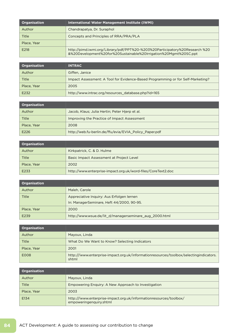| <b>Organisation</b> | International Water Management Institute (IWMI)                                                                                                 |
|---------------------|-------------------------------------------------------------------------------------------------------------------------------------------------|
| Author              | Chandrapatya, Dr. Suraphol                                                                                                                      |
| Title               | Concepts and Principles of RRA/PRA/PLA                                                                                                          |
| Place, Year         |                                                                                                                                                 |
| E218                | http://pimd.iwmi.org/Library/pdf/PPT%20-%203%20Participatory%20Research %20<br>&%20Development%20for%20Sustainable%20Irrigation%20Mgmt%20SC.ppt |

| Organisation | <b>INTRAC</b>                                                                   |
|--------------|---------------------------------------------------------------------------------|
| Author       | Giffen, Janice                                                                  |
| Title        | Impact Assessment: A Tool for Evidence-Based Programming or for Self-Marketing? |
| Place, Year  | 2005                                                                            |
| E232         | http://www.intrac.org/resources_database.php?id=165                             |

| <b>Organisation</b> |                                                        |
|---------------------|--------------------------------------------------------|
| Author              | Jacob, Klaus; Julia Hertin; Peter Hierp et al.         |
| Title               | Improving the Practice of Impact Assessment            |
| Place, Year         | 2008                                                   |
| E226                | http://web.fu-berlin.de/ffu/evia/EVIA_Policy_Paper.pdf |

| <b>Organisation</b> |                                                              |
|---------------------|--------------------------------------------------------------|
| Author              | Kirkpatrick, C. & D. Hulme                                   |
| Title               | Basic Impact Assessment at Project Level                     |
| Place, Year         | 2002                                                         |
| E233                | http://www.enterprise-impact.org.uk/word-files/CoreText2.doc |

| <b>Organisation</b> |                                                        |
|---------------------|--------------------------------------------------------|
| Author              | Maleh, Carole                                          |
| Title               | Appreciative Inquiry: Aus Erfolgen lernen              |
|                     | In: ManagerSeminare, Heft 44/2000, 90-95.              |
| Place, Year         | 2000                                                   |
| E239                | http://www.wsue.de/lit_d/managerseminare_aug_2000.html |

| Organisation |                                                                                                 |
|--------------|-------------------------------------------------------------------------------------------------|
| Author       | Mayoux, Linda                                                                                   |
| Title        | What Do We Want to Know? Selecting Indicators                                                   |
| Place, Year  | 2001                                                                                            |
| <b>E008</b>  | http:///www.enterprise-impact.org.uk/informationresources/toolbox/selectingindicators.<br>shtml |

| <b>Organisation</b> |                                                                                               |
|---------------------|-----------------------------------------------------------------------------------------------|
| Author              | Mayoux, Linda                                                                                 |
| Title               | Empowering Enquiry: A New Approach to Investigation                                           |
| Place, Year         | 2003                                                                                          |
| E134                | http:///www.enterprise-impact.org.uk/informationresources/toolbox/<br>empoweringenguiry.shtml |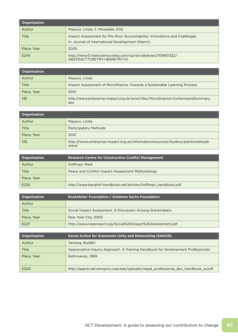| <b>Organisation</b> |                                                                                                                                |
|---------------------|--------------------------------------------------------------------------------------------------------------------------------|
| Author              | Mayoux, Linda; S. Mosedale; EDS                                                                                                |
| Title               | Impact Assessment for Pro-Poor Accountability: Innovations and Challenges<br>In: Journal of International Development (March). |
| Place, Year         | 2005                                                                                                                           |
| E245                | http://www3.interscience.wiley.com/cgi-bin/abstract/109931322/<br>ABSTRACT?CRETRY=1&SRETRY=0                                   |

| <b>Organisation</b> |                                                                                        |
|---------------------|----------------------------------------------------------------------------------------|
| Author              | Mayoux, Linda                                                                          |
| Title               | Impact Assessment of Microfinance. Towards a Sustainable Learning Process              |
| Place, Year         | 2001                                                                                   |
| 135                 | http://www.enterprise-impact.org.uk/word-files/Microfinance-ContentsandSummary.<br>doc |

| <b>Organisation</b> |                                                                                           |
|---------------------|-------------------------------------------------------------------------------------------|
| Author              | Mayoux, Linda                                                                             |
| Title               | <b>Participatory Methods</b>                                                              |
| Place, Year         | 2001                                                                                      |
| 139                 | http:///www.enterprise-impact.org.uk/informationresources/toolbox/particmethods.<br>shtml |

| <b>Organisation</b> | <b>Research Centre for Constructive Conflict Management</b>   |
|---------------------|---------------------------------------------------------------|
| Author              | Hoffman, Mark                                                 |
| Title               | Peace and Conflict Impact Assessment Methodology              |
| Place, Year         |                                                               |
| E225                | http://www.berghof-handbook.net/articles/hoffman_handbook.pdf |

| <b>Organisation</b> | Rockefeller Foundation / Goldman Sachs Foundation           |
|---------------------|-------------------------------------------------------------|
| Author              |                                                             |
| Title               | Social Impact Assessment. A Discussion Among Grantmakers    |
| Place, Year         | New York City, 2003                                         |
| E227                | http://www.riseproject.org/Social%20Impact%20Assessment.pdf |

| <b>Organisation</b> | <b>Social Action for Grassroots Unity and Networking (SAGUN)</b>                   |
|---------------------|------------------------------------------------------------------------------------|
| Author              | Tamang, Buddhi                                                                     |
| <b>Title</b>        | Appreciative Inquiry Approach. A Training Handbook for Development Professionals   |
| Place, Year         | Kathmandu, 1999                                                                    |
| E200                | http://appreciativeinquiry.case.edu/uploads/nepal_professional_dev_handbook_ai.pdf |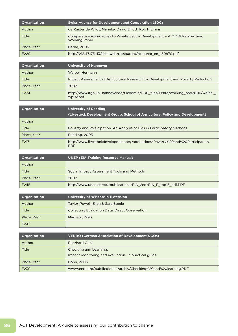| <b>Organisation</b> | <b>Swiss Agency for Development and Cooperation (SDC)</b>                                         |
|---------------------|---------------------------------------------------------------------------------------------------|
| Author              | de Ruijter de Wildt, Marieke; David Elliott, Rob Hitchins                                         |
| Title               | Comparative Approaches to Private Sector Development - A MMW Perspective.<br><b>Working Paper</b> |
| Place, Year         | Berne, 2006                                                                                       |
| E220                | http://212.47.173.113/dezaweb/ressources/resource_en_150870.pdf                                   |

| <b>Organisation</b> | <b>University of Hannover</b>                                                                |
|---------------------|----------------------------------------------------------------------------------------------|
| Author              | Waibel, Hermann                                                                              |
| Title               | Impact Assessment of Agricultural Research for Development and Poverty Reduction             |
| Place, Year         | 2002                                                                                         |
| E224                | http://www.ifgb.uni-hannover.de/fileadmin/EUE files/Lehre/working pap2006/waibel<br>wp02.pdf |

| <b>Organisation</b> | <b>University of Reading</b><br>(Livestock Development Group; School of Agriculture, Policy and Development) |
|---------------------|--------------------------------------------------------------------------------------------------------------|
| Author              |                                                                                                              |
| Title               | Poverty and Participation. An Analysis of Bias in Participatory Methods                                      |
| Place, Year         | Reading, 2003                                                                                                |
| E217                | http://www.livestockdevelopment.org/adobedocs/Poverty%20and%20Participation.<br><b>PDF</b>                   |

| Organisation | <b>UNEP (EIA Training Resource Manual)</b>                      |
|--------------|-----------------------------------------------------------------|
| Author       |                                                                 |
| Title        | Social Impact Assessment Tools and Methods                      |
| Place, Year  | 2002                                                            |
| E245         | http://www.unep.ch/etu/publications/EIA_2ed/EIA_E_top13_hd1.PDF |

| Organisation | <b>University of Wisconsin-Extension</b>              |
|--------------|-------------------------------------------------------|
| Author       | Taylor-Powell, Ellen & Sara Steele                    |
| <b>Title</b> | <b>Collecting Evaluation Data: Direct Observation</b> |
| Place, Year  | Madison, 1996                                         |
| E241         |                                                       |

| <b>Organisation</b> | <b>VENRO (German Association of Development NGOs)</b>            |
|---------------------|------------------------------------------------------------------|
| Author              | Eberhard Gohl                                                    |
| Title               | Checking and Learning:                                           |
|                     | Impact monitoring and evaluation - a practical guide             |
| Place, Year         | Bonn, 2003                                                       |
| E230                | www.venro.org/publikationen/archiv/Checking%20and%20learning.PDF |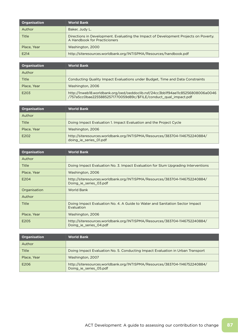| <b>Organisation</b> | <b>World Bank</b>                                                                                                    |
|---------------------|----------------------------------------------------------------------------------------------------------------------|
| Author              | Baker, Judy L.                                                                                                       |
| <b>Title</b>        | Directions in Development. Evaluating the Impact of Development Projects on Poverty.<br>A Handbook for Practicioners |
| Place, Year         | Washington, 2000                                                                                                     |
| F <sub>214</sub>    | http://siteresources.worldbank.org/INTISPMA/Resources/handbook.pdf                                                   |

| <b>Organisation</b> | <b>World Bank</b>                                                                                                                                   |
|---------------------|-----------------------------------------------------------------------------------------------------------------------------------------------------|
| Author              |                                                                                                                                                     |
| Title               | Conducting Quality Impact Evaluations under Budget, Time and Data Constraints                                                                       |
| Place, Year         | Washington, 2006                                                                                                                                    |
| E203                | http://Inweb18.worldbank.org/oed/oeddoclib.nsf/24cc3bb1f94ae11c85256808006a0046<br>/757a5cc0bae22558852571770059d89c/\$FILE/conduct_qual_impact.pdf |

| <b>Organisation</b> | <b>World Bank</b>                                                                                     |
|---------------------|-------------------------------------------------------------------------------------------------------|
| Author              |                                                                                                       |
| Title               | Doing Impact Evaluation 1. Impact Evaluation and the Project Cycle                                    |
| Place, Year         | Washington, 2006                                                                                      |
| E202                | http://siteresources.worldbank.org/INTISPMA/Resources/383704-1146752240884/<br>doing_ie_series_01.pdf |

| <b>Organisation</b> | <b>World Bank</b>                                                                                     |
|---------------------|-------------------------------------------------------------------------------------------------------|
| Author              |                                                                                                       |
| <b>Title</b>        | Doing Impact Evaluation No. 3. Impact Evaluation for Slum Upgrading Interventions                     |
| Place, Year         | Washington, 2006                                                                                      |
| E204                | http://siteresources.worldbank.org/INTISPMA/Resources/383704-1146752240884/<br>Doing ie series 03.pdf |
| Organisation        | <b>World Bank</b>                                                                                     |
| Author              |                                                                                                       |
| Title               | Doing Impact Evaluation No. 4. A Guide to Water and Sanitation Sector Impact<br>Evaluation            |
| Place, Year         | Washington, 2006                                                                                      |
| E205                | http://siteresources.worldbank.org/INTISPMA/Resources/383704-1146752240884/<br>Doing ie series 04.pdf |

| Organisation | <b>World Bank</b>                                                                                     |
|--------------|-------------------------------------------------------------------------------------------------------|
| Author       |                                                                                                       |
| Title        | Doing Impact Evaluation No. 5. Conducting Impact Evaluation in Urban Transport                        |
| Place, Year  | Washington, 2007                                                                                      |
| E206         | http://siteresources.worldbank.org/INTISPMA/Resources/383704-1146752240884/<br>Doing ie series 05.pdf |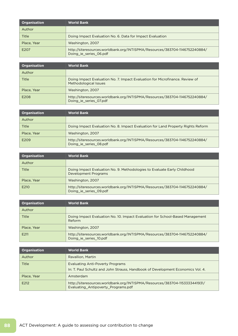| <b>Organisation</b> | <b>World Bank</b>                                                                                     |
|---------------------|-------------------------------------------------------------------------------------------------------|
| Author              |                                                                                                       |
| Title               | Doing Impact Evaluation No. 6. Data for Impact Evaluation                                             |
| Place, Year         | Washington, 2007                                                                                      |
| E207                | http://siteresources.worldbank.org/INTISPMA/Resources/383704-1146752240884/<br>Doing_ie_series_06.pdf |

| <b>Organisation</b> | <b>World Bank</b>                                                                                     |
|---------------------|-------------------------------------------------------------------------------------------------------|
| Author              |                                                                                                       |
| Title               | Doing Impact Evaluation No. 7. Impact Evaluation for Microfinance. Review of<br>Methodological Issues |
| Place, Year         | Washington, 2007                                                                                      |
| E208                | http://siteresources.worldbank.org/INTISPMA/Resources/383704-1146752240884/<br>Doing ie series 07.pdf |

| <b>Organisation</b> | <b>World Bank</b>                                                                                     |
|---------------------|-------------------------------------------------------------------------------------------------------|
| Author              |                                                                                                       |
| Title               | Doing Impact Evaluation No. 8. Impact Evaluation for Land Property Rights Reform                      |
| Place, Year         | Washington, 2007                                                                                      |
| E209                | http://siteresources.worldbank.org/INTISPMA/Resources/383704-1146752240884/<br>Doing_ie_series_08.pdf |

| <b>Organisation</b> | <b>World Bank</b>                                                                                     |
|---------------------|-------------------------------------------------------------------------------------------------------|
| Author              |                                                                                                       |
| Title               | Doing Impact Evaluation No. 9. Methodologies to Evaluate Early Childhood<br>Development Programs      |
| Place, Year         | Washington, 2007                                                                                      |
| E210                | http://siteresources.worldbank.org/INTISPMA/Resources/383704-1146752240884/<br>Doing ie series 09.pdf |

| <b>Organisation</b> | <b>World Bank</b>                                                                                     |
|---------------------|-------------------------------------------------------------------------------------------------------|
| Author              |                                                                                                       |
| Title               | Doing Impact Evaluation No. 10. Impact Evaluation for School-Based Management<br>Reform               |
| Place, Year         | Washington, 2007                                                                                      |
| E211                | http://siteresources.worldbank.org/INTISPMA/Resources/383704-1146752240884/<br>Doing_ie_series_10.pdf |

| <b>Organisation</b> | <b>World Bank</b>                                                                                                  |
|---------------------|--------------------------------------------------------------------------------------------------------------------|
| Author              | Ravallion, Martin                                                                                                  |
| <b>Title</b>        | <b>Evaluating Anti-Poverty Programs</b>                                                                            |
|                     | In: T. Paul Schultz and John Strauss, Handbook of Development Economics Vol. 4.                                    |
| Place, Year         | Amsterdam                                                                                                          |
| E212                | http://siteresources.worldbank.org/INTISPMA/Resources/383704-1153333441931/<br>Evaluating Antipoverty Programs.pdf |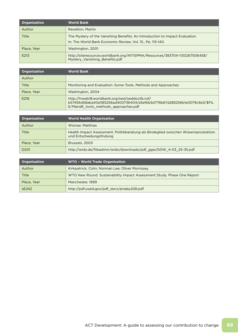| <b>Organisation</b> | <b>World Bank</b>                                                                                                                         |
|---------------------|-------------------------------------------------------------------------------------------------------------------------------------------|
| Author              | Ravallion, Martin                                                                                                                         |
| Title               | The Mystery of the Vanishing Benefits: An Introduction to Impact Evaluation<br>In: The World Bank Economic Review, Vol. 15., Pp. 115-140. |
| Place, Year         | Washington, 2001                                                                                                                          |
| E213                | http://siteresources.worldbank.org/INTISPMA/Resources/383704-1130267506458/<br>Mystery_Vanishing_Benefits.pdf                             |

| <b>Organisation</b> | <b>World Bank</b>                                                                                                                                                  |
|---------------------|--------------------------------------------------------------------------------------------------------------------------------------------------------------------|
| Author              |                                                                                                                                                                    |
| Title               | Monitoring and Evaluation: Some Tools, Methods and Approaches                                                                                                      |
| Place, Year         | Washington, 2004                                                                                                                                                   |
| E216                | http://Inweb18.worldbank.org/oed/oeddoclib.nsf/<br>b57456d58aba40e585256ad400736404/a5efbb5d776b67d285256b1e0079c9a3/\$FIL<br>E/MandE tools methods approaches.pdf |

| <b>Organisation</b> | <b>World Health Organisation</b>                                                                                |
|---------------------|-----------------------------------------------------------------------------------------------------------------|
| Author              | Wismar, Matthias                                                                                                |
| Title               | Health Impact Assessment. Politikberatung als Bindeglied zwischen Wissensproduktion<br>und Entscheidungsfindung |
| Place, Year         | Brussels, 2003                                                                                                  |
| D <sub>201</sub>    | http://wido.de/fileadmin/wido/downloads/pdf_ggw/GGW_4-03_25-35.pdf                                              |

| <b>Organisation</b> | <b>WTO - World Trade Organisation</b>                                   |
|---------------------|-------------------------------------------------------------------------|
| Author              | Kirkpatrick, Colin; Norman Lee; Oliver Morrissey                        |
| Title               | WTO New Round. Sustainability Impact Assessment Study. Phase One Report |
| Place, Year         | Manchester, 1999                                                        |
| SE242               | http://pdf.usaid.gov/pdf_docs/pnaby208.pdf                              |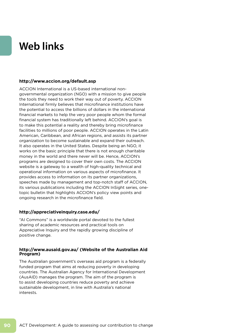# **Web links**

# **http://www.accion.org/default.asp**

ACCION International is a US-based international nongovernmental organization (NGO) with a mission to give people the tools they need to work their way out of poverty. ACCION International firmly believes that microfinance institutions have the potential to access the billions of dollars in the international financial markets to help the very poor people whom the formal financial system has traditionally left behind. ACCION's goal is to make this potential a reality and thereby bring microfinance facilities to millions of poor people. ACCION operates in the Latin American, Caribbean, and African regions, and assists its partner organization to become sustainable and expand their outreach. It also operates in the United States. Despite being an NGO, it works on the basic principle that there is not enough charitable money in the world and there never will be. Hence, ACCION's programs are designed to cover their own costs. The ACCION website is a gateway to a wealth of high-quality technical and operational information on various aspects of microfinance. It provides access to information on its partner organizations, speeches made by management and top-notch staff of ACCION, its various publications including the ACCION InSight series, onetopic bulletin that highlights ACCION's policy view points and ongoing research in the microfinance field.

## **http://appreciativeinquiry.case.edu/**

"AI Commons" is a worldwide portal devoted to the fullest sharing of academic resources and practical tools on Appreciative Inquiry and the rapidly growing discipline of positive change.

# **http://www.ausaid.gov.au/ (Website of the Australian Aid Program)**

The Australian government's overseas aid program is a federally funded program that aims at reducing poverty in developing countries. The Australian Agency for International Development (AusAID) manages the program. The aim of the program is to assist developing countries reduce poverty and achieve sustainable development, in line with Australia's national interests.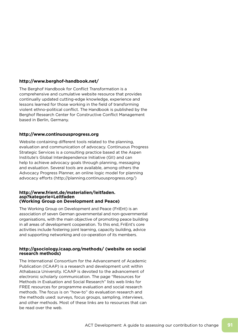# **http://www.berghof-handbook.net/**

The Berghof Handbook for Conflict Transformation is a comprehensive and cumulative website resource that provides continually updated cutting-edge knowledge, experience and lessons learned for those working in the field of transforming violent ethno-political conflict. The Handbook is published by the Berghof Research Center for Constructive Conflict Management based in Berlin, Germany.

## **http://www.continuousprogress.org**

Website containing different tools related to the planning, evaluation and communication of advocacy. Continuous Progress Strategic Services is a consulting practice based at the Aspen Institute's Global Interdependence Initiative (GII) and can help to achieve advocacy goals through planning, messaging and evaluation. Several tools are available, among others the Advocacy Progress Planner, an online logic model for planning advocacy efforts (http://planning.continuousprogress.org/)

#### **http://www.frient.de/materialien/leitfaden. asp?kategorie=Leitfaden (Working Group on Development and Peace)**

The Working Group on Development and Peace (FriEnt) is an association of seven German governmental and non-governmental organisations, with the main objective of promoting peace building in all areas of development cooperation. To this end, FriEnt's core activities include fostering joint learning, capacity building, advice and supporting networking and co-operation of its members.

# **http://gsociology.icaap.org/methods/ (website on social research methods)**

The International Consortium for the Advancement of Academic Publication (ICAAP) is a research and development unit within Athabasca University. ICAAP is devoted to the advancement of electronic scholarly communication. The page "Resources for Methods in Evaluation and Social Research" lists web links for FREE resources for programme evaluation and social research methods. The focus is on "how-to" do evaluation research and the methods used: surveys, focus groups, sampling, interviews, and other methods. Most of these links are to resources that can be read over the web.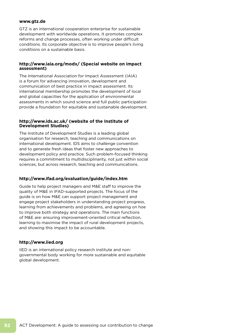## **www.gtz.de**

GTZ is an international cooperation enterprise for sustainable development with worldwide operations. It promotes complex reforms and change processes, often working under difficult conditions. Its corporate objective is to improve people's living conditions on a sustainable basis.

# **http://www.iaia.org/modx/ (Special website on impact assessment)**

The International Association for Impact Assessment (IAIA) is a forum for advancing innovation, development and communication of best practice in impact assessment. Its international membership promotes the development of local and global capacities for the application of environmental assessments in which sound science and full public participation provide a foundation for equitable and sustainable development.

## **http://www.ids.ac.uk/ (website of the Institute of Development Studies)**

The Institute of Development Studies is a leading global organisation for research, teaching and communications on international development. IDS aims to challenge convention and to generate fresh ideas that foster new approaches to development policy and practice. Such problem-focused thinking requires a commitment to multidisciplinarity, not just within social sciences, but across research, teaching and communications.

# **http://www.ifad.org/evaluation/guide/index.htm**

Guide to help project managers and M&E staff to improve the quality of M&E in IFAD-supported projects. The focus of the guide is on how M&E can support project management and engage project stakeholders in understanding project progress, learning from achievements and problems, and agreeing on hoe to improve both strategy and operations. The main functions of M&E are: ensuring improvement-oriented critical reflection, learning to maximise the impact of rural development projects, and showing this impact to be accountable.

# **http://www.iied.org**

IIED is an international policy research institute and nongovernmental body working for more sustainable and equitable global development.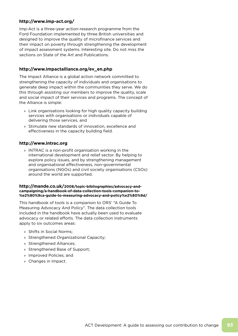# **http://www.imp-act.org/**

Imp-Act is a three-year action-research programme from the Ford Foundation implemented by three British universities and designed to improve the quality of microfinance services and their impact on poverty through strengthening the development of impact assessment systems. Interesting site. Do not miss the sections on State of the Art and Publications.

# **http://www.impactalliance.org/ev\_en.php**

The Impact Alliance is a global action network committed to strengthening the capacity of individuals and organisations to generate deep impact within the communities they serve. We do this through assisting our members to improve the quality, scale and social impact of their services and programs. The concept of the Alliance is simple:

- » Link organisations looking for high quality capacity building services with organisations or individuals capable of delivering those services, and
- » Stimulate new standards of innovation, excellence and effectiveness in the capacity building field.

# **http://www.intrac.org**

» INTRAC is a non-profit organisation working in the international development and relief sector. By helping to explore policy issues, and by strengthening management and organisational effectiveness, non-governmental organisations (NGOs) and civil society organisations (CSOs) around the world are supported.

#### **http://mande.co.uk/2008/topic-bibliographies/advocacy-andcampaigning/a-handbook-of-data-collection-tools-companion-to- %e2%80%9ca-guide-to-measuring-advocacy-and-policy%e2%80%9d/**

This handbook of tools is a companion to ORS' "A Guide To Measuring Advocacy And Policy". The data collection tools included in the handbook have actually been used to evaluate advocacy or related efforts. The data collection instruments apply to six outcomes areas:

- » Shifts in Social Norms;
- » Strengthened Organizational Capacity;
- » Strengthened Alliances;
- » Strengthened Base of Support;
- » Improved Policies; and
- » Changes in Impact.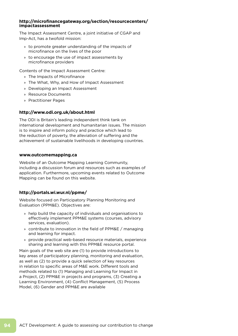## **http://microfinancegateway.org/section/resourcecenters/ impactassessment**

The Impact Assessment Centre, a joint initiative of CGAP and Imp-Act, has a twofold mission:

- » to promote greater understanding of the impacts of microfinance on the lives of the poor
- » to encourage the use of impact assessments by microfinance providers

Contents of the Impact Assessment Centre:

- » The Impacts of Microfinance
- » The What, Why, and How of Impact Assessment
- » Developing an Impact Assessment
- » Resource Documents
- » Practitioner Pages

## **http://www.odi.org.uk/about.html**

The ODI is Britain's leading independent think tank on international development and humanitarian issues. The mission is to inspire and inform policy and practice which lead to the reduction of poverty, the alleviation of suffering and the achievement of sustainable livelihoods in developing countries.

#### **www.outcomemapping.ca**

Website of an Outcome Mapping Learning Community, including a discussion forum and resources such as examples of application. Furthermore, upcoming events related to Outcome Mapping can be found on this website.

# **http://portals.wi.wur.nl/ppme/**

Website focused on Participatory Planning Monitoring and Evaluation (PPM&E). Objectives are:

- » help build the capacity of individuals and organisations to effectively implement PPM&E systems (courses, advisory services, evaluation).
- » contribute to innovation in the field of PPM&E / managing and learning for impact.
- » provide practical web-based resource materials, experience sharing and learning with this PPM&E resource portal.

Main goals of the web site are (1) to provide introductions to key areas of participatory planning, monitoring and evaluation, as well as (2) to provide a quick selection of key resources in relation to specific areas of M&E work. Different tools and methods related to (1) Managing and Learning for Impact in a Project, (2) PPM&E in projects and programs, (3) Creating a Learning Environment, (4) Conflict Management, (5) Process Model, (6) Gender and PPM&E are available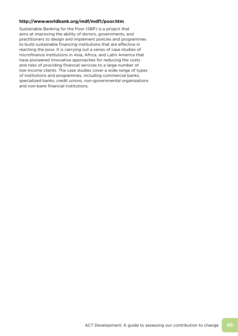# **http://www.worldbank.org/mdf/mdf1/poor.htm**

Sustainable Banking for the Poor (SBP) is a project that aims at improving the ability of donors, governments, and practitioners to design and implement policies and programmes to build sustainable financing institutions that are effective in reaching the poor. It is carrying out a series of case studies of microfinance institutions in Asia, Africa, and Latin America that have pioneered innovative approaches for reducing the costs and risks of providing financial services to a large number of low-income clients. The case studies cover a wide range of types of institutions and programmes, including commercial banks, specialized banks, credit unions, non-governmental organisations and non-bank financial institutions.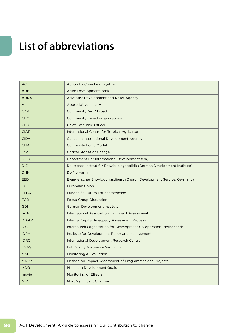# **List of abbreviations**

| <b>ACT</b>     | Action by Churches Together                                               |
|----------------|---------------------------------------------------------------------------|
| <b>ADB</b>     | Asian Development Bank                                                    |
| <b>ADRA</b>    | <b>Adventist Development and Relief Agency</b>                            |
| AI             | Appreciative Inquiry                                                      |
| <b>CAA</b>     | <b>Community Aid Abroad</b>                                               |
| <b>CBO</b>     | Community-based organizations                                             |
| <b>CEO</b>     | <b>Chief Executive Officer</b>                                            |
| <b>CIAT</b>    | International Centre for Tropical Agriculture                             |
| <b>CIDA</b>    | Canadian International Development Agency                                 |
| <b>CLM</b>     | <b>Composite Logic Model</b>                                              |
| <b>CSoC</b>    | <b>Critical Stories of Change</b>                                         |
| <b>DFID</b>    | Department For International Development (UK)                             |
| <b>DIE</b>     | Deutsches Institut für Entwicklungspolitik (German Development Institute) |
| <b>DNH</b>     | Do No Harm                                                                |
| <b>EED</b>     | Evangelischer Entwicklungsdienst (Church Development Service, Germany)    |
| <b>EU</b>      | <b>European Union</b>                                                     |
| <b>FFLA</b>    | Fundación Futuro Latinoamericano                                          |
| <b>FGD</b>     | <b>Focus Group Discussion</b>                                             |
| <b>GDI</b>     | German Development Institute                                              |
| <b>IAIA</b>    | <b>International Association for Impact Assessment</b>                    |
| <b>ICAAP</b>   | <b>Internal Capital Adequacy Assessment Process</b>                       |
| <b>ICCO</b>    | Interchurch Organisation for Development Co-operation, Netherlands        |
| <b>IDPM</b>    | Institute for Development Policy and Management                           |
| <b>IDRC</b>    | International Development Research Centre                                 |
| LQAS           | Lot Quality Assurance Sampling                                            |
| <b>M&amp;E</b> | Monitoring & Evaluation                                                   |
| <b>MAPP</b>    | Method for Impact Assessment of Programmes and Projects                   |
| <b>MDG</b>     | Millenium Development Goals                                               |
| movie          | Monitoring of Effects                                                     |
| <b>MSC</b>     | Most Significant Changes                                                  |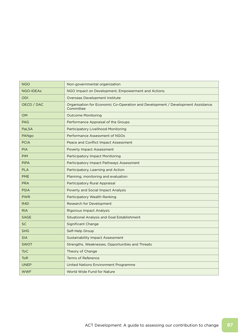| <b>NGO</b>       | Non-governmental organization                                                                |
|------------------|----------------------------------------------------------------------------------------------|
| <b>NGO-IDEAs</b> | NGO Impact on Development, Empowerment and Actions                                           |
| <b>ODI</b>       | <b>Overseas Development Institute</b>                                                        |
| OECD / DAC       | Organisation for Economic Co-Operation and Development / Development Assistance<br>Committee |
| <b>OM</b>        | <b>Outcome Monitoring</b>                                                                    |
| <b>PAG</b>       | Performance Appraisal of the Groups                                                          |
| PaLSA            | Participatory Livelihood Monitoring                                                          |
| PANgo            | Performance Assessment of NGOs                                                               |
| <b>PCIA</b>      | Peace and Conflict Impact Assessment                                                         |
| <b>PIA</b>       | <b>Poverty Impact Assessment</b>                                                             |
| <b>PIM</b>       | <b>Participatory Impact Monitoring</b>                                                       |
| <b>PIPA</b>      | Participatory Impact Pathways Assessment                                                     |
| <b>PLA</b>       | Participatory, Learning and Action                                                           |
| <b>PME</b>       | Planning, monitoring and evaluation                                                          |
| <b>PRA</b>       | Participatory Rural Appraisal                                                                |
| <b>PSIA</b>      | Poverty and Social Impact Analysis                                                           |
| <b>PWR</b>       | Participatory Wealth Ranking                                                                 |
| R <sub>4</sub> D | Research for Development                                                                     |
| <b>RIA</b>       | <b>Rigorous Impact Analysis</b>                                                              |
| <b>SAGE</b>      | Situational Analysis and Goal Establishment                                                  |
| <b>SC</b>        | <b>Significant Change</b>                                                                    |
| <b>SHG</b>       | Self-Help Group                                                                              |
| <b>SIA</b>       | <b>Sustainability Impact Assessment</b>                                                      |
| <b>SWOT</b>      | Strengths, Weaknesses, Opportunities and Threats                                             |
| <b>ToC</b>       | Theory of Change                                                                             |
| <b>ToR</b>       | <b>Terms of Reference</b>                                                                    |
| <b>UNEP</b>      | United Nations Environment Programme                                                         |
| <b>WWF</b>       | World Wide Fund for Nature                                                                   |